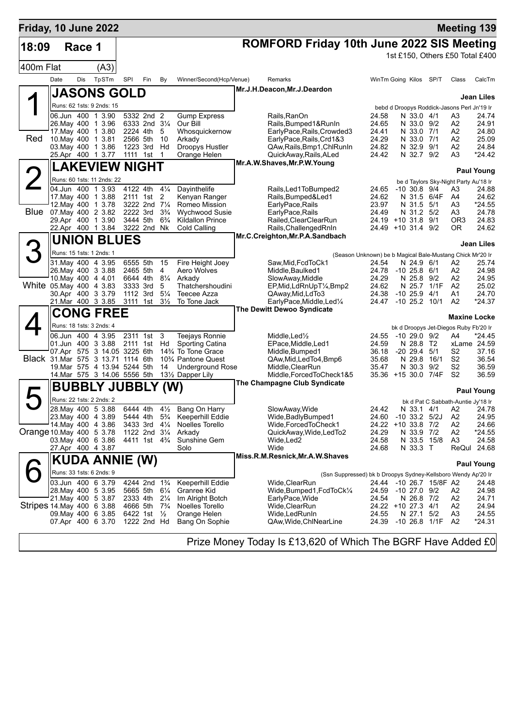| Friday, 10 June 2022      |      |        |                                                              |      |                                        |                     |                                                            |                                                                          |                                                           |                                             |               | <b>Meeting 139</b>                    |                       |
|---------------------------|------|--------|--------------------------------------------------------------|------|----------------------------------------|---------------------|------------------------------------------------------------|--------------------------------------------------------------------------|-----------------------------------------------------------|---------------------------------------------|---------------|---------------------------------------|-----------------------|
| 18:09                     |      | Race 1 |                                                              |      |                                        |                     |                                                            | <b>ROMFORD Friday 10th June 2022 SIS Meeting</b>                         |                                                           |                                             |               |                                       |                       |
|                           |      |        |                                                              |      |                                        |                     |                                                            |                                                                          |                                                           | 1st £150, Others £50 Total £400             |               |                                       |                       |
| 400m Flat                 |      |        | (A3)                                                         |      |                                        |                     |                                                            |                                                                          |                                                           |                                             |               |                                       |                       |
|                           | Date | Dis    | TpSTm                                                        | SPI  | Fin                                    | By                  | Winner/Second(Hcp/Venue)                                   | Remarks                                                                  |                                                           | WinTm Going Kilos SP/T                      |               | Class                                 | CalcTm                |
|                           |      |        | <b>JASONS GOLD</b>                                           |      |                                        |                     |                                                            | Mr.J.H.Deacon, Mr.J.Deardon                                              |                                                           |                                             |               |                                       |                       |
|                           |      |        |                                                              |      |                                        |                     |                                                            |                                                                          |                                                           |                                             |               |                                       | <b>Jean Liles</b>     |
|                           |      |        | Runs: 62 1sts: 9 2nds: 15                                    |      |                                        |                     |                                                            |                                                                          |                                                           | bebd d Droopys Roddick-Jasons Perl Jn'19 Ir |               |                                       |                       |
|                           |      |        | 06.Jun 400 1 3.90<br>26. May 400 1 3.96                      |      | 5332 2nd 2<br>6333 2nd 31/4            |                     | <b>Gump Express</b><br>Our Bill                            | Rails, RanOn<br>Rails, Bumped 1& RunIn                                   | 24.58<br>24.65                                            | N 33.0 4/1<br>N 33.0 9/2                    |               | A3<br>A2                              | 24.74<br>24.91        |
|                           |      |        | 17. May 400 1 3.80                                           |      | 2224 4th                               | 5                   | Whosquickernow                                             | EarlyPace, Rails, Crowded3                                               | 24.41                                                     | N 33.0 7/1                                  |               | A2                                    | 24.80                 |
| Red                       |      |        | 10. May 400 1 3.81                                           |      | 2566 5th                               | - 10                | Arkady                                                     | EarlyPace, Rails, Crd1&3                                                 | 24.29                                                     | N 33.0 7/1                                  |               | A2                                    | 25.09                 |
|                           |      |        | 03. May 400 1 3.86                                           |      | 1223 3rd Hd                            |                     | Droopys Hustler                                            | QAw, Rails, Bmp1, ChlRunIn                                               | 24.82                                                     | N 32.9 9/1                                  |               | A2<br>A3                              | 24.84<br>*24.42       |
|                           |      |        | 25.Apr 400 1 3.77                                            |      | 1111 1st                               | $\overline{1}$      | Orange Helen                                               | QuickAway, Rails, ALed<br>Mr.A.W.Shaves, Mr.P.W.Young                    | 24.42                                                     | N 32.7 9/2                                  |               |                                       |                       |
|                           |      |        | <b>LAKEVIEW NIGHT</b>                                        |      |                                        |                     |                                                            |                                                                          |                                                           |                                             |               |                                       | <b>Paul Young</b>     |
|                           |      |        | Runs: 60 1sts: 11 2nds: 22                                   |      |                                        |                     |                                                            |                                                                          |                                                           |                                             |               | be d Taylors Sky-Night Party Au'18 Ir |                       |
|                           |      |        | 04.Jun 400 1 3.93                                            |      | 4122 4th                               | $4\frac{1}{4}$      | Dayinthelife                                               | Rails, Led1ToBumped2                                                     | 24.65                                                     | $-10$ 30.8 $9/4$                            |               | A3                                    | 24.88                 |
|                           |      |        | 17. May 400 1 3.88<br>12. May 400 1 3.78                     |      | 2111 1st<br>3222 2nd 71/4              | 2                   | Kenyan Ranger<br>Romeo Mission                             | Rails, Bumped&Led1<br>EarlyPace, Rails                                   | 24.62<br>23.97                                            | N 31.5 5/1                                  | N 31.5 6/4F   | A4<br>A3                              | 24.62<br>*24.55       |
| Blue                      |      |        | 07. May 400 2 3.82                                           |      | 2222 3rd                               | $3\frac{3}{4}$      | <b>Wychwood Susie</b>                                      | EarlyPace, Rails                                                         | 24.49                                                     | N 31.2 5/2                                  |               | A3                                    | 24.78                 |
|                           |      |        | 29.Apr 400 1 3.90                                            |      | 3444 5th                               | $6\frac{3}{4}$      | <b>Kildallon Prince</b>                                    | Railed, ClearClearRun                                                    |                                                           | 24.19 +10 31.8 9/1                          |               | OR <sub>3</sub>                       | 24.83                 |
|                           |      |        | 22.Apr 400 1 3.84                                            |      | 3222 2nd Nk                            |                     | Cold Calling                                               | Rails, Challenged RnIn                                                   |                                                           | 24.49 +10 31.4 9/2                          |               | 0R.                                   | 24.62                 |
|                           |      |        | <b>UNION BLUES</b>                                           |      |                                        |                     |                                                            | Mr.C.Creighton, Mr.P.A.Sandbach                                          |                                                           |                                             |               |                                       | <b>Jean Liles</b>     |
|                           |      |        | Runs: 15 1sts: 1 2nds: 1                                     |      |                                        |                     |                                                            |                                                                          | (Season Unknown) be b Magical Bale-Mustang Chick Mr'20 Ir |                                             |               |                                       |                       |
|                           |      |        | 31. May 400 4 3.95                                           |      | 6555 5th                               | 15                  | Fire Height Joey                                           | Saw, Mid, FcdToCk1                                                       | 24.54                                                     | N 24.9 6/1                                  |               | А2                                    | 25.74                 |
|                           |      |        | 26. May 400 3 3.88                                           |      | 2465 5th                               | 4                   | Aero Wolves                                                | Middle, Baulked1                                                         |                                                           | 24.78 -10 25.8 6/1                          |               | А2                                    | 24.98                 |
|                           |      |        | 10. May 400 4 4.01                                           |      | 6644 4th                               | $8\frac{1}{4}$      | Arkady                                                     | SlowAway, Middle                                                         | 24.29                                                     | N 25.8 9/2                                  |               | A2                                    | 24.95                 |
| White 05. May 400 4 3.83  |      |        | 30.Apr 400 3 3.79                                            |      | 3333 3rd<br>1112 3rd                   | 5<br>$5\frac{1}{4}$ | Thatchershoudini<br><b>Teecee Azza</b>                     | EP, Mid, LdRnUpT <sup>1</sup> / <sub>4</sub> , Bmp2<br>QAway, Mid, LdTo3 | 24.62<br>24.38                                            | $-10$ 25.9 $4/1$                            | N 25.7 1/1F   | A2<br>A1                              | 25.02<br>24.70        |
|                           |      |        | 21.Mar 400 3 3.85                                            | 3111 | 1st                                    | $3\frac{1}{2}$      | To Tone Jack                                               | EarlyPace, Middle, Led <sup>1/4</sup>                                    | 24.47                                                     | $-10$ 25.2 $10/1$                           |               | A2                                    | *24.37                |
|                           |      |        | <b>CONG FREE</b>                                             |      |                                        |                     |                                                            | The Dewitt Dewoo Syndicate                                               |                                                           |                                             |               |                                       |                       |
|                           |      |        |                                                              |      |                                        |                     |                                                            |                                                                          |                                                           |                                             |               | <b>Maxine Locke</b>                   |                       |
|                           |      |        | Runs: 18 1sts: 3 2nds: 4                                     |      |                                        |                     |                                                            |                                                                          |                                                           | bk d Droopys Jet-Diegos Ruby Fb'20 Ir       |               |                                       |                       |
|                           |      |        | 06.Jun 400 4 3.95<br>01.Jun 400 3 3.88                       |      | 2311 1st<br>2111 1st Hd                | 3                   | Teejays Ronnie<br>Sporting Catina                          | Middle, Led <sup>1</sup> / <sub>2</sub><br>EPace, Middle, Led1           | 24.55<br>24.59                                            | -10 29.0 9/2<br>N 28.8 T2                   |               | A4                                    | *24.45<br>xLame 24.59 |
|                           |      |        | 07.Apr 575 3 14.05 3225 6th                                  |      |                                        |                     | 143⁄4 To Tone Grace                                        | Middle, Bumped1                                                          | 36.18                                                     | -20 29.4                                    | 5/1           | S2                                    | 37.16                 |
|                           |      |        | Black 31. Mar 575 3 13.71 1114 6th                           |      |                                        |                     | 10 <sup>3</sup> / <sub>4</sub> Pantone Quest               | QAw,Mid,LedTo4,Bmp6                                                      | 35.68                                                     |                                             | N 29.8 16/1   | S2                                    | 36.54                 |
|                           |      |        | 19. Mar 575 4 13.94 5244 5th<br>14. Mar 575 3 14.06 5556 5th |      |                                        | 14                  | <b>Underground Rose</b><br>131/ <sub>2</sub> Dapper Lily   | Middle, ClearRun<br>Middle, Forced To Check 1&5                          | 35.47                                                     | N 30.3 9/2<br>35.36 +15 30.0 7/4F           |               | S2<br>S <sub>2</sub>                  | 36.59<br>36.59        |
|                           |      |        |                                                              |      |                                        |                     |                                                            | The Champagne Club Syndicate                                             |                                                           |                                             |               |                                       |                       |
|                           |      |        | <b>BUBBLY JUBBLY</b>                                         |      |                                        | (W)                 |                                                            |                                                                          |                                                           |                                             |               |                                       | <b>Paul Young</b>     |
|                           |      |        | Runs: 22 1sts: 2 2nds: 2                                     |      |                                        |                     |                                                            |                                                                          |                                                           |                                             |               | bk d Pat C Sabbath-Auntie Jy'18 Ir    |                       |
|                           |      |        |                                                              |      |                                        |                     | 28. May 400 5 3.88 6444 4th 41/ <sub>2</sub> Bang On Harry | SlowAway, Wide                                                           | 24.42                                                     |                                             | N 33.1 4/1 A2 |                                       | 24.78                 |
|                           |      |        | 23. May 400 4 3.89<br>14 May 400 4 3.86                      |      | 5444 4th<br>3433 3rd 41/4              | $5\frac{3}{4}$      | <b>Keeperhill Eddie</b><br>Noelles Torello                 | Wide, Badly Bumped 1<br>Wide, Forced To Check1                           | 24.60                                                     | -10 33.2 5/2J<br>24.22 +10 33.8 7/2         |               | A2<br>A <sub>2</sub>                  | 24.95<br>24.66        |
| Orange 10 May 400 5 3.78  |      |        |                                                              |      | 1122 2nd 31/4                          |                     | Arkady                                                     | QuickAway, Wide, LedTo2                                                  | 24.29                                                     | N 33.9 7/2                                  |               | A <sub>2</sub>                        | *24.55                |
|                           |      |        | 03. May 400 6 3.86                                           |      | 4411 1st 4 <sup>3</sup> / <sub>4</sub> |                     | Sunshine Gem                                               | Wide,Led2                                                                | 24.58                                                     |                                             | N 33.5 15/8   | A <sub>3</sub>                        | 24.58                 |
|                           |      |        | 27.Apr 400 4 3.87                                            |      |                                        |                     | Solo                                                       | Wide                                                                     | 24.68                                                     | N 33.3 T                                    |               |                                       | ReQul 24.68           |
|                           |      |        | KUDA ANNIE (W)                                               |      |                                        |                     |                                                            | Miss.R.M.Resnick,Mr.A.W.Shaves                                           |                                                           |                                             |               |                                       | <b>Paul Young</b>     |
|                           |      |        | Runs: 33 1sts: 6 2nds: 9                                     |      |                                        |                     |                                                            | (Ssn Suppressed) bk b Droopys Sydney-Kellsboro Wendy Ap'20 Ir            |                                                           |                                             |               |                                       |                       |
|                           |      |        | 03.Jun 400 6 3.79                                            |      | 4244 2nd 1 <sup>3</sup> / <sub>4</sub> |                     | <b>Keeperhill Eddie</b>                                    | Wide,ClearRun                                                            |                                                           | 24.44 -10 26.7 15/8F A2                     |               |                                       | 24.48                 |
|                           |      |        | 28. May 400 5 3.95                                           |      | 5665 5th                               | $6\frac{1}{4}$      | Granree Kid                                                | Wide, Bumped 1, Fcd To Ck <sup>1/4</sup>                                 | 24.59                                                     | -10 27.0 9/2                                |               | A2                                    | 24.98                 |
|                           |      |        | 21. May 400 5 3.87                                           |      | 2333 4th                               | $2\frac{1}{4}$      | Im Alright Botch                                           | EarlyPace, Wide                                                          | 24.54                                                     | N 26.8 7/2                                  |               | A2                                    | 24.71                 |
| Stripes 14 May 400 6 3.88 |      |        | 09. May 400 6 3.85                                           |      | 4666 5th<br>6422 1st $\frac{1}{2}$     | $7\frac{3}{4}$      | Noelles Torello<br>Orange Helen                            | Wide,ClearRun<br>Wide,LedRunIn                                           | 24.55                                                     | 24.22 +10 27.3 4/1<br>N 27.1 5/2            |               | A2<br>A <sub>3</sub>                  | 24.94<br>24.55        |
|                           |      |        | 07.Apr 400 6 3.70                                            |      | 1222 2nd Hd                            |                     | Bang On Sophie                                             | QAw, Wide, ChlNearLine                                                   |                                                           | 24.39 -10 26.8 1/1F                         |               | A2                                    | *24.31                |
|                           |      |        |                                                              |      |                                        |                     |                                                            |                                                                          | m.                                                        |                                             |               |                                       |                       |

Prize Money Today Is £13,620 of Which The BGRF Have Added £0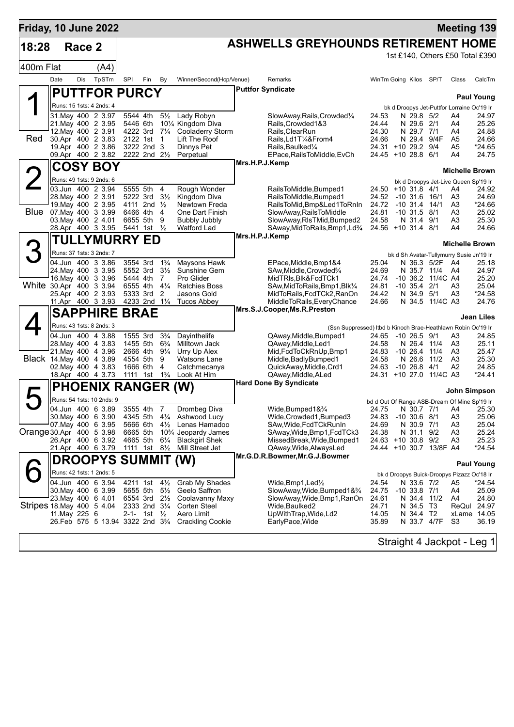| Friday, 10 June 2022      |               |        |                                               |     |                                |                                  |                                                           |                                                                                       |                |                                               |                          |                   |                                                              | <b>Meeting 139</b>              |
|---------------------------|---------------|--------|-----------------------------------------------|-----|--------------------------------|----------------------------------|-----------------------------------------------------------|---------------------------------------------------------------------------------------|----------------|-----------------------------------------------|--------------------------|-------------------|--------------------------------------------------------------|---------------------------------|
| 18:28                     |               | Race 2 |                                               |     |                                |                                  |                                                           | <b>ASHWELLS GREYHOUNDS RETIREMENT HOME</b>                                            |                |                                               |                          |                   |                                                              |                                 |
|                           |               |        |                                               |     |                                |                                  |                                                           |                                                                                       |                |                                               |                          |                   |                                                              | 1st £140, Others £50 Total £390 |
| 400m Flat                 |               |        | (A4)                                          |     |                                |                                  |                                                           |                                                                                       |                |                                               |                          |                   |                                                              |                                 |
|                           | Date          | Dis    | TpSTm                                         | SPI | Fin                            | By                               | Winner/Second(Hcp/Venue)                                  | Remarks                                                                               |                | WinTm Going Kilos SP/T                        |                          |                   | Class                                                        | CalcTm                          |
|                           |               |        | <b>PUTTFOR PURCY</b>                          |     |                                |                                  |                                                           | <b>Puttfor Syndicate</b>                                                              |                |                                               |                          |                   |                                                              | <b>Paul Young</b>               |
|                           |               |        | Runs: 15 1sts: 4 2nds: 4                      |     |                                |                                  |                                                           |                                                                                       |                |                                               |                          |                   | bk d Droopys Jet-Puttfor Lorraine Oc'19 Ir                   |                                 |
|                           |               |        | 31 May 400 2 3.97                             |     | 5544 4th                       | $5\frac{1}{2}$                   | Lady Robyn<br>101/4 Kingdom Diva                          | SlowAway, Rails, Crowded <sup>1/4</sup>                                               | 24.53          |                                               | N 29.8 5/2               |                   | A4                                                           | 24.97                           |
|                           |               |        | 21. May 400 2 3.95<br>12. May 400 2 3.91      |     | 5446 6th<br>4222 3rd 71/4      |                                  | <b>Cooladerry Storm</b>                                   | Rails, Crowded 1&3<br>Rails, Clear Run                                                | 24.44<br>24.30 |                                               | N 29.6 2/1<br>N 29.7 7/1 |                   | A4<br>A4                                                     | 25.26<br>24.88                  |
| Red                       |               |        | 30.Apr 400 2 3.83                             |     | 2122 1st                       | $\overline{1}$                   | Lift The Roof                                             | Rails,Ld1T¼&From4                                                                     | 24.66          |                                               | N 29.4                   | 9/4F              | A <sub>5</sub>                                               | 24.66                           |
|                           |               |        | 19.Apr 400 2 3.86<br>09.Apr 400 2 3.82        |     | 3222 2nd 3<br>2222 2nd 21/2    |                                  | Dinnys Pet<br>Perpetual                                   | Rails, Baulked <sup>1</sup> /4<br>EPace, Rails To Middle, EvCh                        | 24.45          | 24.31 +10 29.2 9/4<br>+10 28.8 6/1            |                          |                   | A5<br>A4                                                     | *24.65<br>24.75                 |
|                           |               |        | <b>COSY BOY</b>                               |     |                                |                                  |                                                           | Mrs.H.P.J.Kemp                                                                        |                |                                               |                          |                   | <b>Michelle Brown</b>                                        |                                 |
|                           |               |        | Runs: 49 1sts: 9 2nds: 6                      |     |                                |                                  |                                                           |                                                                                       |                |                                               |                          |                   | bk d Droopys Jet-Live Queen Sp'19 Ir                         |                                 |
|                           |               |        | 03.Jun 400 2 3.94                             |     | 5555 5th                       | 4                                | Rough Wonder                                              | RailsToMiddle, Bumped1                                                                |                | 24.50 +10 31.8 4/1                            |                          |                   | A4                                                           | 24.92                           |
|                           |               |        | 28. May 400 2 3.91<br>19. May 400 2 3.95      |     | 5222 3rd<br>4111 2nd 1/2       | $3\frac{1}{2}$                   | Kingdom Diva<br>Newtown Freda                             | RailsToMiddle, Bumped1<br>RailsToMid, Bmp&Led1ToRnIn                                  | 24.52<br>24.72 | $-10$ 31.6 16/1<br>$-10$ 31.4 $14/1$          |                          |                   | A3<br>A3                                                     | 24.69<br>*24.66                 |
|                           |               |        | Blue 07 May 400 3 3.99                        |     | 6466 4th 4                     |                                  | One Dart Finish                                           | SlowAway, RailsToMiddle                                                               | 24.81          | $-10$ 31.5 $8/1$                              |                          |                   | A3                                                           | 25.02                           |
|                           |               |        | 03. May 400 2 4.01<br>28.Apr 400 3 3.95       |     | 6655 5th<br>5441 1st           | 9<br>$\frac{1}{2}$               | <b>Bubbly Jubbly</b><br><b>Watford Lad</b>                | SlowAway, RIsTMid, Bumped2<br>SAway, MidToRails, Bmp1, Ld <sup>3</sup> / <sub>4</sub> | 24.58          | 24.56 +10 31.4 8/1                            | N 31.4 9/1               |                   | A3<br>A4                                                     | 25.30<br>24.66                  |
|                           |               |        | <b>TULLYMURRY ED</b>                          |     |                                |                                  |                                                           | Mrs.H.P.J.Kemp                                                                        |                |                                               |                          |                   |                                                              |                                 |
|                           |               |        |                                               |     |                                |                                  |                                                           |                                                                                       |                |                                               |                          |                   | <b>Michelle Brown</b>                                        |                                 |
|                           |               |        | Runs: 37 1sts: 3 2nds: 7<br>04.Jun 400 3 3.86 |     | 3554 3rd                       | $1\frac{3}{4}$                   | Maysons Hawk                                              | EPace, Middle, Bmp1&4                                                                 | 25.04          |                                               |                          | N 36.3 5/2F       | bk d Sh Avatar-Tullymurry Susie Jn'19 Ir<br>A4               | 25.18                           |
|                           |               |        | 24. May 400 3 3.95                            |     | 5552 3rd                       | $3\frac{1}{2}$                   | Sunshine Gem                                              | SAw, Middle, Crowded <sup>3</sup> /4                                                  | 24.69          |                                               |                          | N 35.7 11/4       | A4                                                           | 24.97                           |
| White 30.Apr 400 3 3.94   |               |        | 16. May 400 3 3.96                            |     | 5444 4th<br>6555 4th           | 7<br>$4\frac{1}{4}$              | Pro Glider<br><b>Ratchies Boss</b>                        | MidTRIs, Blk&FcdTCk1<br>SAw, MidToRails, Bmp1, Blk1/4                                 | 24.74<br>24.81 | $-10$ 35.4 $2/1$                              |                          | -10 36.2 11/4C A4 | A3                                                           | 25.20<br>25.04                  |
|                           |               |        | 25.Apr 400 2 3.93                             |     | 5333 3rd                       | $\overline{2}$                   | Jasons Gold                                               | MidToRails, FcdTCk2, RanOn                                                            | 24.42          |                                               | N 34.9 5/1               |                   | A3                                                           | *24.58                          |
|                           |               |        | 11.Apr 400 3 3.93                             |     | 4233 2nd 11/4                  |                                  | <b>Tucos Abbey</b>                                        | MiddleToRails, EveryChance<br>Mrs.S.J.Cooper, Ms.R.Preston                            | 24.66          |                                               |                          | N 34.5 11/4C A3   |                                                              | 24.76                           |
|                           |               |        | <b>SAPPHIRE BRAE</b>                          |     |                                |                                  |                                                           |                                                                                       |                |                                               |                          |                   |                                                              | Jean Liles                      |
|                           |               |        | Runs: 43 1sts: 8 2nds: 3                      |     |                                |                                  |                                                           | (Ssn Suppressed) Itbd b Kinoch Brae-Heathlawn Robin Oc'19 Ir                          |                |                                               |                          |                   |                                                              |                                 |
|                           |               |        | 04.Jun 400 4 3.88<br>28. May 400 4 3.83       |     | 1555 3rd<br>1455 5th           | $3\frac{3}{4}$<br>$6\frac{3}{4}$ | Dayinthelife<br>Milltown Jack                             | QAway, Middle, Bumped 1<br>QAway, Middle, Led1                                        | 24.65<br>24.58 | $-1026.59/1$                                  |                          | N 26.4 11/4       | A3<br>A3                                                     | 24.85<br>25.11                  |
|                           |               |        | 21. May 400 4 3.96                            |     | 2666 4th 91/4                  |                                  | Urry Up Alex                                              | Mid, FcdToCkRnUp, Bmp1                                                                | 24.83          | $-1026.4$                                     |                          | 11/4              | A3                                                           | 25.47                           |
| Black 14. May 400 4 3.89  |               |        | 02. May 400 4 3.83                            |     | 4554 5th<br>1666 6th           | 9<br>4                           | <b>Watsons Lane</b>                                       | Middle,BadlyBumped1<br>QuickAway, Middle, Crd1                                        | 24.58<br>24.63 | $-10$ 26.8 $4/1$                              |                          | N 26.6 11/2       | A3<br>A2                                                     | 25.30<br>24.85                  |
|                           |               |        | 18.Apr 400 4 3.73                             |     | 1111 1st                       | $1\frac{3}{4}$                   | Catchmecanya<br>Look At Him                               | QAway, Middle, ALed                                                                   |                | 24.31 +10 27.0 11/4C A3                       |                          |                   |                                                              | $*24.41$                        |
|                           |               |        | <b>PHOENIX RANGER (W)</b>                     |     |                                |                                  |                                                           | <b>Hard Done By Syndicate</b>                                                         |                |                                               |                          |                   |                                                              |                                 |
|                           |               |        | Runs: 54 1sts: 10 2nds: 9                     |     |                                |                                  |                                                           |                                                                                       |                |                                               |                          |                   | John Simpson<br>bd d Out Of Range ASB-Dream Of Mine Sp'19 Ir |                                 |
|                           |               |        | 04.Jun 400 6 3.89                             |     | 3555 4th 7                     |                                  | Drombeg Diva                                              | Wide, Bumped 1& 3/4                                                                   |                |                                               |                          |                   | 24.75 N 30.7 7/1 A4                                          | 25.30                           |
|                           |               |        | 30. May 400 6 3.90<br>07. May 400 6 3.95      |     |                                |                                  | 4345 5th 41/4 Ashwood Lucy<br>5666 6th 41/2 Lenas Hamadoo | Wide,Crowded1,Bumped3<br>SAw, Wide, FcdTCkRunIn                                       | 24.83<br>24.69 | $-10,30.6,8/1$                                | N 30.9 7/1               |                   | A3<br>A3                                                     | 25.06<br>25.04                  |
| Orange 30.Apr 400 5 3.98  |               |        |                                               |     | 6665 5th                       |                                  | 10% Jeopardy James                                        | SAway, Wide, Bmp1, FcdTCk3                                                            | 24.38          |                                               | N 31.1 9/2               |                   | A3                                                           | 25.24                           |
|                           |               |        | 26.Apr 400 6 3.92<br>21.Apr 400 6 3.79        |     | 4665 5th 61/4<br>1111 1st 8½   |                                  | <b>Blackgirl Shek</b><br>Mill Street Jet                  | MissedBreak, Wide, Bumped1<br>QAway, Wide, Always Led                                 |                | 24.63 +10 30.8 9/2<br>24.44 +10 30.7 13/8F A4 |                          |                   | A3                                                           | 25.23<br>*24.54                 |
|                           |               |        |                                               |     |                                |                                  |                                                           | Mr.G.D.R.Bowmer, Mr.G.J.Bowmer                                                        |                |                                               |                          |                   |                                                              |                                 |
|                           |               |        | <b>DROOPYS SUMMIT (W)</b>                     |     |                                |                                  |                                                           |                                                                                       |                |                                               |                          |                   |                                                              | <b>Paul Young</b>               |
|                           |               |        | Runs: 42 1sts: 1 2nds: 5<br>04.Jun 400 6 3.94 |     | 4211 1st $4\frac{1}{2}$        |                                  | Grab My Shades                                            | $W$ ide,Bmp1,Led $\frac{1}{2}$                                                        | 24.54          |                                               | N 33.6 7/2               |                   | bk d Droopys Buick-Droopys Pizazz Oc'18 Ir<br>A5             | *24.54                          |
|                           |               |        | 30. May 400 6 3.99                            |     | 5655 5th                       | $5\frac{1}{2}$                   | Geelo Saffron                                             | SlowAway,Wide,Bumped1&3/4                                                             | 24.75          | $-10$ 33.8 $7/1$                              |                          |                   | A4                                                           | 25.09                           |
| Stripes 18 May 400 5 4.04 |               |        | 23. May 400 6 4.01                            |     | 6554 3rd 21/2<br>2333 2nd 31/4 |                                  | Coolavanny Maxy<br>Corten Steel                           | SlowAway,Wide,Bmp1,RanOn<br>Wide,Baulked2                                             | 24.61<br>24.71 |                                               | N 34.5 T3                | N 34.4 11/2       | A4                                                           | 24.80<br>ReQul 24.97            |
|                           | 11. May 225 6 |        |                                               |     | 2-1- 1st                       | $\frac{1}{2}$                    | Aero Limit                                                | UpWithTrap, Wide, Ld2                                                                 | 14.05          |                                               | N 34.4 T2                |                   |                                                              | xLame 14.05                     |
|                           |               |        | 26.Feb 575 5 13.94 3322 2nd 334               |     |                                |                                  | <b>Crackling Cookie</b>                                   | EarlyPace, Wide                                                                       | 35.89          |                                               |                          | N 33.7 4/7F       | S <sub>3</sub>                                               | 36.19                           |
|                           |               |        |                                               |     |                                |                                  |                                                           |                                                                                       |                |                                               |                          |                   | Straight 4 Jackpot - Leg 1                                   |                                 |
|                           |               |        |                                               |     |                                |                                  |                                                           |                                                                                       |                |                                               |                          |                   |                                                              |                                 |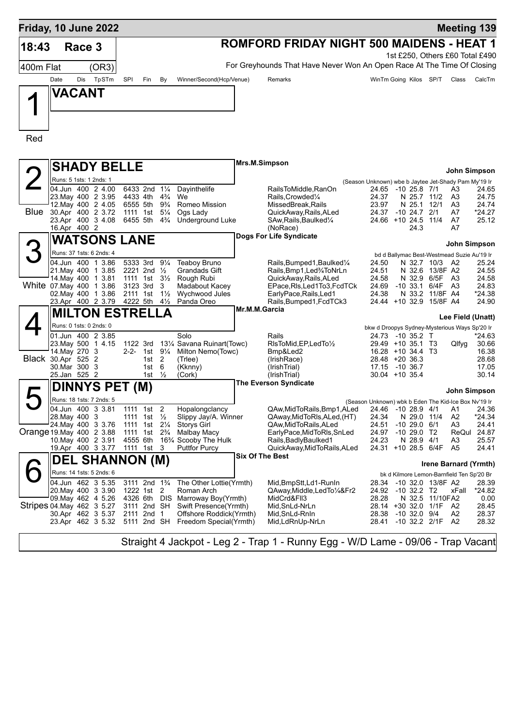|           | Friday, 10 June 2022                            |              |                                                   |                                 |                                                               |                        |                                                                                  |                |                                                                            |      | <b>Meeting 139</b>    |                   |
|-----------|-------------------------------------------------|--------------|---------------------------------------------------|---------------------------------|---------------------------------------------------------------|------------------------|----------------------------------------------------------------------------------|----------------|----------------------------------------------------------------------------|------|-----------------------|-------------------|
| 18:43     | Race 3                                          |              |                                                   |                                 |                                                               |                        | <b>ROMFORD FRIDAY NIGHT 500 MAIDENS - HEAT 1</b>                                 |                |                                                                            |      |                       |                   |
|           |                                                 |              |                                                   |                                 |                                                               |                        |                                                                                  |                | 1st £250, Others £60 Total £490                                            |      |                       |                   |
| 400m Flat |                                                 | (OR3)        |                                                   |                                 |                                                               |                        | For Greyhounds That Have Never Won An Open Race At The Time Of Closing           |                |                                                                            |      |                       |                   |
|           | Date<br>Dis                                     | TpSTm<br>SPI | Fin                                               | By                              | Winner/Second(Hcp/Venue)                                      |                        | Remarks                                                                          |                | WinTm Going Kilos SP/T                                                     |      | Class                 | CalcTm            |
|           | <b>VACANT</b>                                   |              |                                                   |                                 |                                                               |                        |                                                                                  |                |                                                                            |      |                       |                   |
|           |                                                 |              |                                                   |                                 |                                                               |                        |                                                                                  |                |                                                                            |      |                       |                   |
|           |                                                 |              |                                                   |                                 |                                                               |                        |                                                                                  |                |                                                                            |      |                       |                   |
|           |                                                 |              |                                                   |                                 |                                                               |                        |                                                                                  |                |                                                                            |      |                       |                   |
| Red       |                                                 |              |                                                   |                                 |                                                               |                        |                                                                                  |                |                                                                            |      |                       |                   |
|           |                                                 |              |                                                   |                                 |                                                               |                        |                                                                                  |                |                                                                            |      |                       |                   |
|           | <b>SHADY BELLE</b>                              |              |                                                   |                                 |                                                               | Mrs.M.Simpson          |                                                                                  |                |                                                                            |      |                       |                   |
|           |                                                 |              |                                                   |                                 |                                                               |                        |                                                                                  |                |                                                                            |      | John Simpson          |                   |
|           | Runs: 5 1sts: 1 2nds: 1<br>04.Jun 400 2 4.00    |              | 6433 2nd 11/4                                     |                                 | Dayinthelife                                                  |                        | RailsToMiddle, RanOn                                                             |                | (Season Unknown) wbe b Jaytee Jet-Shady Pam My'19 Ir<br>24.65 -10 25.8 7/1 |      | A3                    | 24.65             |
|           | 23. May 400 2 3.95                              |              | 4433 4th                                          | $4\frac{3}{4}$                  | We                                                            |                        | Rails, Crowded <sup>1</sup> / <sub>4</sub>                                       | 24.37          | N 25.7 11/2                                                                |      | A3                    | 24.75             |
| Blue      | 12. May 400 2 4.05                              |              | 6555 5th                                          | 9¾                              | Romeo Mission                                                 |                        | MissedBreak, Rails                                                               | 23.97          | N 25.1                                                                     | 12/1 | A3<br>A7              | 24.74<br>$*24.27$ |
|           | 30.Apr 400 2 3.72<br>23.Apr 400 3 4.08          |              | 1111 1st 51/ <sub>4</sub><br>6455 5th             | $4\frac{3}{4}$                  | Ogs Lady<br><b>Underground Luke</b>                           |                        | QuickAway, Rails, ALed<br>SAw, Rails, Baulked <sup>1</sup> / <sub>4</sub>        | 24.37          | $-10$ 24.7 2/1<br>24.66 +10 24.5                                           | 11/4 | A7                    | 25.12             |
|           | 16.Apr 400 2                                    |              |                                                   |                                 |                                                               |                        | (NoRace)                                                                         |                | 24.3                                                                       |      | A7                    |                   |
|           | <b>WATSONS LANE</b>                             |              |                                                   |                                 |                                                               |                        | Dogs For Life Syndicate                                                          |                |                                                                            |      | John Simpson          |                   |
|           | Runs: 37 1sts: 6 2nds: 4                        |              |                                                   |                                 |                                                               |                        |                                                                                  |                | bd d Ballymac Best-Westmead Suzie Au'19 Ir                                 |      |                       |                   |
|           | 04.Jun 400 1 3.86                               |              | 5333 3rd                                          | $9\frac{1}{4}$                  | Teaboy Bruno                                                  |                        | Rails, Bumped 1, Baulked 1/4                                                     | 24.50          | N 32.7 10/3                                                                |      | A2                    | 25.24             |
|           | 21. May 400 1 3.85<br>14. May 400 1 3.81        |              | 2221 2nd $\frac{1}{2}$<br>1111 1st $3\frac{1}{2}$ |                                 | Grandads Gift<br>Rough Rubi                                   |                        | Rails, Bmp1, Led%ToNrLn<br>QuickAway, Rails, ALed                                | 24.51<br>24.58 | N 32.6 13/8F A2<br>N 32.9 6/5F                                             |      | A3                    | 24.55<br>24.58    |
|           | White 07 May 400 1 3.86                         |              | 3123 3rd                                          | -3                              | Madabout Kacey                                                |                        | EPace, RIs, Led1To3, FcdTCk                                                      | 24.69          | $-10.33.1$                                                                 | 6/4F | A3                    | 24.83             |
|           | 02. May 400 1 3.86<br>23.Apr 400 2 3.79         |              | 2111 1st<br>4222 5th 41/2                         | $1\frac{1}{2}$                  | Wychwood Jules<br>Panda Oreo                                  |                        | EarlyPace, Rails, Led1<br>Rails, Bumped1, FcdTCk3                                | 24.38          | N 33.2 11/8F A4<br>24.44 +10 32.9 15/8F A4                                 |      |                       | *24.38<br>24.90   |
|           | <b>MILTON ESTRELLA</b>                          |              |                                                   |                                 |                                                               | Mr.M.M.Garcia          |                                                                                  |                |                                                                            |      |                       |                   |
|           | Runs: 0 1sts: 0 2nds: 0                         |              |                                                   |                                 |                                                               |                        |                                                                                  |                |                                                                            |      | Lee Field (Unatt)     |                   |
|           | 01.Jun 400 2 3.85                               |              |                                                   |                                 | Solo                                                          |                        | Rails                                                                            |                | bkw d Droopys Sydney-Mysterious Ways Sp'20 Ir<br>24.73 -10 35.2 T          |      |                       | *24.63            |
|           | 23. May 500 1 4.15                              |              | 1122 3rd                                          |                                 | 131⁄4 Savana Ruinart(Towc)                                    |                        | RIsToMid, EP, LedTo1/2                                                           |                | 29.49 +10 35.1 T3                                                          |      | Qlfyg                 | 30.66             |
|           | 14. May 270 3<br>Black 30.Apr 525 2             |              | 2-2- 1st<br>$1st$ 2                               | $9\frac{1}{4}$                  | Milton Nemo(Towc)<br>(Trlee)                                  |                        | Bmp&Led2<br>(IrishRace)                                                          |                | 16.28 +10 34.4 T3<br>28.48 +20 36.3                                        |      |                       | 16.38<br>28.68    |
|           | 30. Mar 300 3                                   |              | 1st                                               | 6                               | (Kknny)                                                       |                        | (IrishTrial)                                                                     | 17.15          | $-10,36.7$                                                                 |      |                       | 17.05             |
|           | 25.Jan 525 2                                    |              | 1st $\frac{1}{2}$                                 |                                 | (Cork)                                                        |                        | (IrishTrial)<br><b>The Everson Syndicate</b>                                     |                | $30.04$ +10 35.4                                                           |      |                       | 30.14             |
|           | <b>DINNYS PET (M)</b>                           |              |                                                   |                                 |                                                               |                        |                                                                                  |                |                                                                            |      | John Simpson          |                   |
|           | Runs: 18 1sts: 7 2nds: 5                        |              |                                                   |                                 |                                                               |                        |                                                                                  |                | (Season Unknown) wbk b Eden The Kid-Ice Box Nv'19 Ir                       |      |                       |                   |
|           | 04.Jun 400 33.81<br>28. May 400 3               |              | 1111 1st<br>1111 1st                              | $\overline{c}$<br>$\frac{1}{2}$ | Hopalongclancy<br>Slippy Jay/A. Winner                        |                        | QAw,Mid IoRails,Bmp1,ALed<br>QAway, MidToRIs, ALed, (HT)                         | 24.46<br>24.34 | $-1028.94/1$<br>N 29.0 11/4                                                |      | A1<br>A2              | 24.36<br>*24.34   |
|           | 24 May 400 3 3.76                               | 1111         | 1st                                               | $2\frac{1}{4}$                  | <b>Storys Girl</b>                                            |                        | QAw,MidToRails,ALed                                                              | 24.51          | $-1029.0$                                                                  | 6/1  | A3                    | 24.41             |
|           | Orange 19 May 400 2 3.88                        | 1111         | 1st                                               | $2\frac{3}{4}$                  | Malbay Macy<br>16 <sup>3</sup> / <sub>4</sub> Scooby The Hulk |                        | EarlyPace,MidToRIs,SnLed                                                         | 24.97<br>24.23 | $-1029.0$                                                                  | T2   | ReQul                 | 24.87<br>25.57    |
|           | 10. May 400 2 3.91<br>19.Apr 400 3 3.77         |              | 4555 6th<br>1111 1st 3                            |                                 | <b>Puttfor Purcy</b>                                          |                        | Rails, Badly Baulked 1<br>QuickAway, MidToRails, ALed                            |                | N 28.9 4/1<br>24.31 +10 28.5 6/4F                                          |      | A3<br>A <sub>5</sub>  | 24.41             |
|           | <b>DEL SHANNON (M)</b>                          |              |                                                   |                                 |                                                               | <b>Six Of The Best</b> |                                                                                  |                |                                                                            |      |                       |                   |
|           | Runs: 14 1sts: 5 2nds: 6                        |              |                                                   |                                 |                                                               |                        |                                                                                  |                | bk d Kilmore Lemon-Barnfield Ten Sp'20 Br                                  |      | Irene Barnard (Yrmth) |                   |
|           | 04.Jun 462 3 5.35                               |              | 3111 2nd 1 <sup>3</sup> / <sub>4</sub>            |                                 | The Other Lottie(Yrmth)                                       |                        | Mid,BmpStt,Ld1-RunIn                                                             | 28.34          | -10 32.0 13/8F A2                                                          |      |                       | 28.39             |
|           | 20. May 400 3 3.90                              |              | 1222 1st 2                                        |                                 | Roman Arch                                                    |                        | QAway, Middle, Led To 1/4& Fr2                                                   |                | 24.92 -10 32.2 T2                                                          |      | xFall                 | *24.82            |
|           | 09. May 462 4 5.26<br>Stripes 04 May 462 3 5.27 |              | 3111 2nd SH                                       |                                 | 4326 6th DIS Marroway Boy(Yrmth)<br>Swift Presence(Yrmth)     |                        | MidCrd&Fll3<br>Mid, SnLd-NrLn                                                    | 28.28          | N 32.5 11/10FA2<br>28.14 +30 32.0 1/1F A2                                  |      |                       | 0.00<br>28.45     |
|           | 30.Apr 462 3 5.37                               |              | 2111 2nd 1                                        |                                 | Offshore Roddick(Yrmth)                                       |                        | Mid, SnLd-RnIn                                                                   | 28.38          | $-10$ 32.0 $9/4$                                                           |      | A2                    | 28.37             |
|           | 23.Apr 462 3 5.32                               |              | 5111 2nd SH                                       |                                 | Freedom Special(Yrmth)                                        |                        | Mid,LdRnUp-NrLn                                                                  | 28.41          | $-10$ 32.2 $2/1F$                                                          |      | - A2                  | 28.32             |
|           |                                                 |              |                                                   |                                 |                                                               |                        | Straight 4 Jackpot - Leg 2 - Trap 1 - Runny Egg - W/D Lame - 09/06 - Trap Vacant |                |                                                                            |      |                       |                   |
|           |                                                 |              |                                                   |                                 |                                                               |                        |                                                                                  |                |                                                                            |      |                       |                   |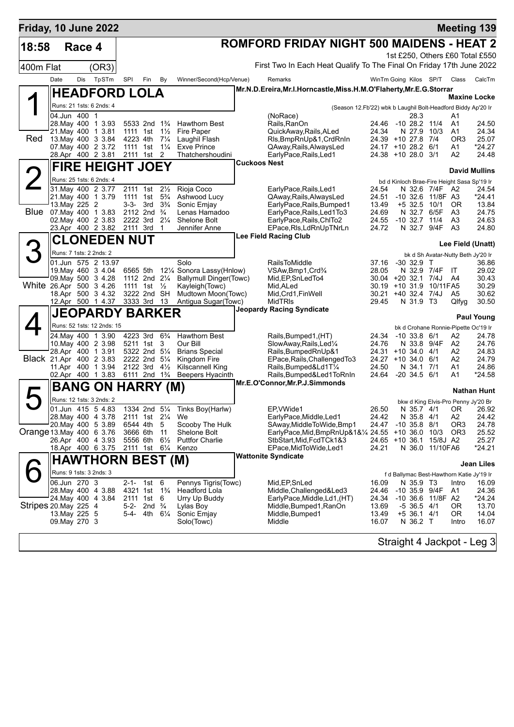| Friday, 10 June 2022     |                         |        |                                          |          |                                                      |                |                                           |                                                                                  |                              |                              |                   |                                    | <b>Meeting 139</b>                            |
|--------------------------|-------------------------|--------|------------------------------------------|----------|------------------------------------------------------|----------------|-------------------------------------------|----------------------------------------------------------------------------------|------------------------------|------------------------------|-------------------|------------------------------------|-----------------------------------------------|
| 18:58                    |                         | Race 4 |                                          |          |                                                      |                |                                           | <b>ROMFORD FRIDAY NIGHT 500 MAIDENS - HEAT 2</b>                                 |                              |                              |                   |                                    |                                               |
|                          |                         |        |                                          |          |                                                      |                |                                           |                                                                                  |                              |                              |                   |                                    | 1st £250, Others £60 Total £550               |
| 400m Flat                |                         |        | (OR3)                                    |          |                                                      |                |                                           | First Two In Each Heat Qualify To The Final On Friday 17th June 2022             |                              |                              |                   |                                    |                                               |
|                          | Date                    | Dis    | TpSTm                                    | SPI      | Fin                                                  | By             | Winner/Second(Hcp/Venue)                  | Remarks                                                                          | WinTm Going Kilos SP/T Class |                              |                   |                                    | CalcTm                                        |
|                          |                         |        | <b>HEADFORD LOLA</b>                     |          |                                                      |                |                                           | Mr.N.D.Ereira, Mr.I.Horncastle, Miss.H.M.O'Flaherty, Mr.E.G.Storrar              |                              |                              |                   |                                    |                                               |
|                          |                         |        | Runs: 21 1sts: 6 2nds: 4                 |          |                                                      |                |                                           |                                                                                  |                              |                              |                   |                                    | Maxine Locke                                  |
|                          | 04.Jun 400 1            |        |                                          |          |                                                      |                |                                           | (Season 12.Fb'22) wbk b Laughil Bolt-Headford Biddy Ap'20 Ir<br>(NoRace)         |                              | 28.3                         |                   | A1                                 |                                               |
|                          |                         |        | 28. May 400 1 3.93                       |          | 5533 2nd 1 <sup>3</sup> / <sub>4</sub>               |                | Hawthorn Best                             | Rails, RanOn                                                                     | 24.46 -10 28.2 11/4          |                              |                   | A1                                 | 24.50                                         |
| Red                      |                         |        | 21. May 400 1 3.81<br>13. May 400 3 3.84 |          | 1111 1st $1\frac{1}{2}$<br>4223 4th 71/4             |                | Fire Paper<br>Laughil Flash               | QuickAway, Rails, ALed<br>Rls, BmpRnUp&1, CrdRnIn                                | 24.34<br>24.39 +10 27.8 7/4  | N 27.9 10/3                  |                   | A1<br>OR <sub>3</sub>              | 24.34<br>25.07                                |
|                          |                         |        | 07. May 400 2 3.72                       |          | 1111 1st 11/ <sub>4</sub>                            |                | <b>Exve Prince</b>                        | QAway, Rails, Always Led                                                         | 24.17 +10 28.2 6/1           |                              |                   | A1                                 | *24.27                                        |
|                          |                         |        | 28.Apr 400 2 3.81                        |          | 2111 1st 2                                           |                | Thatchershoudini                          | EarlyPace, Rails, Led1                                                           | 24.38 +10 28.0 3/1           |                              |                   | A2                                 | 24.48                                         |
|                          |                         |        | <b>FIRE HEIGHT JOEY</b>                  |          |                                                      |                |                                           | <b>Cuckoos Nest</b>                                                              |                              |                              |                   |                                    | <b>David Mullins</b>                          |
|                          |                         |        | Runs: 25 1sts: 6 2nds: 4                 |          |                                                      |                |                                           |                                                                                  |                              |                              |                   |                                    | bd d Kinloch Brae-Fire Height Sasa Sp'19 Ir   |
|                          |                         |        | 31. May 400 2 3.77                       |          | 2111 1st                                             | $2\frac{1}{2}$ | Rioja Coco                                | EarlyPace, Rails, Led1                                                           | 24.54                        |                              | N 32.6 7/4F A2    |                                    | 24.54                                         |
|                          | 13. May 225 2           |        | 21. May 400 1 3.79                       | 1111 1st | $3-3-3$ rd $3\frac{3}{4}$                            | $5\frac{3}{4}$ | Ashwood Lucy<br>Sonic Emjay               | QAway, Rails, Always Led<br>EarlyPace, Rails, Bumped1                            | 24.51<br>13.49               | +5 32.5 10/1                 | -10 32.6 11/8F A3 | 0R                                 | *24.41<br>13.84                               |
|                          |                         |        | Blue 07 May 400 1 3.83                   |          | 2112 2nd <sup>3</sup> / <sub>4</sub>                 |                | Lenas Hamadoo                             | EarlyPace, Rails, Led1To3                                                        | 24.69                        | N 32.7 6/5F                  |                   | A3                                 | 24.75                                         |
|                          |                         |        | 02. May 400 2 3.83                       |          | 2222 3rd 21/4                                        |                | Shelone Bolt                              | EarlyPace, Rails, ChITo2                                                         | 24.55                        | $-10$ 32.7 $11/4$            |                   | A3                                 | 24.63                                         |
|                          |                         |        | 23.Apr 400 2 3.82                        | 2111 3rd |                                                      | $\mathbf 1$    | Jennifer Anne                             | EPace, RIs, LdRnUpTNrLn<br><b>Lee Field Racing Club</b>                          | 24.72                        | N 32.7 9/4F                  |                   | A <sub>3</sub>                     | 24.80                                         |
|                          |                         |        | <b>CLONEDEN NUT</b>                      |          |                                                      |                |                                           |                                                                                  |                              |                              |                   |                                    | Lee Field (Unatt)                             |
|                          | Runs: 7 1sts: 2 2nds: 2 |        |                                          |          |                                                      |                |                                           |                                                                                  |                              |                              |                   |                                    | bk d Sh Avatar-Nutty Beth Jy'20 Ir            |
|                          |                         |        | 01.Jun 575 2 13.97<br>19. May 460 3 4.04 |          | 6565 5th                                             |                | Solo<br>121/4 Sonora Lassy(Hnlow)         | <b>RailsToMiddle</b><br>VSAw, Bmp1, Crd <sup>3</sup> / <sub>4</sub>              | 37.16<br>28.05               | $-30$ 32.9 T<br>N 32.9 7/4F  |                   | - IT                               | 36.86<br>29.02                                |
|                          |                         |        | 09. May 500 3 4.28                       |          | 1112 2nd 21/4                                        |                | <b>Ballymull Dinger(Towc)</b>             | Mid, EP, SnLedTo4                                                                | 30.04 +20 32.1 7/4J A4       |                              |                   |                                    | 30.43                                         |
| White 26.Apr 500 3 4.26  |                         |        |                                          |          | 1111 1st                                             | $\frac{1}{2}$  | Kayleigh(Towc)                            | Mid, ALed                                                                        | 30.19 +10 31.9 10/11FA5      |                              |                   |                                    | 30.29                                         |
|                          |                         |        | 18.Apr 500 3 4.32<br>12.Apr 500 1 4.37   | 3333 3rd | 3222 2nd SH                                          | -13            | Mudtown Moon(Towc)<br>Antigua Sugar(Towc) | Mid, Crd1, FinWell<br><b>MidTRIs</b>                                             | 30.21<br>29.45               | $+40$ 32.4 7/4J<br>N 31.9 T3 |                   | A <sub>5</sub><br>Qlfyg            | 30.62<br>30.50                                |
|                          |                         |        | <b>JEOPARDY BARKER</b>                   |          |                                                      |                |                                           | <b>Jeopardy Racing Syndicate</b>                                                 |                              |                              |                   |                                    |                                               |
|                          |                         |        | Runs: 52 1sts: 12 2nds: 15               |          |                                                      |                |                                           |                                                                                  |                              |                              |                   |                                    | <b>Paul Young</b>                             |
|                          |                         |        | 24. May 400 1 3.90                       | 4223 3rd |                                                      | $6\frac{3}{4}$ | <b>Hawthorn Best</b>                      | Rails, Bumped1, (HT)                                                             | 24.34                        | $-10$ 33.8 $6/1$             |                   | A2                                 | bk d Crohane Ronnie-Pipette Oc'19 Ir<br>24.78 |
|                          |                         |        | 10. May 400 2 3.98                       |          | 5211 1st                                             | 3              | Our Bill                                  | SlowAway, Rails, Led <sup>1/4</sup>                                              | 24.76                        | N 33.8 9/4F                  |                   | A <sub>2</sub>                     | 24.76                                         |
|                          |                         |        | 28.Apr 400 1 3.91                        |          | 5322 2nd 51/4                                        |                | <b>Brians Special</b>                     | Rails, Bumped RnUp&1                                                             | 24.31 +10 34.0 4/1           |                              |                   | A2                                 | 24.83                                         |
| Black 21.Apr 400 2 3.83  |                         |        | 11.Apr 400 1 3.94                        |          | 2222 2nd 51/4<br>2122 3rd $4\frac{1}{2}$             |                | Kingdom Fire<br><b>Kilscannell King</b>   | EPace, Rails, Challenged To 3<br>Rails, Bumped&Ld1T1/4                           | 24.27 +10 34.0 6/1<br>24.50  | N 34.1 7/1                   |                   | A2<br>A1                           | 24.79<br>24.86                                |
|                          |                         |        | 02.Apr 400 1 3.83                        |          | 6111 2nd 1 <sup>3</sup> / <sub>4</sub>               |                | Beepers Hyacinth                          | Rails, Bumped&Led1ToRnIn                                                         | 24.64                        | $-20, 34.5, 6/1$             |                   | A1                                 | *24.58                                        |
|                          |                         |        | <b>BANG ON HARRY (M)</b>                 |          |                                                      |                |                                           | Mr.E.O'Connor,Mr.P.J.Simmonds                                                    |                              |                              |                   |                                    | <b>Nathan Hunt</b>                            |
|                          |                         |        | Runs: 12 1sts: 3 2nds: 2                 |          |                                                      |                |                                           |                                                                                  |                              |                              |                   |                                    | bkw d King Elvis-Pro Penny Jy'20 Br           |
|                          |                         |        | 01.Jun 415 5 4.83                        |          |                                                      |                | 1334 2nd 51⁄4 Tinks Boy(Harlw)            | EP, VWide1                                                                       |                              |                              |                   |                                    | 26.50 N 35.7 4/1 OR 26.92                     |
|                          |                         |        | 28. May 400 4 3.78                       |          | 2111 1st 21/ <sub>4</sub>                            |                | We                                        | EarlyPace, Middle, Led1                                                          | 24.42                        | N 35.8 4/1                   |                   | A2                                 | 24.42                                         |
| Orange 13 May 400 6 3.76 |                         |        | 20. May 400 5 3.89                       | 3666 6th | 6544 4th                                             | 5<br>- 11      | Scooby The Hulk<br>Shelone Bolt           | SAway, Middle To Wide, Bmp1<br>EarlyPace, Mid, BmpRnUp&1&1/4 24.55 +10 36.0 10/3 | 24.47                        | $-10$ 35.8 $8/1$             |                   | OR <sub>3</sub><br>OR <sub>3</sub> | 24.78<br>25.52                                |
|                          |                         |        | 26.Apr 400 4 3.93                        | 5556 6th |                                                      | $6\frac{1}{2}$ | <b>Puttfor Charlie</b>                    | StbStart, Mid, FcdTCk1&3                                                         | 24.65 +10 36.1 15/8J A2      |                              |                   |                                    | 25.27                                         |
|                          |                         |        | 18.Apr 400 6 3.75                        |          | 2111 1st 6 <sup>1</sup> / <sub>4</sub>               |                | Kenzo                                     | EPace, MidToWide, Led1                                                           | 24.21                        |                              | N 36.0 11/10FA6   |                                    | *24.21                                        |
|                          |                         |        | <b>HAWTHORN BEST (M)</b>                 |          |                                                      |                |                                           | <b>Wattonite Syndicate</b>                                                       |                              |                              |                   |                                    | Jean Liles                                    |
|                          | Runs: 9 1sts: 3 2nds: 3 |        |                                          |          |                                                      |                |                                           |                                                                                  |                              |                              |                   |                                    | f d Ballymac Best-Hawthorn Katie Jy'19 Ir     |
|                          | 06.Jun 270 3            |        |                                          |          | 2-1- 1st 6                                           |                | Pennys Tigris(Towc)                       | Mid, EP, SnLed                                                                   | 16.09                        | N 35.9 T3                    |                   | Intro                              | 16.09                                         |
|                          |                         |        | 28. May 400 4 3.88<br>24. May 400 4 3.84 |          | 4321 1st 1 <sup>3</sup> / <sub>4</sub><br>2111 1st 6 |                | Headford Lola<br>Urry Up Buddy            | Middle, Challenged&Led3<br>EarlyPace, Middle, Ld1, (HT)                          | 24.46<br>24.34               | $-10$ 35.9 9/4F              | -10 36.6 11/8F A2 | A1                                 | 24.36<br>*24.24                               |
| Stripes 20. May 225 4    |                         |        |                                          |          | 5-2- 2nd $\frac{3}{4}$                               |                | Lylas Boy                                 | Middle, Bumped 1, RanOn                                                          | 13.69                        | $-5$ 36.5 4/1                |                   | ΟR                                 | 13.70                                         |
|                          | 13. May 225 5           |        |                                          | 5-4-     | 4th 6¼                                               |                | Sonic Emjay                               | Middle, Bumped1                                                                  | 13.49                        | $+5$ 36.1 4/1                |                   | 0R                                 | 14.04                                         |
|                          | 09. May 270 3           |        |                                          |          |                                                      |                | Solo(Towc)                                | Middle                                                                           | 16.07                        | N 36.2 T                     |                   | Intro                              | 16.07                                         |
|                          |                         |        |                                          |          |                                                      |                |                                           |                                                                                  |                              |                              |                   |                                    | Straight 4 Jackpot - Leg 3                    |
|                          |                         |        |                                          |          |                                                      |                |                                           |                                                                                  |                              |                              |                   |                                    |                                               |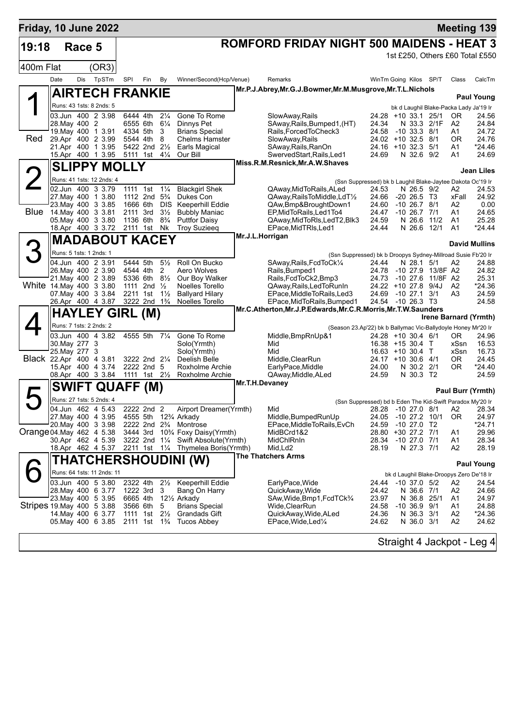| Friday, 10 June 2022      |                                                          |                            |              |                                        |                                         |                              |                                                                                                              |                                                                       |                                                                                    |                                      |                          |                      | <b>Meeting 139</b>                       |
|---------------------------|----------------------------------------------------------|----------------------------|--------------|----------------------------------------|-----------------------------------------|------------------------------|--------------------------------------------------------------------------------------------------------------|-----------------------------------------------------------------------|------------------------------------------------------------------------------------|--------------------------------------|--------------------------|----------------------|------------------------------------------|
| 19:18                     |                                                          | Race 5                     |              |                                        |                                         |                              |                                                                                                              | <b>ROMFORD FRIDAY NIGHT 500 MAIDENS - HEAT 3</b>                      |                                                                                    |                                      |                          |                      |                                          |
|                           |                                                          |                            |              |                                        |                                         |                              |                                                                                                              |                                                                       |                                                                                    |                                      |                          |                      | 1st £250, Others £60 Total £550          |
| 400m Flat                 |                                                          |                            | (OR3)        |                                        |                                         |                              |                                                                                                              |                                                                       |                                                                                    |                                      |                          |                      |                                          |
|                           | Date                                                     | Dis                        | TpSTm        | SPI                                    | Fin                                     | By                           | Winner/Second(Hcp/Venue)                                                                                     | Remarks                                                               | WinTm Going Kilos SP/T                                                             |                                      |                          | Class                | CalcTm                                   |
|                           |                                                          | <b>AIRTECH FRANKIE</b>     |              |                                        |                                         |                              |                                                                                                              | Mr.P.J.Abrey, Mr.G.J.Bowmer, Mr.M.Musgrove, Mr.T.L.Nichols            |                                                                                    |                                      |                          |                      | <b>Paul Young</b>                        |
|                           |                                                          | Runs: 43 1sts: 8 2nds: 5   |              |                                        |                                         |                              |                                                                                                              |                                                                       |                                                                                    |                                      |                          |                      | bk d Laughil Blake-Packa Lady Ja'19 Ir   |
|                           | 03.Jun 400 2 3.98                                        |                            |              | 6444 4th                               |                                         | $2\frac{1}{4}$               | Gone To Rome                                                                                                 | SlowAway, Rails                                                       | 24.28                                                                              | +10 33.1 25/1                        |                          | 0R                   | 24.56                                    |
|                           | 28. May 400 2<br>19 May 400 1 3.91                       |                            |              | 6555 6th<br>4334 5th                   |                                         | $6\frac{1}{4}$<br>3          | Dinnys Pet<br><b>Brians Special</b>                                                                          | SAway, Rails, Bumped1, (HT)<br>Rails, Forced To Check3                | 24.34<br>24.58                                                                     | N 33.3<br>$-10$ 33.3 8/1             | 2/1F                     | A2<br>A1             | 24.84<br>24.72                           |
| Red                       | 29.Apr 400 2 3.99                                        |                            |              |                                        | 5544 4th 8                              |                              | <b>Chelms Hamster</b>                                                                                        | SlowAway, Rails                                                       | 24.02 +10 32.5 8/1                                                                 |                                      |                          | 0R                   | 24.76                                    |
|                           | 21.Apr 400 1 3.95<br>15.Apr 400 1 3.95                   |                            |              |                                        | 5422 2nd 21/2<br>5111 1st 41/4          |                              | <b>Earls Magical</b><br>Our Bill                                                                             | SAway, Rails, RanOn<br>SwervedStart, Rails, Led1                      | 24.16 +10 32.3 5/1<br>24.69                                                        | N 32.6 9/2                           |                          | A1<br>A1             | *24.46<br>24.69                          |
|                           |                                                          | <b>SLIPPY MOLLY</b>        |              |                                        |                                         |                              |                                                                                                              | Miss.R.M.Resnick, Mr.A.W.Shaves                                       |                                                                                    |                                      |                          |                      |                                          |
|                           |                                                          | Runs: 41 1sts: 12 2nds: 4  |              |                                        |                                         |                              |                                                                                                              |                                                                       |                                                                                    |                                      |                          |                      | Jean Liles                               |
|                           | 02.Jun 400 3 3.79                                        |                            |              | 1111 1st                               |                                         | $1\frac{1}{4}$               | <b>Blackgirl Shek</b>                                                                                        | QAway, MidToRails, ALed                                               | (Ssn Suppressed) bk b Laughil Blake-Jaytee Dakota Oc'19 Ir<br>24.53                | N 26.5 9/2                           |                          | A2                   | 24.53                                    |
|                           | 27. May 400 1 3.80                                       |                            |              |                                        | 1112 2nd 5 <sup>3</sup> / <sub>4</sub>  |                              | Dukes Con                                                                                                    | QAway, Rails To Middle, Ld T <sup>1</sup> / <sub>2</sub>              | 24.66                                                                              | $-20, 26.5, 13$                      |                          | xFall                | 24.92                                    |
| Blue                      | 23. May 400 3 3.85<br>14. May 400 3 3.81                 |                            |              | 1666 6th<br>2111 3rd                   |                                         | <b>DIS</b><br>$3\frac{1}{2}$ | <b>Keeperhill Eddie</b><br><b>Bubbly Maniac</b>                                                              | QAw,Bmp&BroughtDown1<br>EP.MidToRails.Led1To4                         | 24.60<br>24.47                                                                     | $-10$ 26.7 $8/1$<br>$-10$ 26.7 $7/1$ |                          | A2<br>A1             | 0.00<br>24.65                            |
|                           | 05. May 400 3 3.80                                       |                            |              | 1136 6th                               |                                         | $8\frac{3}{4}$               | <b>Puttfor Daisy</b>                                                                                         | QAway, MidToRIs, LedT2, Blk3                                          | 24.59                                                                              | N 26.6 11/2                          |                          | A1                   | 25.28                                    |
|                           | 18.Apr 400 3 3.72 2111 1st Nk                            |                            |              |                                        |                                         |                              | <b>Troy Suzieeg</b>                                                                                          | EPace, MidTRIs, Led1<br>Mr.J.L.Horrigan                               | 24.44                                                                              | N 26.6 12/1                          |                          | A <sub>1</sub>       | $*24.44$                                 |
|                           |                                                          | <b>MADABOUT KACEY</b>      |              |                                        |                                         |                              |                                                                                                              |                                                                       |                                                                                    |                                      |                          |                      | <b>David Mullins</b>                     |
|                           |                                                          | Runs: 5 1sts: 1 2nds: 1    |              |                                        |                                         |                              |                                                                                                              | (Ssn Suppressed) bk b Droopys Sydney-Millroad Susie Fb'20 Ir          |                                                                                    |                                      |                          |                      |                                          |
|                           | 04.Jun 400 2 3.91<br>26. May 400 2 3.90                  |                            |              | 5444 5th<br>4544 4th                   |                                         | $5\frac{1}{2}$<br>2          | Roll On Bucko<br>Aero Wolves                                                                                 | SAway, Rails, FcdToCk1/4<br>Rails, Bumped1                            | 24.44<br>24.78                                                                     | N 28.1                               | 5/1<br>-10 27.9 13/8F A2 | A2                   | 24.88<br>24.82                           |
|                           | 21. May 400 2 3.89                                       |                            |              |                                        | 5336 6th 81/2                           |                              | Our Boy Walker                                                                                               | Rails, FcdToCk2, Bmp3                                                 | 24.73                                                                              | $-10276$                             | 11/8F A2                 |                      | 25.31                                    |
| White 14. May 400 3 3.80  | 07 May 400 3 3.84                                        |                            |              | 2211 1st                               | 1111 2nd $\frac{1}{2}$                  | $1\frac{1}{2}$               | Noelles Torello<br><b>Ballyard Hilary</b>                                                                    | QAway, Rails, Led To Run In<br>EPace, MiddleToRails, Led3             | 24.22 +10 27.8 9/4J<br>24.69                                                       | -10 27.1                             | 3/1                      | A2<br>A <sub>3</sub> | *24.36<br>24.59                          |
|                           | 26.Apr 400 4 3.87 3222 2nd 1 <sup>3</sup> / <sub>4</sub> |                            |              |                                        |                                         |                              | Noelles Torello                                                                                              | EPace, MidToRails, Bumped1                                            | 24.54 -10 26.3 T3                                                                  |                                      |                          |                      | 24.58                                    |
|                           |                                                          | <b>HAYLEY GIRL (M)</b>     |              |                                        |                                         |                              |                                                                                                              | Mr.C.Atherton, Mr.J.P.Edwards, Mr.C.R.Morris, Mr.T.W.Saunders         |                                                                                    |                                      |                          |                      | Irene Barnard (Yrmth)                    |
|                           |                                                          | Runs: 7 1sts: 2 2nds: 2    |              |                                        |                                         |                              |                                                                                                              | (Season 23.Ap'22) bk b Ballymac Vic-Ballydoyle Honey Mr'20 Ir         |                                                                                    |                                      |                          |                      |                                          |
|                           | 03.Jun 400 4 3.82                                        |                            |              | 4555 5th 71/4                          |                                         |                              | Gone To Rome                                                                                                 | Middle, BmpRnUp&1                                                     | $24.28 + 10.30.4$ 6/1                                                              |                                      |                          | OR.                  | 24.96                                    |
|                           | 30. May 277 3<br>25. May 277                             | 3                          |              |                                        |                                         |                              | Solo(Yrmth)<br>Solo(Yrmth)                                                                                   | Mid<br>Mid                                                            | 16.38 +15 30.4 T<br>$16.63 + 10.30.4$ T                                            |                                      |                          | xSsn<br>xSsn         | 16.53<br>16.73                           |
| Black 22.Apr 400 4 3.81   |                                                          |                            |              |                                        | 3222 2nd 21/4                           |                              | Deelish Belle                                                                                                | Middle, ClearRun                                                      | 24.17 +10 30.6 4/1                                                                 |                                      |                          | OR.                  | 24.45                                    |
|                           | 15.Apr 400 4 3.74<br>08.Apr 400 3 3.84                   |                            |              |                                        | 2222 2nd 5<br>1111 1st 21/ <sub>2</sub> |                              | Roxholme Archie<br>Roxholme Archie                                                                           | EarlyPace, Middle<br>QAway, Middle, ALed                              | 24.00<br>24.59                                                                     | N 30.2 2/1<br>N 30.3 T2              |                          | OR.                  | *24.40<br>24.59                          |
|                           | <b>SWIFT</b>                                             |                            |              |                                        |                                         |                              |                                                                                                              | Mr.T.H.Devaney                                                        |                                                                                    |                                      |                          |                      |                                          |
|                           |                                                          |                            | <b>QUAFF</b> |                                        | (M)                                     |                              |                                                                                                              |                                                                       |                                                                                    |                                      |                          |                      | Paul Burr (Yrmth)                        |
|                           |                                                          | Runs: 27 1sts: 5 2nds: 4   |              |                                        |                                         |                              | 04.Jun 462 4 5.43 2222 2nd 2 Airport Dreamer(Yrmth)                                                          | Mid                                                                   | (Ssn Suppressed) bd b Eden The Kid-Swift Paradox My'20 Ir<br>28.28 -10 27.0 8/1 A2 |                                      |                          |                      | 28.34                                    |
|                           | 27. May 400 4 3.95                                       |                            |              |                                        |                                         |                              | 4555 5th 12 <sup>3</sup> / <sub>4</sub> Arkady                                                               | Middle, Bumped Run Up                                                 | 24.05                                                                              | -10 27.2 10/1                        |                          | <b>OR</b>            | 24.97                                    |
| Orange 04. May 462 4 5.38 | 20. May 400 3 3.98                                       |                            |              |                                        |                                         |                              | 2222 2nd 2 <sup>3</sup> / <sub>4</sub> Montrose<br>3444 3rd 10 <sup>3</sup> / <sub>4</sub> Foxy Daisy(Yrmth) | EPace, MiddleToRails, EvCh                                            | 24.59<br>28.80 +30 27.2 7/1                                                        | $-10$ 27.0 T2                        |                          |                      | *24.71<br>29.96                          |
|                           | 30.Apr 462 4 5.39                                        |                            |              |                                        |                                         |                              | 3222 2nd 11/4 Swift Absolute (Yrmth)                                                                         | MidBCrd1&2<br>MidChlRnIn                                              | 28.34                                                                              | $-10$ 27.0 $7/1$                     |                          | A1<br>A1             | 28.34                                    |
|                           |                                                          |                            |              |                                        |                                         |                              | 18.Apr 462 4 5.37 2211 1st 11/4 Thymelea Boris(Yrmth)                                                        | Mid,Ld2                                                               | 28.19                                                                              | N 27.3 7/1                           |                          | A2                   | 28.19                                    |
|                           |                                                          |                            |              |                                        |                                         |                              | <b>THATCHERSHOUDINI (W)</b>                                                                                  | <b>The Thatchers Arms</b>                                             |                                                                                    |                                      |                          |                      | <b>Paul Young</b>                        |
|                           |                                                          | Runs: 64 1sts: 11 2nds: 11 |              |                                        |                                         |                              |                                                                                                              |                                                                       |                                                                                    |                                      |                          |                      | bk d Laughil Blake-Droopys Zero De'18 Ir |
|                           | 03.Jun 400 5 3.80                                        |                            |              | 2322 4th 21/2                          |                                         |                              | Keeperhill Eddie                                                                                             | EarlyPace,Wide                                                        | 24.44 -10 37.0 5/2                                                                 |                                      |                          | A2                   | 24.54                                    |
|                           | 28. May 400 6 3.77<br>23. May 400 5 3.95                 |                            |              | 6665 4th                               | 1222 3rd 3                              |                              | Bang On Harry<br>121/ <sub>2</sub> Arkady                                                                    | QuickAway, Wide<br>SAw,Wide,Bmp1,FcdTCk¾                              | 24.42<br>23.97                                                                     | N 36.6 7/1<br>N 36.8 25/1            |                          | A2<br>A1             | 24.66<br>24.97                           |
| Stripes 19 May 400 5 3.88 |                                                          |                            |              | 3566 6th                               |                                         | 5                            | <b>Brians Special</b>                                                                                        | Wide, Clear Run                                                       | 24.58                                                                              | $-10, 36.9, 9/1$                     |                          | A1                   | 24.88                                    |
|                           | 14 May 400 6 3.77<br>05 May 400 6 3.85                   |                            |              | 2111 1st 1 <sup>3</sup> / <sub>4</sub> | 1111 1st $2\frac{1}{2}$                 |                              | Grandads Gift<br>Tucos Abbey                                                                                 | QuickAway, Wide, ALed<br>EPace, Wide, Led <sup>1</sup> / <sub>4</sub> | 24.36<br>24.62                                                                     | N 36.3 3/1<br>N 36.0 3/1             |                          | A2<br>A2             | $*24.36$<br>24.62                        |
|                           |                                                          |                            |              |                                        |                                         |                              |                                                                                                              |                                                                       |                                                                                    |                                      |                          |                      |                                          |
|                           |                                                          |                            |              |                                        |                                         |                              |                                                                                                              |                                                                       |                                                                                    |                                      |                          |                      | Straight 4 Jackpot - Leg 4               |
|                           |                                                          |                            |              |                                        |                                         |                              |                                                                                                              |                                                                       |                                                                                    |                                      |                          |                      |                                          |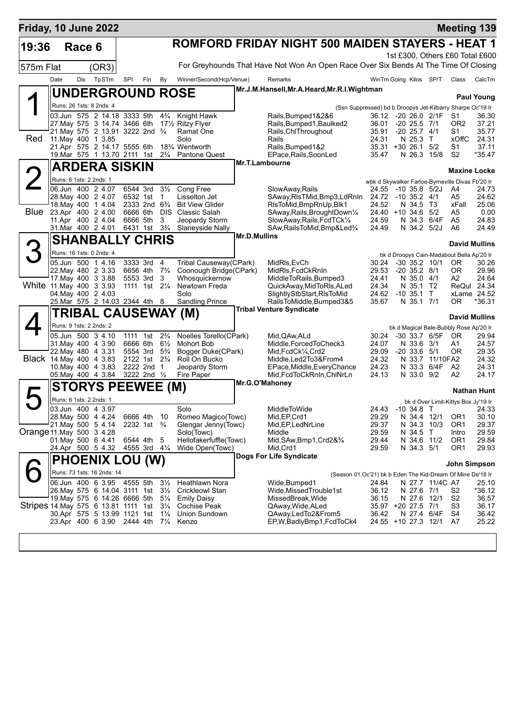| Friday, 10 June 2022                     |                         |        |                                                                 |          |                                                    |                                  |                                           |                     |                                                                                     |                                                  |               |                              |                                |                                           | <b>Meeting 139</b>              |
|------------------------------------------|-------------------------|--------|-----------------------------------------------------------------|----------|----------------------------------------------------|----------------------------------|-------------------------------------------|---------------------|-------------------------------------------------------------------------------------|--------------------------------------------------|---------------|------------------------------|--------------------------------|-------------------------------------------|---------------------------------|
| 19:36                                    |                         | Race 6 |                                                                 |          |                                                    |                                  |                                           |                     | ROMFORD FRIDAY NIGHT 500 MAIDEN STAYERS - HEAT 1                                    |                                                  |               |                              |                                |                                           |                                 |
|                                          |                         |        |                                                                 |          |                                                    |                                  |                                           |                     |                                                                                     |                                                  |               |                              |                                |                                           | 1st £300, Others £60 Total £600 |
| 575m Flat                                |                         |        | (OR3)                                                           |          |                                                    |                                  |                                           |                     | For Greyhounds That Have Not Won An Open Race Over Six Bends At The Time Of Closing |                                                  |               |                              |                                |                                           |                                 |
|                                          | Date                    | Dis    | TpSTm                                                           | SPI      | Fin                                                | By                               | Winner/Second(Hcp/Venue)                  |                     | Remarks                                                                             | WinTm Going Kilos SP/T                           |               |                              |                                | Class                                     | CalcTm                          |
|                                          |                         |        | <b>UNDERGROUND ROSE</b>                                         |          |                                                    |                                  |                                           |                     | Mr.J.M.Hansell, Mr.A.Heard, Mr.R.I. Wightman                                        |                                                  |               |                              |                                |                                           |                                 |
|                                          |                         |        | Runs: 26 1sts: 8 2nds: 4                                        |          |                                                    |                                  |                                           |                     |                                                                                     |                                                  |               |                              |                                |                                           | <b>Paul Young</b>               |
|                                          |                         |        | 03.Jun 575 2 14.18 3333 5th                                     |          |                                                    | $4\frac{3}{4}$                   | Knight Hawk                               |                     | (Ssn Suppressed) bd b Droopys Jet-Kilbarry Sharpe Oc'19 Ir<br>Rails, Bumped 1&2&6   | 36.12                                            |               |                              | $-20$ 26.0 $2/1F$              | S1                                        | 36.30                           |
|                                          |                         |        | 27. May 575 3 14.74 3466 6th                                    |          |                                                    |                                  | 17½ Ritzy Flyer                           |                     | Rails, Bumped 1, Baulked 2                                                          | 36.01                                            |               | $-20$ 25.5 $7/1$             |                                | OR <sub>2</sub>                           | 37.21                           |
| Red                                      |                         |        | 21. May 575 2 13.91 3222 2nd 3/4<br>11. May 400 1 3.85          |          |                                                    |                                  | Ramat One<br>Solo                         |                     | Rails, ChlThroughout<br>Rails                                                       | 35.91<br>24.31                                   |               | $-20$ 25.7 $4/1$<br>N 25.3 T |                                | S1<br><b>xOffC</b>                        | 35.77<br>24.31                  |
|                                          |                         |        | 21.Apr 575 2 14.17 5555 6th                                     |          |                                                    |                                  | 18 <sup>3</sup> / <sub>4</sub> Wentworth  |                     | Rails, Bumped 1&2                                                                   | 35.31 +30 26.1 5/2                               |               |                              |                                | S1                                        | 37.11                           |
|                                          |                         |        | 19. Mar 575 1 13.70 2111 1st                                    |          |                                                    | $2\frac{3}{4}$                   | Pantone Quest                             |                     | EPace, Rails, SoonLed<br>Mr.T.Lambourne                                             | 35.47                                            |               |                              | N 26.3 15/8                    | S <sub>2</sub>                            | *35.47                          |
|                                          |                         |        | <b>ARDERA SISKIN</b>                                            |          |                                                    |                                  |                                           |                     |                                                                                     |                                                  |               |                              |                                | <b>Maxine Locke</b>                       |                                 |
|                                          | Runs: 6 1sts: 2 2nds: 1 |        |                                                                 |          |                                                    |                                  |                                           |                     |                                                                                     | wbk d Skywalker Farloe-Byrneville Divas Fb'20 Ir |               |                              |                                |                                           |                                 |
|                                          |                         |        | 06.Jun 400 2 4.07<br>28. May 400 2 4.07                         |          | 6544 3rd<br>6532 1st                               | $3\frac{1}{2}$<br>$\overline{1}$ | Cong Free<br>Lisselton Jet                |                     | SlowAway, Rails<br>SAway, RIsTMid, Bmp3, LdRnIn 24.72 -10 35.2 4/1                  | 24.55                                            | -10 35.8 5/2J |                              |                                | A4<br>A5                                  | 24.73<br>24.62                  |
|                                          |                         |        | 18. May 400 1 4.04                                              |          | 2333 2nd 6 <sup>3</sup> / <sub>4</sub>             |                                  | <b>Bit View Glider</b>                    |                     | RIsToMid, BmpRnUp, Blk1                                                             | 24.52                                            |               | N 34.5 T3                    |                                | xFall                                     | 25.06                           |
| Blue                                     |                         |        | 23.Apr 400 2 4.00<br>11.Apr 400 2 4.04                          | 6666 5th | 6666 6th DIS                                       | 3                                | Classic Salah<br>Jeopardy Storm           |                     | SAway, Rails, BroughtDown <sup>1/4</sup><br>SlowAway, Rails, FcdTCk1/4              | 24.40 +10 34.6 5/2<br>24.59                      |               |                              | N 34.3 6/4F                    | A5<br>A5                                  | 0.00<br>24.83                   |
|                                          |                         |        | 31.Mar 400 2 4.01                                               |          | 6431 1st 3 <sup>3</sup> / <sub>4</sub>             |                                  | Slaneyside Nally                          |                     | SAw, Rails To Mid, Bmp&Led <sup>3</sup> /4                                          | 24.49                                            |               | N 34.2 5/2J                  |                                | A6                                        | 24.49                           |
|                                          |                         |        | <b>SHANBALLY CHRIS</b>                                          |          |                                                    |                                  |                                           | <b>Mr.D.Mullins</b> |                                                                                     |                                                  |               |                              |                                | <b>David Mullins</b>                      |                                 |
|                                          |                         |        | Runs: 16 1sts: 0 2nds: 4                                        |          |                                                    |                                  |                                           |                     |                                                                                     |                                                  |               |                              |                                | bk d Droopys Cain-Madabout Bella Ap'20 Ir |                                 |
|                                          |                         |        | 05.Jun 500 1 4.16                                               |          | 3333 3rd                                           | 4                                | Tribal Causeway(CPark)                    |                     | MidRIs, EvCh                                                                        | 30.24                                            |               | $-30$ 35.2 10/1              |                                | OR.                                       | 30.26                           |
|                                          |                         |        | 22. May 480 2 3.33<br>17 May 400 3 3.88                         | 6656 4th |                                                    | $7\frac{3}{4}$<br>3              | Coonough Bridge(CPark)                    |                     | MidRIs, FcdCkRnIn                                                                   | 29.53<br>24.41                                   |               | $-20$ 35.2 $8/1$             |                                | 0R<br>A2                                  | 29.96<br>24.64                  |
| White 11 May 400 3 3.93                  |                         |        |                                                                 |          | 5553 3rd<br>1111 1st 21/ <sub>4</sub>              |                                  | Whosquickernow<br>Newtown Freda           |                     | MiddleToRails, Bumped3<br>QuickAway, MidToRIs, ALed                                 | 24.34                                            |               | N 35.0 4/1<br>N 35.1 T2      |                                |                                           | ReQul 24.34                     |
|                                          |                         |        | 04. May 400 2 4.03                                              |          |                                                    |                                  | Solo                                      |                     | SlightlyStbStart, RIsToMid                                                          | 24.62                                            |               | $-10$ 35.1 T                 |                                |                                           | xLame 24.52                     |
|                                          |                         |        | 25. Mar 575 2 14.03 2344 4th 8                                  |          |                                                    |                                  | <b>Sandling Prince</b>                    |                     | RailsToMiddle, Bumped 3&5<br><b>Tribal Venture Syndicate</b>                        | 35.67                                            |               | N 35.1 7/1                   |                                | 0R                                        | *36.31                          |
|                                          |                         |        | TRIBAL CAUSEWAY (M)                                             |          |                                                    |                                  |                                           |                     |                                                                                     |                                                  |               |                              |                                | <b>David Mullins</b>                      |                                 |
|                                          | Runs: 9 1sts: 2 2nds: 2 |        |                                                                 |          |                                                    |                                  |                                           |                     |                                                                                     |                                                  |               |                              |                                | bk d Magical Bale-Bubbly Rose Ap'20 Ir    |                                 |
|                                          |                         |        | 05.Jun 500 3 4.10<br>31 May 400 4 3.90                          | 6666 6th | 1111 1st                                           | $2\frac{3}{4}$<br>$6\frac{1}{2}$ | Noelles Torello(CPark)<br>Mohort Bob      |                     | Mid, QAw, ALd<br>Middle, Forced To Check3                                           | 30.24<br>24.07                                   |               | N 33.6 3/1                   | -30 33.7 6/5F                  | OR.<br>Α1                                 | 29.94<br>24.57                  |
|                                          |                         |        | 22. May 480 4 3.31                                              |          | 5554 3rd                                           | $5\frac{3}{4}$                   | Bogger Duke(CPark)                        |                     | Mid, FcdCk1/4, Crd2                                                                 | 29.09                                            |               | $-20$ 33.6 $5/1$             |                                | 0R                                        | 29.35                           |
|                                          |                         |        | Black 14. May 400 4 3.83<br>10. May 400 4 3.83                  |          | 2122 1st 2 <sup>3</sup> / <sub>4</sub><br>2222 2nd | $\overline{1}$                   | Roll On Bucko<br>Jeopardy Storm           |                     | Middle, Led2To3&From4<br>EPace, Middle, Every Chance                                | 24.32<br>24.23                                   |               |                              | N 33.7 11/10FA2<br>N 33.3 6/4F | A2                                        | 24.32<br>24.31                  |
|                                          |                         |        | 05. May 400 4 3.84                                              |          | 3222 2nd 1/2                                       |                                  | Fire Paper                                |                     | Mid, FcdToCkRnIn, ChINrLn                                                           | 24.13                                            |               | N 33.0 9/2                   |                                | A2                                        | 24.17                           |
|                                          |                         |        | <b>STORYS PEEWEE (M)</b>                                        |          |                                                    |                                  |                                           |                     | Mr.G.O'Mahoney                                                                      |                                                  |               |                              |                                |                                           | <b>Nathan Hunt</b>              |
|                                          | Runs: 6 1sts: 2 2nds: 1 |        |                                                                 |          |                                                    |                                  |                                           |                     |                                                                                     |                                                  |               |                              |                                | bk d Over Limit-Kittys Box Jy'19 Ir       |                                 |
|                                          |                         |        | 03.Jun 400 4 3.97                                               |          |                                                    |                                  | Solo                                      |                     | MiddleToWide                                                                        | 24.43 -10 34.8 T                                 |               |                              |                                |                                           | 24.33                           |
|                                          |                         |        | 28. May 500 4 4.24<br>21. May 500 5 4.14                        |          | 6666 4th 10<br>2232 1st $\frac{3}{4}$              |                                  | Romeo Magico(Towc)<br>Glengar Jenny(Towc) |                     | Mid, EP, Crd1<br>Mid, EP, LedNrLine                                                 | 29.29<br>29.37                                   |               | N 34.4 12/1                  | N 34.3 10/3                    | OR1<br>OR <sub>1</sub>                    | 30.10<br>29.37                  |
| Orange 11 May 500 3 4.28                 |                         |        |                                                                 |          |                                                    |                                  | Solo(Towc)                                |                     | Middle                                                                              | 29.59                                            |               | N 34.5 T                     |                                | Intro                                     | 29.59                           |
|                                          |                         |        | 01. May 500 6 4.41                                              |          | 6544 4th                                           | 5                                | Hellofakerfuffle(Towc)                    |                     | Mid, SAw, Bmp1, Crd2&3/4                                                            | 29.44                                            |               | N 34.6 11/2                  |                                | OR1                                       | 29.84                           |
|                                          |                         |        | 24.Apr 500 5 4.32                                               |          | 4555 3rd $4\frac{1}{4}$                            |                                  | Wide Open(Towc)                           |                     | Mid, Crd1<br>Dogs For Life Syndicate                                                | 29.59                                            |               | N 34.3 5/1                   |                                | OR1                                       | 29.93                           |
|                                          |                         |        | <b>PHOENIX LOU (W)</b>                                          |          |                                                    |                                  |                                           |                     |                                                                                     |                                                  |               |                              |                                | John Simpson                              |                                 |
|                                          |                         |        | Runs: 73 1sts: 16 2nds: 14                                      |          |                                                    |                                  |                                           |                     | (Season 01.Oc'21) bk b Eden The Kid-Dream Of Mine De'18 Ir                          |                                                  |               |                              |                                |                                           |                                 |
|                                          |                         |        | 06.Jun 400 6 3.95 4555 5th<br>26. May 575 6 14.04 3111 1st 31/2 |          |                                                    | $3\frac{1}{2}$                   | Heathlawn Nora<br><b>Crickleowl Stan</b>  |                     | Wide, Bumped 1<br>Wide,MissedTrouble1st                                             | 24.84<br>36.12                                   |               | N 27.6 7/1                   | N 27.7 11/4C A7                | S2                                        | 25.10<br>*36.12                 |
|                                          |                         |        | 19. May 575 6 14.26 6666 5th                                    |          |                                                    | $5\frac{1}{4}$                   | <b>Emily Daisy</b>                        |                     | MissedBreak, Wide                                                                   | 36.15                                            |               | N 27.6 12/1                  |                                | S2                                        | 36.57                           |
| Stripes 14 May 575 6 13.81 1111 1st 31/4 |                         |        | 30.Apr 575 5 13.99 1121 1st                                     |          |                                                    | $1\frac{1}{4}$                   | Cochise Peak<br>Union Sundown             |                     | QAway, Wide, ALed<br>QAway, Led To 2& From 5                                        | 35.97 +20 27.5 7/1<br>36.42                      |               |                              | N 27.4 6/4F                    | S3<br>S4                                  | 36.17<br>36.42                  |
|                                          |                         |        | 23.Apr 400 6 3.90 2444 4th                                      |          |                                                    | $7\frac{1}{4}$                   | Kenzo                                     |                     | EP, W, Badly Bmp1, Fcd To Ck4                                                       | 24.55 +10 27.3 12/1                              |               |                              |                                | A7                                        | 25.22                           |
|                                          |                         |        |                                                                 |          |                                                    |                                  |                                           |                     |                                                                                     |                                                  |               |                              |                                |                                           |                                 |
|                                          |                         |        |                                                                 |          |                                                    |                                  |                                           |                     |                                                                                     |                                                  |               |                              |                                |                                           |                                 |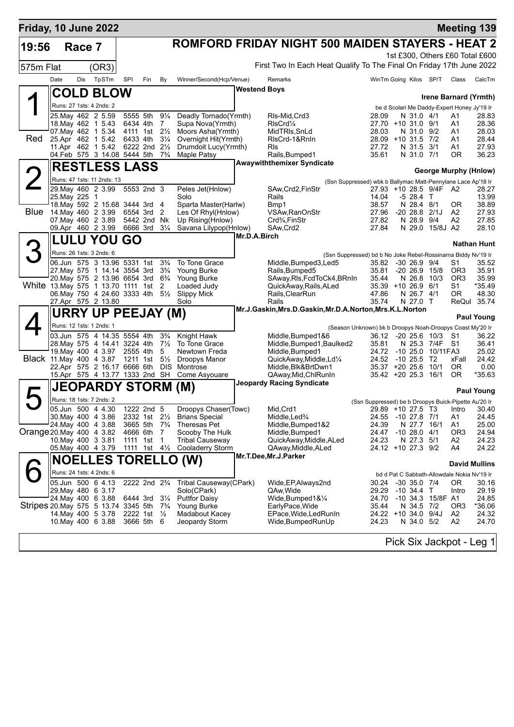| <b>ROMFORD FRIDAY NIGHT 500 MAIDEN STAYERS - HEAT 2</b><br>19:56<br>Race 7<br>1st £300, Others £60 Total £600<br>First Two In Each Heat Qualify To The Final On Friday 17th June 2022<br>(OR3)<br>575m Flat<br>TpSTm<br>Date<br>Dis<br>SPI<br>By<br>Winner/Second(Hcp/Venue)<br>Remarks<br>WinTm Going Kilos SP/T<br>Fin<br>Class<br>Westend Boys<br><b>COLD BLOW</b><br>Irene Barnard (Yrmth)<br>Runs: 27 1sts: 4 2nds: 2<br>be d Scolari Me Daddy-Expert Honey Jy'19 Ir<br>25. May 462 2 5.59<br>5555 5th<br>$9\frac{1}{4}$<br>Deadly Tornado(Yrmth)<br>RIs-Mid, Crd3<br>28.09<br>N 31.0 4/1<br>A1<br>28.83<br>18. May 462 1 5.43<br>6434 4th<br>$\overline{7}$<br>Supa Nova(Yrmth)<br>RIsCrd <sup>1</sup> / <sub>4</sub><br>27.70 +10 31.0 9/1<br>A1<br>07. May 462 1 5.34<br>4111 1st 21/ <sub>2</sub><br>Moors Asha(Yrmth)<br>MidTRIs, SnLd<br>28.03<br>N 31.0 9/2<br>A1<br>Red<br>25.Apr 462 1 5.42<br>6433 4th<br>$3\frac{1}{4}$<br>Overnight Hit(Yrmth)<br>RIsCrd-1&RnIn<br>28.09 +10 31.5 7/2<br>A1<br>28.44<br>11.Apr 462 1 5.42<br>6222 2nd 21/2<br>Drumdoit Lucy(Yrmth)<br>RIs<br>27.72<br>N 31.5 3/1<br>A1<br>27.93<br>04.Feb 575 3 14.08 5444 5th 73/4<br>Rails, Bumped1<br><b>Maple Patsy</b><br>35.61<br>N 31.0 7/1<br><b>OR</b><br><b>Awaywiththemixer Syndicate</b><br><b>RESTLESS LASS</b><br>George Murphy (Hnlow)<br>Runs: 47 1sts: 11 2nds: 13<br>(Ssn Suppressed) wbk b Ballymac Matt-Pennylane Lace Ap'18 Ir<br>29. May 460 2 3.99<br>5553 2nd 3<br>Peles Jet(Hnlow)<br>SAw, Crd2, FinStr<br>27.93 +10 28.5 9/4F A2<br>28.27<br>14.04<br>25. May 225 1<br>Rails<br>$-528.4$ T<br>Solo<br>18. May 592 2 15.68 3444 3rd 4<br>Sparta Master(Harlw)<br>Bmp1<br>38.57<br>N 28.4 8/1<br>0R<br>Blue<br>14. May 460 2 3.99<br>27.96<br>6554 3rd<br>Les Of Rhyl(Hnlow)<br>VSAw, RanOnStr<br>$-2028.82/1J$<br>A2<br>27.93<br>- 2<br>07 May 460 2 3.89<br>5442 2nd Nk<br>Up Rising(Hnlow)<br>Crd <sup>3</sup> / <sub>4</sub> , FinStr<br>27.82<br>N 28.9 9/4<br>A2<br>27.85<br>09.Apr 460 2 3.99<br>6666 3rd<br>27.84<br>$3\frac{1}{4}$<br>Savana Lilypop(Hnlow)<br>SAw, Crd2<br>N 29.0 15/8J A2<br>Mr.D.A.Birch<br><b>LULU YOU GO</b><br><b>Nathan Hunt</b><br>Runs: 26 1sts: 3 2nds: 6<br>(Ssn Suppressed) bd b No Joke Rebel-Rossinarna Biddy Nv'19 Ir<br>06.Jun 575 3 13.96 5331 1st<br>$3\frac{3}{4}$<br>To Tone Grace<br>Middle, Bumped 3, Led 5<br>35.82<br>S1<br>-30 26.9<br>9/4<br>35.52<br>27. May 575 1 14.14 3554 3rd<br>$3\frac{3}{4}$<br>Young Burke<br>Rails, Bumped5<br>35.81<br>$-20, 26.9$<br>15/8<br>OR <sub>3</sub><br>20. May 575 2 13.96 6654 3rd 63/4<br>Young Burke<br>SAway, RIs, FcdToCk4, BRnIn<br>35.44<br>N 26.8<br>OR <sub>3</sub><br>10/3<br>White 13. May 575 1 13.70 1111 1st 2<br>Loaded Judy<br>QuickAway, Rails, ALed<br>35.39 +10 26.9 6/1<br>S1<br>*35.49<br>06. May 750 4 24.60 3333 4th 51/2<br><b>Slippy Mick</b><br>47.86<br>N 26.7 4/1<br>OR.<br>48.30<br>Rails,ClearRun<br>ReQul 35.74<br>27.Apr 575 2 13.80<br>Solo<br>Rails<br>35.74<br>N 27.0 T<br>Mr.J.Gaskin,Mrs.D.Gaskin,Mr.D.A.Norton,Mrs.K.L.Norton<br><b>URRY UP PEEJAY (M)</b><br><b>Paul Young</b><br>Runs: 12 1sts: 1 2nds: 1<br>(Season Unknown) bk b Droopys Noah-Droopys Coast My'20 Ir<br>03.Jun 575 4 14.35 5554 4th<br>Knight Hawk<br>$3\frac{3}{4}$<br>Middle, Bumped 1&6<br>36.12 -20 25.6 10/3<br>-S1<br>36.22<br>28. May 575 4 14.41 3224 4th<br>$7\frac{1}{2}$<br>To Tone Grace<br>Middle, Bumped 1, Baulked 2<br>35.81<br>N 25.3 7/4F S1<br>36.41<br>19 May 400 4 3.97<br>2555 4th<br>5<br>Newtown Freda<br>Middle, Bumped1<br>24.72<br>-10 25.0 10/11FA3<br>Black 11. May 400 4 3.87 1211 1st 51/2<br>QuickAway, Middle, Ld <sup>1/4</sup><br>24.52 -10 25.5 T2<br>24.42<br>Droopys Manor<br>xFall<br>22.Apr 575 2 16.17 6666 6th DIS<br>Montrose<br>Middle, Blk&BrtDwn1<br>$35.37 + 2025.6$<br>10/1<br>OR.<br>0.00<br>15.Apr 575 4 13.77 1333 2nd SH<br>Come Asyouare<br>QAway, Mid, ChlRunIn<br>35.42 +20 25.3 16/1<br><b>OR</b><br><b>Jeopardy Racing Syndicate</b><br><b>JEOPARDY STORM</b><br>(M)<br><b>Paul Young</b><br>Runs: 18 1sts: 7 2nds: 2<br>(Ssn Suppressed) be b Droopys Buick-Pipette Au'20 Ir<br>05.Jun 500 4 4.30<br>1222 2nd 5<br>Droopys Chaser(Towc)<br>29.89 +10 27.5 T3 Intro 30.40<br>Mid, Crd1<br>30 May 400 4 3.86<br>2332 1st 21/ <sub>2</sub><br><b>Brians Special</b><br>Middle,Led <sup>3</sup> /4<br>-10 27.8 7/1<br>24.55<br>A1<br>24. May 400 4 3.88<br>3665 5th 7 <sup>3</sup> / <sub>4</sub><br>Theresas Pet<br>Middle, Bumped 1&2<br>24.39<br>N 27.7<br>16/1<br>25.00<br>A1<br>Orange 20. May 400 4 3.82<br>4666 6th<br>$-10$ 28.0 $4/1$<br>OR <sub>3</sub><br>24.94<br>$\overline{7}$<br>Scooby The Hulk<br>Middle, Bumped1<br>24.47<br>10. May 400 3 3.81<br><b>Tribal Causeway</b><br>24.23<br>A2<br>24.23<br>1111 1st<br>$\overline{1}$<br>QuickAway, Middle, ALed<br>N 27.3 5/1<br>05. May 400 4 3.79<br><b>Cooladerry Storm</b><br>QAway, Middle, ALed<br>24.12 +10 27.3 9/2<br>1111 1st 4½<br>A4<br>Mr.T.Dee, Mr.J.Parker<br>(W)<br><b>NOELLES TORELLO</b><br><b>David Mullins</b><br>Runs: 24 1sts: 4 2nds: 6<br>bd d Pat C Sabbath-Allowdale Nokia Nv'19 Ir<br>05.Jun 500 6 4.13<br>2222 2nd 2 <sup>3</sup> / <sub>4</sub><br>Tribal Causeway(CPark)<br>Wide, EP, Always 2nd<br>$-30$ 35.0 $7/4$<br>OR.<br>30.24<br>30.16<br>29. May 480 6 3.17<br>Solo(CPark)<br>QAw,Wide<br>29.29<br>-10 34.4 T<br>Intro<br>24 May 400 6 3.88<br><b>Puttfor Daisy</b><br>Wide, Bumped 1&1/4<br>6444 3rd 31/4<br>24.70<br>-10 34.3 15/8F A1<br>Stripes 20 May 575 5 13.74 3345 5th 7 <sup>3</sup> / <sub>4</sub><br>35.44<br>N 34.5 7/2<br>OR <sub>3</sub><br>$*36.06$<br>Young Burke<br>EarlyPace,Wide<br>24.22 +10 34.0 9/4J<br>A2<br>14 May 400 5 3.78<br>2222 1st $\frac{1}{2}$<br>Madabout Kacey<br>EPace, Wide, Led Run In<br>24.32<br>24.23<br>N 34.0 5/2<br>10. May 400 6 3.88<br>3666 5th 6<br>Jeopardy Storm<br>Wide, Bumped Run Up<br>A2<br>Pick Six Jackpot - Leg 1 | Friday, 10 June 2022 |  |  |  |  |  |  |  | <b>Meeting 139</b> |
|--------------------------------------------------------------------------------------------------------------------------------------------------------------------------------------------------------------------------------------------------------------------------------------------------------------------------------------------------------------------------------------------------------------------------------------------------------------------------------------------------------------------------------------------------------------------------------------------------------------------------------------------------------------------------------------------------------------------------------------------------------------------------------------------------------------------------------------------------------------------------------------------------------------------------------------------------------------------------------------------------------------------------------------------------------------------------------------------------------------------------------------------------------------------------------------------------------------------------------------------------------------------------------------------------------------------------------------------------------------------------------------------------------------------------------------------------------------------------------------------------------------------------------------------------------------------------------------------------------------------------------------------------------------------------------------------------------------------------------------------------------------------------------------------------------------------------------------------------------------------------------------------------------------------------------------------------------------------------------------------------------------------------------------------------------------------------------------------------------------------------------------------------------------------------------------------------------------------------------------------------------------------------------------------------------------------------------------------------------------------------------------------------------------------------------------------------------------------------------------------------------------------------------------------------------------------------------------------------------------------------------------------------------------------------------------------------------------------------------------------------------------------------------------------------------------------------------------------------------------------------------------------------------------------------------------------------------------------------------------------------------------------------------------------------------------------------------------------------------------------------------------------------------------------------------------------------------------------------------------------------------------------------------------------------------------------------------------------------------------------------------------------------------------------------------------------------------------------------------------------------------------------------------------------------------------------------------------------------------------------------------------------------------------------------------------------------------------------------------------------------------------------------------------------------------------------------------------------------------------------------------------------------------------------------------------------------------------------------------------------------------------------------------------------------------------------------------------------------------------------------------------------------------------------------------------------------------------------------------------------------------------------------------------------------------------------------------------------------------------------------------------------------------------------------------------------------------------------------------------------------------------------------------------------------------------------------------------------------------------------------------------------------------------------------------------------------------------------------------------------------------------------------------------------------------------------------------------------------------------------------------------------------------------------------------------------------------------------------------------------------------------------------------------------------------------------------------------------------------------------------------------------------------------------------------------------------------------------------------------------------------------------------------------------------------------------------------------------------------------------------------------------------------------------------------------------------------------------------------------------------------------------------------------------------------------------------------------------------------------------------------------------------------------------------------------------------------------------------------------------------------------------------------------------------------------------------------------------------------------------------------------------------------------------------------------------------|----------------------|--|--|--|--|--|--|--|--------------------|
|                                                                                                                                                                                                                                                                                                                                                                                                                                                                                                                                                                                                                                                                                                                                                                                                                                                                                                                                                                                                                                                                                                                                                                                                                                                                                                                                                                                                                                                                                                                                                                                                                                                                                                                                                                                                                                                                                                                                                                                                                                                                                                                                                                                                                                                                                                                                                                                                                                                                                                                                                                                                                                                                                                                                                                                                                                                                                                                                                                                                                                                                                                                                                                                                                                                                                                                                                                                                                                                                                                                                                                                                                                                                                                                                                                                                                                                                                                                                                                                                                                                                                                                                                                                                                                                                                                                                                                                                                                                                                                                                                                                                                                                                                                                                                                                                                                                                                                                                                                                                                                                                                                                                                                                                                                                                                                                                                                                                                                                                                                                                                                                                                                                                                                                                                                                                                                                                                                                                                  |                      |  |  |  |  |  |  |  |                    |
|                                                                                                                                                                                                                                                                                                                                                                                                                                                                                                                                                                                                                                                                                                                                                                                                                                                                                                                                                                                                                                                                                                                                                                                                                                                                                                                                                                                                                                                                                                                                                                                                                                                                                                                                                                                                                                                                                                                                                                                                                                                                                                                                                                                                                                                                                                                                                                                                                                                                                                                                                                                                                                                                                                                                                                                                                                                                                                                                                                                                                                                                                                                                                                                                                                                                                                                                                                                                                                                                                                                                                                                                                                                                                                                                                                                                                                                                                                                                                                                                                                                                                                                                                                                                                                                                                                                                                                                                                                                                                                                                                                                                                                                                                                                                                                                                                                                                                                                                                                                                                                                                                                                                                                                                                                                                                                                                                                                                                                                                                                                                                                                                                                                                                                                                                                                                                                                                                                                                                  |                      |  |  |  |  |  |  |  |                    |
|                                                                                                                                                                                                                                                                                                                                                                                                                                                                                                                                                                                                                                                                                                                                                                                                                                                                                                                                                                                                                                                                                                                                                                                                                                                                                                                                                                                                                                                                                                                                                                                                                                                                                                                                                                                                                                                                                                                                                                                                                                                                                                                                                                                                                                                                                                                                                                                                                                                                                                                                                                                                                                                                                                                                                                                                                                                                                                                                                                                                                                                                                                                                                                                                                                                                                                                                                                                                                                                                                                                                                                                                                                                                                                                                                                                                                                                                                                                                                                                                                                                                                                                                                                                                                                                                                                                                                                                                                                                                                                                                                                                                                                                                                                                                                                                                                                                                                                                                                                                                                                                                                                                                                                                                                                                                                                                                                                                                                                                                                                                                                                                                                                                                                                                                                                                                                                                                                                                                                  |                      |  |  |  |  |  |  |  |                    |
|                                                                                                                                                                                                                                                                                                                                                                                                                                                                                                                                                                                                                                                                                                                                                                                                                                                                                                                                                                                                                                                                                                                                                                                                                                                                                                                                                                                                                                                                                                                                                                                                                                                                                                                                                                                                                                                                                                                                                                                                                                                                                                                                                                                                                                                                                                                                                                                                                                                                                                                                                                                                                                                                                                                                                                                                                                                                                                                                                                                                                                                                                                                                                                                                                                                                                                                                                                                                                                                                                                                                                                                                                                                                                                                                                                                                                                                                                                                                                                                                                                                                                                                                                                                                                                                                                                                                                                                                                                                                                                                                                                                                                                                                                                                                                                                                                                                                                                                                                                                                                                                                                                                                                                                                                                                                                                                                                                                                                                                                                                                                                                                                                                                                                                                                                                                                                                                                                                                                                  |                      |  |  |  |  |  |  |  | CalcTm             |
|                                                                                                                                                                                                                                                                                                                                                                                                                                                                                                                                                                                                                                                                                                                                                                                                                                                                                                                                                                                                                                                                                                                                                                                                                                                                                                                                                                                                                                                                                                                                                                                                                                                                                                                                                                                                                                                                                                                                                                                                                                                                                                                                                                                                                                                                                                                                                                                                                                                                                                                                                                                                                                                                                                                                                                                                                                                                                                                                                                                                                                                                                                                                                                                                                                                                                                                                                                                                                                                                                                                                                                                                                                                                                                                                                                                                                                                                                                                                                                                                                                                                                                                                                                                                                                                                                                                                                                                                                                                                                                                                                                                                                                                                                                                                                                                                                                                                                                                                                                                                                                                                                                                                                                                                                                                                                                                                                                                                                                                                                                                                                                                                                                                                                                                                                                                                                                                                                                                                                  |                      |  |  |  |  |  |  |  |                    |
|                                                                                                                                                                                                                                                                                                                                                                                                                                                                                                                                                                                                                                                                                                                                                                                                                                                                                                                                                                                                                                                                                                                                                                                                                                                                                                                                                                                                                                                                                                                                                                                                                                                                                                                                                                                                                                                                                                                                                                                                                                                                                                                                                                                                                                                                                                                                                                                                                                                                                                                                                                                                                                                                                                                                                                                                                                                                                                                                                                                                                                                                                                                                                                                                                                                                                                                                                                                                                                                                                                                                                                                                                                                                                                                                                                                                                                                                                                                                                                                                                                                                                                                                                                                                                                                                                                                                                                                                                                                                                                                                                                                                                                                                                                                                                                                                                                                                                                                                                                                                                                                                                                                                                                                                                                                                                                                                                                                                                                                                                                                                                                                                                                                                                                                                                                                                                                                                                                                                                  |                      |  |  |  |  |  |  |  |                    |
|                                                                                                                                                                                                                                                                                                                                                                                                                                                                                                                                                                                                                                                                                                                                                                                                                                                                                                                                                                                                                                                                                                                                                                                                                                                                                                                                                                                                                                                                                                                                                                                                                                                                                                                                                                                                                                                                                                                                                                                                                                                                                                                                                                                                                                                                                                                                                                                                                                                                                                                                                                                                                                                                                                                                                                                                                                                                                                                                                                                                                                                                                                                                                                                                                                                                                                                                                                                                                                                                                                                                                                                                                                                                                                                                                                                                                                                                                                                                                                                                                                                                                                                                                                                                                                                                                                                                                                                                                                                                                                                                                                                                                                                                                                                                                                                                                                                                                                                                                                                                                                                                                                                                                                                                                                                                                                                                                                                                                                                                                                                                                                                                                                                                                                                                                                                                                                                                                                                                                  |                      |  |  |  |  |  |  |  |                    |
|                                                                                                                                                                                                                                                                                                                                                                                                                                                                                                                                                                                                                                                                                                                                                                                                                                                                                                                                                                                                                                                                                                                                                                                                                                                                                                                                                                                                                                                                                                                                                                                                                                                                                                                                                                                                                                                                                                                                                                                                                                                                                                                                                                                                                                                                                                                                                                                                                                                                                                                                                                                                                                                                                                                                                                                                                                                                                                                                                                                                                                                                                                                                                                                                                                                                                                                                                                                                                                                                                                                                                                                                                                                                                                                                                                                                                                                                                                                                                                                                                                                                                                                                                                                                                                                                                                                                                                                                                                                                                                                                                                                                                                                                                                                                                                                                                                                                                                                                                                                                                                                                                                                                                                                                                                                                                                                                                                                                                                                                                                                                                                                                                                                                                                                                                                                                                                                                                                                                                  |                      |  |  |  |  |  |  |  | 28.36              |
|                                                                                                                                                                                                                                                                                                                                                                                                                                                                                                                                                                                                                                                                                                                                                                                                                                                                                                                                                                                                                                                                                                                                                                                                                                                                                                                                                                                                                                                                                                                                                                                                                                                                                                                                                                                                                                                                                                                                                                                                                                                                                                                                                                                                                                                                                                                                                                                                                                                                                                                                                                                                                                                                                                                                                                                                                                                                                                                                                                                                                                                                                                                                                                                                                                                                                                                                                                                                                                                                                                                                                                                                                                                                                                                                                                                                                                                                                                                                                                                                                                                                                                                                                                                                                                                                                                                                                                                                                                                                                                                                                                                                                                                                                                                                                                                                                                                                                                                                                                                                                                                                                                                                                                                                                                                                                                                                                                                                                                                                                                                                                                                                                                                                                                                                                                                                                                                                                                                                                  |                      |  |  |  |  |  |  |  | 28.03              |
|                                                                                                                                                                                                                                                                                                                                                                                                                                                                                                                                                                                                                                                                                                                                                                                                                                                                                                                                                                                                                                                                                                                                                                                                                                                                                                                                                                                                                                                                                                                                                                                                                                                                                                                                                                                                                                                                                                                                                                                                                                                                                                                                                                                                                                                                                                                                                                                                                                                                                                                                                                                                                                                                                                                                                                                                                                                                                                                                                                                                                                                                                                                                                                                                                                                                                                                                                                                                                                                                                                                                                                                                                                                                                                                                                                                                                                                                                                                                                                                                                                                                                                                                                                                                                                                                                                                                                                                                                                                                                                                                                                                                                                                                                                                                                                                                                                                                                                                                                                                                                                                                                                                                                                                                                                                                                                                                                                                                                                                                                                                                                                                                                                                                                                                                                                                                                                                                                                                                                  |                      |  |  |  |  |  |  |  |                    |
|                                                                                                                                                                                                                                                                                                                                                                                                                                                                                                                                                                                                                                                                                                                                                                                                                                                                                                                                                                                                                                                                                                                                                                                                                                                                                                                                                                                                                                                                                                                                                                                                                                                                                                                                                                                                                                                                                                                                                                                                                                                                                                                                                                                                                                                                                                                                                                                                                                                                                                                                                                                                                                                                                                                                                                                                                                                                                                                                                                                                                                                                                                                                                                                                                                                                                                                                                                                                                                                                                                                                                                                                                                                                                                                                                                                                                                                                                                                                                                                                                                                                                                                                                                                                                                                                                                                                                                                                                                                                                                                                                                                                                                                                                                                                                                                                                                                                                                                                                                                                                                                                                                                                                                                                                                                                                                                                                                                                                                                                                                                                                                                                                                                                                                                                                                                                                                                                                                                                                  |                      |  |  |  |  |  |  |  | 36.23              |
|                                                                                                                                                                                                                                                                                                                                                                                                                                                                                                                                                                                                                                                                                                                                                                                                                                                                                                                                                                                                                                                                                                                                                                                                                                                                                                                                                                                                                                                                                                                                                                                                                                                                                                                                                                                                                                                                                                                                                                                                                                                                                                                                                                                                                                                                                                                                                                                                                                                                                                                                                                                                                                                                                                                                                                                                                                                                                                                                                                                                                                                                                                                                                                                                                                                                                                                                                                                                                                                                                                                                                                                                                                                                                                                                                                                                                                                                                                                                                                                                                                                                                                                                                                                                                                                                                                                                                                                                                                                                                                                                                                                                                                                                                                                                                                                                                                                                                                                                                                                                                                                                                                                                                                                                                                                                                                                                                                                                                                                                                                                                                                                                                                                                                                                                                                                                                                                                                                                                                  |                      |  |  |  |  |  |  |  |                    |
|                                                                                                                                                                                                                                                                                                                                                                                                                                                                                                                                                                                                                                                                                                                                                                                                                                                                                                                                                                                                                                                                                                                                                                                                                                                                                                                                                                                                                                                                                                                                                                                                                                                                                                                                                                                                                                                                                                                                                                                                                                                                                                                                                                                                                                                                                                                                                                                                                                                                                                                                                                                                                                                                                                                                                                                                                                                                                                                                                                                                                                                                                                                                                                                                                                                                                                                                                                                                                                                                                                                                                                                                                                                                                                                                                                                                                                                                                                                                                                                                                                                                                                                                                                                                                                                                                                                                                                                                                                                                                                                                                                                                                                                                                                                                                                                                                                                                                                                                                                                                                                                                                                                                                                                                                                                                                                                                                                                                                                                                                                                                                                                                                                                                                                                                                                                                                                                                                                                                                  |                      |  |  |  |  |  |  |  |                    |
|                                                                                                                                                                                                                                                                                                                                                                                                                                                                                                                                                                                                                                                                                                                                                                                                                                                                                                                                                                                                                                                                                                                                                                                                                                                                                                                                                                                                                                                                                                                                                                                                                                                                                                                                                                                                                                                                                                                                                                                                                                                                                                                                                                                                                                                                                                                                                                                                                                                                                                                                                                                                                                                                                                                                                                                                                                                                                                                                                                                                                                                                                                                                                                                                                                                                                                                                                                                                                                                                                                                                                                                                                                                                                                                                                                                                                                                                                                                                                                                                                                                                                                                                                                                                                                                                                                                                                                                                                                                                                                                                                                                                                                                                                                                                                                                                                                                                                                                                                                                                                                                                                                                                                                                                                                                                                                                                                                                                                                                                                                                                                                                                                                                                                                                                                                                                                                                                                                                                                  |                      |  |  |  |  |  |  |  |                    |
|                                                                                                                                                                                                                                                                                                                                                                                                                                                                                                                                                                                                                                                                                                                                                                                                                                                                                                                                                                                                                                                                                                                                                                                                                                                                                                                                                                                                                                                                                                                                                                                                                                                                                                                                                                                                                                                                                                                                                                                                                                                                                                                                                                                                                                                                                                                                                                                                                                                                                                                                                                                                                                                                                                                                                                                                                                                                                                                                                                                                                                                                                                                                                                                                                                                                                                                                                                                                                                                                                                                                                                                                                                                                                                                                                                                                                                                                                                                                                                                                                                                                                                                                                                                                                                                                                                                                                                                                                                                                                                                                                                                                                                                                                                                                                                                                                                                                                                                                                                                                                                                                                                                                                                                                                                                                                                                                                                                                                                                                                                                                                                                                                                                                                                                                                                                                                                                                                                                                                  |                      |  |  |  |  |  |  |  | 13.99              |
|                                                                                                                                                                                                                                                                                                                                                                                                                                                                                                                                                                                                                                                                                                                                                                                                                                                                                                                                                                                                                                                                                                                                                                                                                                                                                                                                                                                                                                                                                                                                                                                                                                                                                                                                                                                                                                                                                                                                                                                                                                                                                                                                                                                                                                                                                                                                                                                                                                                                                                                                                                                                                                                                                                                                                                                                                                                                                                                                                                                                                                                                                                                                                                                                                                                                                                                                                                                                                                                                                                                                                                                                                                                                                                                                                                                                                                                                                                                                                                                                                                                                                                                                                                                                                                                                                                                                                                                                                                                                                                                                                                                                                                                                                                                                                                                                                                                                                                                                                                                                                                                                                                                                                                                                                                                                                                                                                                                                                                                                                                                                                                                                                                                                                                                                                                                                                                                                                                                                                  |                      |  |  |  |  |  |  |  | 38.89              |
|                                                                                                                                                                                                                                                                                                                                                                                                                                                                                                                                                                                                                                                                                                                                                                                                                                                                                                                                                                                                                                                                                                                                                                                                                                                                                                                                                                                                                                                                                                                                                                                                                                                                                                                                                                                                                                                                                                                                                                                                                                                                                                                                                                                                                                                                                                                                                                                                                                                                                                                                                                                                                                                                                                                                                                                                                                                                                                                                                                                                                                                                                                                                                                                                                                                                                                                                                                                                                                                                                                                                                                                                                                                                                                                                                                                                                                                                                                                                                                                                                                                                                                                                                                                                                                                                                                                                                                                                                                                                                                                                                                                                                                                                                                                                                                                                                                                                                                                                                                                                                                                                                                                                                                                                                                                                                                                                                                                                                                                                                                                                                                                                                                                                                                                                                                                                                                                                                                                                                  |                      |  |  |  |  |  |  |  |                    |
|                                                                                                                                                                                                                                                                                                                                                                                                                                                                                                                                                                                                                                                                                                                                                                                                                                                                                                                                                                                                                                                                                                                                                                                                                                                                                                                                                                                                                                                                                                                                                                                                                                                                                                                                                                                                                                                                                                                                                                                                                                                                                                                                                                                                                                                                                                                                                                                                                                                                                                                                                                                                                                                                                                                                                                                                                                                                                                                                                                                                                                                                                                                                                                                                                                                                                                                                                                                                                                                                                                                                                                                                                                                                                                                                                                                                                                                                                                                                                                                                                                                                                                                                                                                                                                                                                                                                                                                                                                                                                                                                                                                                                                                                                                                                                                                                                                                                                                                                                                                                                                                                                                                                                                                                                                                                                                                                                                                                                                                                                                                                                                                                                                                                                                                                                                                                                                                                                                                                                  |                      |  |  |  |  |  |  |  | 28.10              |
|                                                                                                                                                                                                                                                                                                                                                                                                                                                                                                                                                                                                                                                                                                                                                                                                                                                                                                                                                                                                                                                                                                                                                                                                                                                                                                                                                                                                                                                                                                                                                                                                                                                                                                                                                                                                                                                                                                                                                                                                                                                                                                                                                                                                                                                                                                                                                                                                                                                                                                                                                                                                                                                                                                                                                                                                                                                                                                                                                                                                                                                                                                                                                                                                                                                                                                                                                                                                                                                                                                                                                                                                                                                                                                                                                                                                                                                                                                                                                                                                                                                                                                                                                                                                                                                                                                                                                                                                                                                                                                                                                                                                                                                                                                                                                                                                                                                                                                                                                                                                                                                                                                                                                                                                                                                                                                                                                                                                                                                                                                                                                                                                                                                                                                                                                                                                                                                                                                                                                  |                      |  |  |  |  |  |  |  |                    |
|                                                                                                                                                                                                                                                                                                                                                                                                                                                                                                                                                                                                                                                                                                                                                                                                                                                                                                                                                                                                                                                                                                                                                                                                                                                                                                                                                                                                                                                                                                                                                                                                                                                                                                                                                                                                                                                                                                                                                                                                                                                                                                                                                                                                                                                                                                                                                                                                                                                                                                                                                                                                                                                                                                                                                                                                                                                                                                                                                                                                                                                                                                                                                                                                                                                                                                                                                                                                                                                                                                                                                                                                                                                                                                                                                                                                                                                                                                                                                                                                                                                                                                                                                                                                                                                                                                                                                                                                                                                                                                                                                                                                                                                                                                                                                                                                                                                                                                                                                                                                                                                                                                                                                                                                                                                                                                                                                                                                                                                                                                                                                                                                                                                                                                                                                                                                                                                                                                                                                  |                      |  |  |  |  |  |  |  |                    |
|                                                                                                                                                                                                                                                                                                                                                                                                                                                                                                                                                                                                                                                                                                                                                                                                                                                                                                                                                                                                                                                                                                                                                                                                                                                                                                                                                                                                                                                                                                                                                                                                                                                                                                                                                                                                                                                                                                                                                                                                                                                                                                                                                                                                                                                                                                                                                                                                                                                                                                                                                                                                                                                                                                                                                                                                                                                                                                                                                                                                                                                                                                                                                                                                                                                                                                                                                                                                                                                                                                                                                                                                                                                                                                                                                                                                                                                                                                                                                                                                                                                                                                                                                                                                                                                                                                                                                                                                                                                                                                                                                                                                                                                                                                                                                                                                                                                                                                                                                                                                                                                                                                                                                                                                                                                                                                                                                                                                                                                                                                                                                                                                                                                                                                                                                                                                                                                                                                                                                  |                      |  |  |  |  |  |  |  |                    |
|                                                                                                                                                                                                                                                                                                                                                                                                                                                                                                                                                                                                                                                                                                                                                                                                                                                                                                                                                                                                                                                                                                                                                                                                                                                                                                                                                                                                                                                                                                                                                                                                                                                                                                                                                                                                                                                                                                                                                                                                                                                                                                                                                                                                                                                                                                                                                                                                                                                                                                                                                                                                                                                                                                                                                                                                                                                                                                                                                                                                                                                                                                                                                                                                                                                                                                                                                                                                                                                                                                                                                                                                                                                                                                                                                                                                                                                                                                                                                                                                                                                                                                                                                                                                                                                                                                                                                                                                                                                                                                                                                                                                                                                                                                                                                                                                                                                                                                                                                                                                                                                                                                                                                                                                                                                                                                                                                                                                                                                                                                                                                                                                                                                                                                                                                                                                                                                                                                                                                  |                      |  |  |  |  |  |  |  | 35.91              |
|                                                                                                                                                                                                                                                                                                                                                                                                                                                                                                                                                                                                                                                                                                                                                                                                                                                                                                                                                                                                                                                                                                                                                                                                                                                                                                                                                                                                                                                                                                                                                                                                                                                                                                                                                                                                                                                                                                                                                                                                                                                                                                                                                                                                                                                                                                                                                                                                                                                                                                                                                                                                                                                                                                                                                                                                                                                                                                                                                                                                                                                                                                                                                                                                                                                                                                                                                                                                                                                                                                                                                                                                                                                                                                                                                                                                                                                                                                                                                                                                                                                                                                                                                                                                                                                                                                                                                                                                                                                                                                                                                                                                                                                                                                                                                                                                                                                                                                                                                                                                                                                                                                                                                                                                                                                                                                                                                                                                                                                                                                                                                                                                                                                                                                                                                                                                                                                                                                                                                  |                      |  |  |  |  |  |  |  | 35.99              |
|                                                                                                                                                                                                                                                                                                                                                                                                                                                                                                                                                                                                                                                                                                                                                                                                                                                                                                                                                                                                                                                                                                                                                                                                                                                                                                                                                                                                                                                                                                                                                                                                                                                                                                                                                                                                                                                                                                                                                                                                                                                                                                                                                                                                                                                                                                                                                                                                                                                                                                                                                                                                                                                                                                                                                                                                                                                                                                                                                                                                                                                                                                                                                                                                                                                                                                                                                                                                                                                                                                                                                                                                                                                                                                                                                                                                                                                                                                                                                                                                                                                                                                                                                                                                                                                                                                                                                                                                                                                                                                                                                                                                                                                                                                                                                                                                                                                                                                                                                                                                                                                                                                                                                                                                                                                                                                                                                                                                                                                                                                                                                                                                                                                                                                                                                                                                                                                                                                                                                  |                      |  |  |  |  |  |  |  |                    |
|                                                                                                                                                                                                                                                                                                                                                                                                                                                                                                                                                                                                                                                                                                                                                                                                                                                                                                                                                                                                                                                                                                                                                                                                                                                                                                                                                                                                                                                                                                                                                                                                                                                                                                                                                                                                                                                                                                                                                                                                                                                                                                                                                                                                                                                                                                                                                                                                                                                                                                                                                                                                                                                                                                                                                                                                                                                                                                                                                                                                                                                                                                                                                                                                                                                                                                                                                                                                                                                                                                                                                                                                                                                                                                                                                                                                                                                                                                                                                                                                                                                                                                                                                                                                                                                                                                                                                                                                                                                                                                                                                                                                                                                                                                                                                                                                                                                                                                                                                                                                                                                                                                                                                                                                                                                                                                                                                                                                                                                                                                                                                                                                                                                                                                                                                                                                                                                                                                                                                  |                      |  |  |  |  |  |  |  |                    |
|                                                                                                                                                                                                                                                                                                                                                                                                                                                                                                                                                                                                                                                                                                                                                                                                                                                                                                                                                                                                                                                                                                                                                                                                                                                                                                                                                                                                                                                                                                                                                                                                                                                                                                                                                                                                                                                                                                                                                                                                                                                                                                                                                                                                                                                                                                                                                                                                                                                                                                                                                                                                                                                                                                                                                                                                                                                                                                                                                                                                                                                                                                                                                                                                                                                                                                                                                                                                                                                                                                                                                                                                                                                                                                                                                                                                                                                                                                                                                                                                                                                                                                                                                                                                                                                                                                                                                                                                                                                                                                                                                                                                                                                                                                                                                                                                                                                                                                                                                                                                                                                                                                                                                                                                                                                                                                                                                                                                                                                                                                                                                                                                                                                                                                                                                                                                                                                                                                                                                  |                      |  |  |  |  |  |  |  |                    |
|                                                                                                                                                                                                                                                                                                                                                                                                                                                                                                                                                                                                                                                                                                                                                                                                                                                                                                                                                                                                                                                                                                                                                                                                                                                                                                                                                                                                                                                                                                                                                                                                                                                                                                                                                                                                                                                                                                                                                                                                                                                                                                                                                                                                                                                                                                                                                                                                                                                                                                                                                                                                                                                                                                                                                                                                                                                                                                                                                                                                                                                                                                                                                                                                                                                                                                                                                                                                                                                                                                                                                                                                                                                                                                                                                                                                                                                                                                                                                                                                                                                                                                                                                                                                                                                                                                                                                                                                                                                                                                                                                                                                                                                                                                                                                                                                                                                                                                                                                                                                                                                                                                                                                                                                                                                                                                                                                                                                                                                                                                                                                                                                                                                                                                                                                                                                                                                                                                                                                  |                      |  |  |  |  |  |  |  |                    |
|                                                                                                                                                                                                                                                                                                                                                                                                                                                                                                                                                                                                                                                                                                                                                                                                                                                                                                                                                                                                                                                                                                                                                                                                                                                                                                                                                                                                                                                                                                                                                                                                                                                                                                                                                                                                                                                                                                                                                                                                                                                                                                                                                                                                                                                                                                                                                                                                                                                                                                                                                                                                                                                                                                                                                                                                                                                                                                                                                                                                                                                                                                                                                                                                                                                                                                                                                                                                                                                                                                                                                                                                                                                                                                                                                                                                                                                                                                                                                                                                                                                                                                                                                                                                                                                                                                                                                                                                                                                                                                                                                                                                                                                                                                                                                                                                                                                                                                                                                                                                                                                                                                                                                                                                                                                                                                                                                                                                                                                                                                                                                                                                                                                                                                                                                                                                                                                                                                                                                  |                      |  |  |  |  |  |  |  |                    |
|                                                                                                                                                                                                                                                                                                                                                                                                                                                                                                                                                                                                                                                                                                                                                                                                                                                                                                                                                                                                                                                                                                                                                                                                                                                                                                                                                                                                                                                                                                                                                                                                                                                                                                                                                                                                                                                                                                                                                                                                                                                                                                                                                                                                                                                                                                                                                                                                                                                                                                                                                                                                                                                                                                                                                                                                                                                                                                                                                                                                                                                                                                                                                                                                                                                                                                                                                                                                                                                                                                                                                                                                                                                                                                                                                                                                                                                                                                                                                                                                                                                                                                                                                                                                                                                                                                                                                                                                                                                                                                                                                                                                                                                                                                                                                                                                                                                                                                                                                                                                                                                                                                                                                                                                                                                                                                                                                                                                                                                                                                                                                                                                                                                                                                                                                                                                                                                                                                                                                  |                      |  |  |  |  |  |  |  |                    |
|                                                                                                                                                                                                                                                                                                                                                                                                                                                                                                                                                                                                                                                                                                                                                                                                                                                                                                                                                                                                                                                                                                                                                                                                                                                                                                                                                                                                                                                                                                                                                                                                                                                                                                                                                                                                                                                                                                                                                                                                                                                                                                                                                                                                                                                                                                                                                                                                                                                                                                                                                                                                                                                                                                                                                                                                                                                                                                                                                                                                                                                                                                                                                                                                                                                                                                                                                                                                                                                                                                                                                                                                                                                                                                                                                                                                                                                                                                                                                                                                                                                                                                                                                                                                                                                                                                                                                                                                                                                                                                                                                                                                                                                                                                                                                                                                                                                                                                                                                                                                                                                                                                                                                                                                                                                                                                                                                                                                                                                                                                                                                                                                                                                                                                                                                                                                                                                                                                                                                  |                      |  |  |  |  |  |  |  | 25.02              |
|                                                                                                                                                                                                                                                                                                                                                                                                                                                                                                                                                                                                                                                                                                                                                                                                                                                                                                                                                                                                                                                                                                                                                                                                                                                                                                                                                                                                                                                                                                                                                                                                                                                                                                                                                                                                                                                                                                                                                                                                                                                                                                                                                                                                                                                                                                                                                                                                                                                                                                                                                                                                                                                                                                                                                                                                                                                                                                                                                                                                                                                                                                                                                                                                                                                                                                                                                                                                                                                                                                                                                                                                                                                                                                                                                                                                                                                                                                                                                                                                                                                                                                                                                                                                                                                                                                                                                                                                                                                                                                                                                                                                                                                                                                                                                                                                                                                                                                                                                                                                                                                                                                                                                                                                                                                                                                                                                                                                                                                                                                                                                                                                                                                                                                                                                                                                                                                                                                                                                  |                      |  |  |  |  |  |  |  |                    |
|                                                                                                                                                                                                                                                                                                                                                                                                                                                                                                                                                                                                                                                                                                                                                                                                                                                                                                                                                                                                                                                                                                                                                                                                                                                                                                                                                                                                                                                                                                                                                                                                                                                                                                                                                                                                                                                                                                                                                                                                                                                                                                                                                                                                                                                                                                                                                                                                                                                                                                                                                                                                                                                                                                                                                                                                                                                                                                                                                                                                                                                                                                                                                                                                                                                                                                                                                                                                                                                                                                                                                                                                                                                                                                                                                                                                                                                                                                                                                                                                                                                                                                                                                                                                                                                                                                                                                                                                                                                                                                                                                                                                                                                                                                                                                                                                                                                                                                                                                                                                                                                                                                                                                                                                                                                                                                                                                                                                                                                                                                                                                                                                                                                                                                                                                                                                                                                                                                                                                  |                      |  |  |  |  |  |  |  | *35.63             |
|                                                                                                                                                                                                                                                                                                                                                                                                                                                                                                                                                                                                                                                                                                                                                                                                                                                                                                                                                                                                                                                                                                                                                                                                                                                                                                                                                                                                                                                                                                                                                                                                                                                                                                                                                                                                                                                                                                                                                                                                                                                                                                                                                                                                                                                                                                                                                                                                                                                                                                                                                                                                                                                                                                                                                                                                                                                                                                                                                                                                                                                                                                                                                                                                                                                                                                                                                                                                                                                                                                                                                                                                                                                                                                                                                                                                                                                                                                                                                                                                                                                                                                                                                                                                                                                                                                                                                                                                                                                                                                                                                                                                                                                                                                                                                                                                                                                                                                                                                                                                                                                                                                                                                                                                                                                                                                                                                                                                                                                                                                                                                                                                                                                                                                                                                                                                                                                                                                                                                  |                      |  |  |  |  |  |  |  |                    |
|                                                                                                                                                                                                                                                                                                                                                                                                                                                                                                                                                                                                                                                                                                                                                                                                                                                                                                                                                                                                                                                                                                                                                                                                                                                                                                                                                                                                                                                                                                                                                                                                                                                                                                                                                                                                                                                                                                                                                                                                                                                                                                                                                                                                                                                                                                                                                                                                                                                                                                                                                                                                                                                                                                                                                                                                                                                                                                                                                                                                                                                                                                                                                                                                                                                                                                                                                                                                                                                                                                                                                                                                                                                                                                                                                                                                                                                                                                                                                                                                                                                                                                                                                                                                                                                                                                                                                                                                                                                                                                                                                                                                                                                                                                                                                                                                                                                                                                                                                                                                                                                                                                                                                                                                                                                                                                                                                                                                                                                                                                                                                                                                                                                                                                                                                                                                                                                                                                                                                  |                      |  |  |  |  |  |  |  |                    |
|                                                                                                                                                                                                                                                                                                                                                                                                                                                                                                                                                                                                                                                                                                                                                                                                                                                                                                                                                                                                                                                                                                                                                                                                                                                                                                                                                                                                                                                                                                                                                                                                                                                                                                                                                                                                                                                                                                                                                                                                                                                                                                                                                                                                                                                                                                                                                                                                                                                                                                                                                                                                                                                                                                                                                                                                                                                                                                                                                                                                                                                                                                                                                                                                                                                                                                                                                                                                                                                                                                                                                                                                                                                                                                                                                                                                                                                                                                                                                                                                                                                                                                                                                                                                                                                                                                                                                                                                                                                                                                                                                                                                                                                                                                                                                                                                                                                                                                                                                                                                                                                                                                                                                                                                                                                                                                                                                                                                                                                                                                                                                                                                                                                                                                                                                                                                                                                                                                                                                  |                      |  |  |  |  |  |  |  |                    |
|                                                                                                                                                                                                                                                                                                                                                                                                                                                                                                                                                                                                                                                                                                                                                                                                                                                                                                                                                                                                                                                                                                                                                                                                                                                                                                                                                                                                                                                                                                                                                                                                                                                                                                                                                                                                                                                                                                                                                                                                                                                                                                                                                                                                                                                                                                                                                                                                                                                                                                                                                                                                                                                                                                                                                                                                                                                                                                                                                                                                                                                                                                                                                                                                                                                                                                                                                                                                                                                                                                                                                                                                                                                                                                                                                                                                                                                                                                                                                                                                                                                                                                                                                                                                                                                                                                                                                                                                                                                                                                                                                                                                                                                                                                                                                                                                                                                                                                                                                                                                                                                                                                                                                                                                                                                                                                                                                                                                                                                                                                                                                                                                                                                                                                                                                                                                                                                                                                                                                  |                      |  |  |  |  |  |  |  | 24.45              |
|                                                                                                                                                                                                                                                                                                                                                                                                                                                                                                                                                                                                                                                                                                                                                                                                                                                                                                                                                                                                                                                                                                                                                                                                                                                                                                                                                                                                                                                                                                                                                                                                                                                                                                                                                                                                                                                                                                                                                                                                                                                                                                                                                                                                                                                                                                                                                                                                                                                                                                                                                                                                                                                                                                                                                                                                                                                                                                                                                                                                                                                                                                                                                                                                                                                                                                                                                                                                                                                                                                                                                                                                                                                                                                                                                                                                                                                                                                                                                                                                                                                                                                                                                                                                                                                                                                                                                                                                                                                                                                                                                                                                                                                                                                                                                                                                                                                                                                                                                                                                                                                                                                                                                                                                                                                                                                                                                                                                                                                                                                                                                                                                                                                                                                                                                                                                                                                                                                                                                  |                      |  |  |  |  |  |  |  |                    |
|                                                                                                                                                                                                                                                                                                                                                                                                                                                                                                                                                                                                                                                                                                                                                                                                                                                                                                                                                                                                                                                                                                                                                                                                                                                                                                                                                                                                                                                                                                                                                                                                                                                                                                                                                                                                                                                                                                                                                                                                                                                                                                                                                                                                                                                                                                                                                                                                                                                                                                                                                                                                                                                                                                                                                                                                                                                                                                                                                                                                                                                                                                                                                                                                                                                                                                                                                                                                                                                                                                                                                                                                                                                                                                                                                                                                                                                                                                                                                                                                                                                                                                                                                                                                                                                                                                                                                                                                                                                                                                                                                                                                                                                                                                                                                                                                                                                                                                                                                                                                                                                                                                                                                                                                                                                                                                                                                                                                                                                                                                                                                                                                                                                                                                                                                                                                                                                                                                                                                  |                      |  |  |  |  |  |  |  |                    |
|                                                                                                                                                                                                                                                                                                                                                                                                                                                                                                                                                                                                                                                                                                                                                                                                                                                                                                                                                                                                                                                                                                                                                                                                                                                                                                                                                                                                                                                                                                                                                                                                                                                                                                                                                                                                                                                                                                                                                                                                                                                                                                                                                                                                                                                                                                                                                                                                                                                                                                                                                                                                                                                                                                                                                                                                                                                                                                                                                                                                                                                                                                                                                                                                                                                                                                                                                                                                                                                                                                                                                                                                                                                                                                                                                                                                                                                                                                                                                                                                                                                                                                                                                                                                                                                                                                                                                                                                                                                                                                                                                                                                                                                                                                                                                                                                                                                                                                                                                                                                                                                                                                                                                                                                                                                                                                                                                                                                                                                                                                                                                                                                                                                                                                                                                                                                                                                                                                                                                  |                      |  |  |  |  |  |  |  | 24.22              |
|                                                                                                                                                                                                                                                                                                                                                                                                                                                                                                                                                                                                                                                                                                                                                                                                                                                                                                                                                                                                                                                                                                                                                                                                                                                                                                                                                                                                                                                                                                                                                                                                                                                                                                                                                                                                                                                                                                                                                                                                                                                                                                                                                                                                                                                                                                                                                                                                                                                                                                                                                                                                                                                                                                                                                                                                                                                                                                                                                                                                                                                                                                                                                                                                                                                                                                                                                                                                                                                                                                                                                                                                                                                                                                                                                                                                                                                                                                                                                                                                                                                                                                                                                                                                                                                                                                                                                                                                                                                                                                                                                                                                                                                                                                                                                                                                                                                                                                                                                                                                                                                                                                                                                                                                                                                                                                                                                                                                                                                                                                                                                                                                                                                                                                                                                                                                                                                                                                                                                  |                      |  |  |  |  |  |  |  |                    |
|                                                                                                                                                                                                                                                                                                                                                                                                                                                                                                                                                                                                                                                                                                                                                                                                                                                                                                                                                                                                                                                                                                                                                                                                                                                                                                                                                                                                                                                                                                                                                                                                                                                                                                                                                                                                                                                                                                                                                                                                                                                                                                                                                                                                                                                                                                                                                                                                                                                                                                                                                                                                                                                                                                                                                                                                                                                                                                                                                                                                                                                                                                                                                                                                                                                                                                                                                                                                                                                                                                                                                                                                                                                                                                                                                                                                                                                                                                                                                                                                                                                                                                                                                                                                                                                                                                                                                                                                                                                                                                                                                                                                                                                                                                                                                                                                                                                                                                                                                                                                                                                                                                                                                                                                                                                                                                                                                                                                                                                                                                                                                                                                                                                                                                                                                                                                                                                                                                                                                  |                      |  |  |  |  |  |  |  |                    |
|                                                                                                                                                                                                                                                                                                                                                                                                                                                                                                                                                                                                                                                                                                                                                                                                                                                                                                                                                                                                                                                                                                                                                                                                                                                                                                                                                                                                                                                                                                                                                                                                                                                                                                                                                                                                                                                                                                                                                                                                                                                                                                                                                                                                                                                                                                                                                                                                                                                                                                                                                                                                                                                                                                                                                                                                                                                                                                                                                                                                                                                                                                                                                                                                                                                                                                                                                                                                                                                                                                                                                                                                                                                                                                                                                                                                                                                                                                                                                                                                                                                                                                                                                                                                                                                                                                                                                                                                                                                                                                                                                                                                                                                                                                                                                                                                                                                                                                                                                                                                                                                                                                                                                                                                                                                                                                                                                                                                                                                                                                                                                                                                                                                                                                                                                                                                                                                                                                                                                  |                      |  |  |  |  |  |  |  |                    |
|                                                                                                                                                                                                                                                                                                                                                                                                                                                                                                                                                                                                                                                                                                                                                                                                                                                                                                                                                                                                                                                                                                                                                                                                                                                                                                                                                                                                                                                                                                                                                                                                                                                                                                                                                                                                                                                                                                                                                                                                                                                                                                                                                                                                                                                                                                                                                                                                                                                                                                                                                                                                                                                                                                                                                                                                                                                                                                                                                                                                                                                                                                                                                                                                                                                                                                                                                                                                                                                                                                                                                                                                                                                                                                                                                                                                                                                                                                                                                                                                                                                                                                                                                                                                                                                                                                                                                                                                                                                                                                                                                                                                                                                                                                                                                                                                                                                                                                                                                                                                                                                                                                                                                                                                                                                                                                                                                                                                                                                                                                                                                                                                                                                                                                                                                                                                                                                                                                                                                  |                      |  |  |  |  |  |  |  | 29.19              |
|                                                                                                                                                                                                                                                                                                                                                                                                                                                                                                                                                                                                                                                                                                                                                                                                                                                                                                                                                                                                                                                                                                                                                                                                                                                                                                                                                                                                                                                                                                                                                                                                                                                                                                                                                                                                                                                                                                                                                                                                                                                                                                                                                                                                                                                                                                                                                                                                                                                                                                                                                                                                                                                                                                                                                                                                                                                                                                                                                                                                                                                                                                                                                                                                                                                                                                                                                                                                                                                                                                                                                                                                                                                                                                                                                                                                                                                                                                                                                                                                                                                                                                                                                                                                                                                                                                                                                                                                                                                                                                                                                                                                                                                                                                                                                                                                                                                                                                                                                                                                                                                                                                                                                                                                                                                                                                                                                                                                                                                                                                                                                                                                                                                                                                                                                                                                                                                                                                                                                  |                      |  |  |  |  |  |  |  | 24.85              |
|                                                                                                                                                                                                                                                                                                                                                                                                                                                                                                                                                                                                                                                                                                                                                                                                                                                                                                                                                                                                                                                                                                                                                                                                                                                                                                                                                                                                                                                                                                                                                                                                                                                                                                                                                                                                                                                                                                                                                                                                                                                                                                                                                                                                                                                                                                                                                                                                                                                                                                                                                                                                                                                                                                                                                                                                                                                                                                                                                                                                                                                                                                                                                                                                                                                                                                                                                                                                                                                                                                                                                                                                                                                                                                                                                                                                                                                                                                                                                                                                                                                                                                                                                                                                                                                                                                                                                                                                                                                                                                                                                                                                                                                                                                                                                                                                                                                                                                                                                                                                                                                                                                                                                                                                                                                                                                                                                                                                                                                                                                                                                                                                                                                                                                                                                                                                                                                                                                                                                  |                      |  |  |  |  |  |  |  |                    |
|                                                                                                                                                                                                                                                                                                                                                                                                                                                                                                                                                                                                                                                                                                                                                                                                                                                                                                                                                                                                                                                                                                                                                                                                                                                                                                                                                                                                                                                                                                                                                                                                                                                                                                                                                                                                                                                                                                                                                                                                                                                                                                                                                                                                                                                                                                                                                                                                                                                                                                                                                                                                                                                                                                                                                                                                                                                                                                                                                                                                                                                                                                                                                                                                                                                                                                                                                                                                                                                                                                                                                                                                                                                                                                                                                                                                                                                                                                                                                                                                                                                                                                                                                                                                                                                                                                                                                                                                                                                                                                                                                                                                                                                                                                                                                                                                                                                                                                                                                                                                                                                                                                                                                                                                                                                                                                                                                                                                                                                                                                                                                                                                                                                                                                                                                                                                                                                                                                                                                  |                      |  |  |  |  |  |  |  | 24.70              |
|                                                                                                                                                                                                                                                                                                                                                                                                                                                                                                                                                                                                                                                                                                                                                                                                                                                                                                                                                                                                                                                                                                                                                                                                                                                                                                                                                                                                                                                                                                                                                                                                                                                                                                                                                                                                                                                                                                                                                                                                                                                                                                                                                                                                                                                                                                                                                                                                                                                                                                                                                                                                                                                                                                                                                                                                                                                                                                                                                                                                                                                                                                                                                                                                                                                                                                                                                                                                                                                                                                                                                                                                                                                                                                                                                                                                                                                                                                                                                                                                                                                                                                                                                                                                                                                                                                                                                                                                                                                                                                                                                                                                                                                                                                                                                                                                                                                                                                                                                                                                                                                                                                                                                                                                                                                                                                                                                                                                                                                                                                                                                                                                                                                                                                                                                                                                                                                                                                                                                  |                      |  |  |  |  |  |  |  |                    |
|                                                                                                                                                                                                                                                                                                                                                                                                                                                                                                                                                                                                                                                                                                                                                                                                                                                                                                                                                                                                                                                                                                                                                                                                                                                                                                                                                                                                                                                                                                                                                                                                                                                                                                                                                                                                                                                                                                                                                                                                                                                                                                                                                                                                                                                                                                                                                                                                                                                                                                                                                                                                                                                                                                                                                                                                                                                                                                                                                                                                                                                                                                                                                                                                                                                                                                                                                                                                                                                                                                                                                                                                                                                                                                                                                                                                                                                                                                                                                                                                                                                                                                                                                                                                                                                                                                                                                                                                                                                                                                                                                                                                                                                                                                                                                                                                                                                                                                                                                                                                                                                                                                                                                                                                                                                                                                                                                                                                                                                                                                                                                                                                                                                                                                                                                                                                                                                                                                                                                  |                      |  |  |  |  |  |  |  |                    |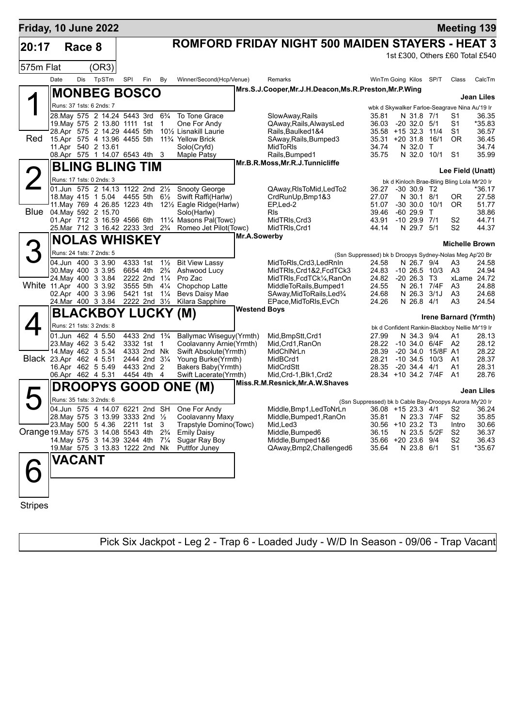| Friday, 10 June 2022               |      |                                                                                          |       |                                        |     |                                  |                                                                                                |                     |                                                                              |                                                         |                                |                                           |                                                      | <b>Meeting 139</b>              |
|------------------------------------|------|------------------------------------------------------------------------------------------|-------|----------------------------------------|-----|----------------------------------|------------------------------------------------------------------------------------------------|---------------------|------------------------------------------------------------------------------|---------------------------------------------------------|--------------------------------|-------------------------------------------|------------------------------------------------------|---------------------------------|
| 20:17                              |      | Race 8                                                                                   |       |                                        |     |                                  |                                                                                                |                     | ROMFORD FRIDAY NIGHT 500 MAIDEN STAYERS - HEAT 3                             |                                                         |                                |                                           |                                                      |                                 |
| 575m Flat                          |      |                                                                                          | (OR3) |                                        |     |                                  |                                                                                                |                     |                                                                              |                                                         |                                |                                           |                                                      | 1st £300, Others £60 Total £540 |
|                                    | Date | Dis                                                                                      | TpSTm | SPI                                    | Fin | By                               | Winner/Second(Hcp/Venue)                                                                       |                     | Remarks                                                                      | WinTm Going Kilos                                       |                                | SP/T                                      | Class                                                | CalcTm                          |
|                                    |      | <b>MONBEG BOSCO</b>                                                                      |       |                                        |     |                                  |                                                                                                |                     | Mrs.S.J.Cooper, Mr.J.H.Deacon, Ms.R.Preston, Mr.P.Wing                       |                                                         |                                |                                           |                                                      |                                 |
|                                    |      | Runs: 37 1sts: 6 2nds: 7                                                                 |       |                                        |     |                                  |                                                                                                |                     |                                                                              |                                                         |                                |                                           | wbk d Skywalker Farloe-Seagrave Nina Au'19 Ir        | <b>Jean Liles</b>               |
|                                    |      | 28. May 575 2 14.24 5443 3rd 63/4                                                        |       |                                        |     |                                  | To Tone Grace                                                                                  |                     | SlowAway, Rails                                                              | 35.81                                                   | N 31.8 7/1                     |                                           | S1                                                   | 36.35                           |
|                                    |      | 19. May 575 2 13.80 1111 1st                                                             |       |                                        |     | $\overline{1}$                   | One For Andy                                                                                   |                     | QAway, Rails, AlwaysLed                                                      | 36.03                                                   | $-20$ 32.0 $5/1$               |                                           | S <sub>1</sub>                                       | *35.83                          |
| Red                                |      | 28.Apr 575 2 14.29 4445 5th<br>15.Apr 575 4 13.96 4455 5th                               |       |                                        |     |                                  | 10 <sup>1</sup> / <sub>2</sub> Lisnakill Laurie<br>11 <sup>3</sup> / <sub>4</sub> Yellow Brick |                     | Rails, Baulked 1&4<br>SAway, Rails, Bumped3                                  | 35.58 +15 32.3 11/4<br>$35.31 + 20.31.8$                |                                | 16/1                                      | S1<br><b>OR</b>                                      | 36.57<br>36.45                  |
|                                    |      | 11.Apr 540 2 13.61                                                                       |       |                                        |     |                                  | Solo(Cryfd)                                                                                    |                     | MidToRIs                                                                     | 34.74                                                   | N 32.0 T                       |                                           |                                                      | 34.74                           |
|                                    |      | 08.Apr 575 1 14.07 6543 4th 3                                                            |       |                                        |     |                                  | Maple Patsy                                                                                    |                     | Rails, Bumped1<br>Mr.B.R.Moss, Mr.R.J.Tunnicliffe                            | 35.75                                                   | N 32.0 10/1                    |                                           | S <sub>1</sub>                                       | 35.99                           |
|                                    |      | <b>BLING BLING TIM</b>                                                                   |       |                                        |     |                                  |                                                                                                |                     |                                                                              |                                                         |                                |                                           |                                                      | Lee Field (Unatt)               |
|                                    |      | Runs: 17 1sts: 0 2nds: 3                                                                 |       |                                        |     |                                  |                                                                                                |                     |                                                                              |                                                         |                                |                                           | bk d Kinloch Brae-Bling Bling Lola Mr'20 Ir          |                                 |
|                                    |      |                                                                                          |       |                                        |     |                                  | 01.Jun 575 2 14.13 1122 2nd 21/2 Snooty George                                                 |                     | QAway, RIsToMid, LedTo2                                                      | 36.27                                                   | $-30, 30.9$ T <sub>2</sub>     |                                           |                                                      | *36.17                          |
|                                    |      | 18. May 415 1 5.04 4455 5th<br>11. May 769 4 26.85 1223 4th                              |       |                                        |     | $6\frac{1}{2}$                   | Swift Raffi(Harlw)<br>121/2 Eagle Ridge(Harlw)                                                 |                     | CrdRunUp, Bmp1&3<br>EP,Led-2                                                 | 27.07<br>51.07                                          | N 30.1 8/1<br>$-30$ 30.0 10/1  |                                           | 0R<br><b>OR</b>                                      | 27.58<br>51.77                  |
| Blue                               |      | 04. May 592 2 15.70                                                                      |       |                                        |     |                                  | Solo(Harlw)                                                                                    |                     | Rls                                                                          | 39.46                                                   | $-6029.9$ T                    |                                           |                                                      | 38.86                           |
|                                    |      | 01.Apr 712 3 16.59 4566 6th<br>25.Mar 712 3 16.42 2233 3rd 2 <sup>3</sup> / <sub>4</sub> |       |                                        |     |                                  | 111⁄4 Masons Pal(Towc)<br>Romeo Jet Pilot(Towc)                                                |                     | MidTRIs, Crd3<br>MidTRIs, Crd1                                               | 43.91<br>44.14                                          | $-10$ 29.9 $7/1$<br>N 29.7 5/1 |                                           | S <sub>2</sub><br>S <sub>2</sub>                     | 44.71<br>44.37                  |
|                                    |      |                                                                                          |       |                                        |     |                                  |                                                                                                | Mr.A.Sowerby        |                                                                              |                                                         |                                |                                           |                                                      |                                 |
|                                    |      | <b>NOLAS WHISKEY</b>                                                                     |       |                                        |     |                                  |                                                                                                |                     |                                                                              |                                                         |                                |                                           |                                                      | <b>Michelle Brown</b>           |
|                                    |      | Runs: 24 1sts: 7 2nds: 5                                                                 |       |                                        |     |                                  |                                                                                                |                     |                                                                              | (Ssn Suppressed) bk b Droopys Sydney-Nolas Meg Ap'20 Br |                                |                                           |                                                      |                                 |
|                                    |      | 04.Jun 400 3 3.90<br>30. May 400 3 3.95                                                  |       | 4333 1st<br>6654 4th                   |     | $1\frac{1}{2}$<br>$2\frac{3}{4}$ | <b>Bit View Lassy</b><br>Ashwood Lucy                                                          |                     | MidToRIs, Crd3, LedRnIn<br>MidTRIs,Crd1&2,FcdTCk3                            | 24.58<br>24.83                                          | N 26.7 9/4                     | $-10, 26.5, 10/3$                         | A3<br>A3                                             | 24.58<br>24.94                  |
|                                    |      | 24. May 400 3 3.84                                                                       |       | 2222 2nd 11/4                          |     |                                  | Pro Zac                                                                                        |                     | MidTRIs,FcdTCk¼,RanOn                                                        | 24.82 -20 26.3                                          |                                | - ТЗ                                      |                                                      | xLame 24.72                     |
|                                    |      | White 11.Apr 400 3 3.92<br>02.Apr 400 3 3.96                                             |       | 3555 5th<br>5421 1st                   |     | $4\frac{1}{4}$<br>$1\frac{1}{4}$ | Chopchop Latte<br>Bevs Daisy Mae                                                               |                     | MiddleToRails, Bumped1<br>SAway, MidToRails, Led <sup>3</sup> / <sub>4</sub> | 24.55<br>24.68                                          | N 26.1 7/4F<br>N 26.3 3/1J     |                                           | A3<br>A3                                             | 24.88<br>24.68                  |
|                                    |      | 24. Mar 400 3 3.84 2222 2nd 31/2                                                         |       |                                        |     |                                  | Kilara Sapphire                                                                                |                     | EPace,MidToRIs,EvCh                                                          | 24.26                                                   | N 26.8 4/1                     |                                           | A3                                                   | 24.54                           |
|                                    |      | BLACKBOY LUCKY (M)                                                                       |       |                                        |     |                                  |                                                                                                | <b>Westend Boys</b> |                                                                              |                                                         |                                |                                           |                                                      |                                 |
|                                    |      | Runs: 21 1sts: 3 2nds: 8                                                                 |       |                                        |     |                                  |                                                                                                |                     |                                                                              |                                                         |                                |                                           |                                                      | <b>Irene Barnard (Yrmth)</b>    |
|                                    |      | 01.Jun 462 4 5.50                                                                        |       | 4433 2nd 1 <sup>3</sup> / <sub>4</sub> |     |                                  | Ballymac Wiseguy (Yrmth)                                                                       |                     | Mid, BmpStt, Crd1                                                            | 27.99                                                   | N 34.3 9/4                     |                                           | bk d Confident Rankin-Blackboy Nellie Mr'19 Ir<br>A1 | 28.13                           |
|                                    |      | 23. May 462 3 5.42                                                                       |       | 3332 1st 1                             |     |                                  | Coolavanny Arnie(Yrmth)                                                                        |                     | Mid, Crd1, RanOn                                                             |                                                         |                                | 28.22 -10 34.0 6/4F A2                    |                                                      | 28.12                           |
|                                    |      | 14. May 462 3 5.34<br>Black 23.Apr 462 4 5.51                                            |       | 4333 2nd Nk<br>2444 2nd 31/4           |     |                                  | Swift Absolute(Yrmth)<br>Young Burke(Yrmth)                                                    |                     | MidChINrLn<br>MidBCrd1                                                       | 28.39<br>28.21                                          |                                | -20 34.0 15/8F A1<br>$-10$ 34.5 $10/3$ A1 |                                                      | 28.22<br>28.37                  |
|                                    |      | 16.Apr 462 5 5.49                                                                        |       | 4433 2nd 2                             |     |                                  | Bakers Baby(Yrmth)                                                                             |                     | MidCrdStt                                                                    | 28.35                                                   | -20 34.4 4/1                   |                                           | A1                                                   | 28.31                           |
|                                    |      | 06.Apr 462 4 5.31                                                                        |       | 4454 4th 4                             |     |                                  | Swift Lacerate(Yrmth)                                                                          |                     | Mid, Crd-1, Blk1, Crd2                                                       |                                                         |                                | 28.34 +10 34.2 7/4F A1                    |                                                      | 28.76                           |
|                                    |      |                                                                                          |       |                                        |     |                                  | <b>DROOPYS GOOD ONE (M)</b>                                                                    |                     | Miss.R.M.Resnick, Mr.A.W.Shaves                                              |                                                         |                                |                                           |                                                      | <b>Jean Liles</b>               |
|                                    |      | Runs: 35 1sts: 3 2nds: 6                                                                 |       |                                        |     |                                  |                                                                                                |                     |                                                                              | (Ssn Suppressed) bk b Cable Bay-Droopys Aurora My'20 Ir |                                |                                           |                                                      |                                 |
|                                    |      |                                                                                          |       |                                        |     |                                  | 04.Jun 575 4 14.07 6221 2nd SH One For Andy                                                    |                     | Middle, Bmp1, Led To NrLn 36.08 + 15 23.3 4/1 S2 36.24                       |                                                         |                                |                                           |                                                      |                                 |
|                                    |      | 28. May 575 3 13.99 3333 2nd 1/2<br>23. May 500 5 4.36 2211 1st 3                        |       |                                        |     |                                  | Coolavanny Maxy<br>Trapstyle Domino(Towc)                                                      |                     | Middle, Bumped1, RanOn<br>Mid, Led3                                          | 35.81<br>30.56 +10 23.2 T3                              | N 23.3 7/4F                    |                                           | S <sub>2</sub><br>Intro                              | 35.85<br>30.66                  |
| Orange 19 May 575 3 14.08 5543 4th |      |                                                                                          |       |                                        |     | $2\frac{3}{4}$                   | <b>Emily Daisy</b>                                                                             |                     | Middle, Bumped6                                                              | 36.15                                                   | N 23.5 5/2F                    |                                           | S <sub>2</sub>                                       | 36.37                           |
|                                    |      | 14. May 575 3 14.39 3244 4th<br>19. Mar 575 3 13.83 1222 2nd Nk                          |       |                                        |     | $7\frac{1}{4}$                   | Sugar Ray Boy<br>Puttfor Juney                                                                 |                     | Middle, Bumped 1&6<br>QAway, Bmp2, Challenged6                               | 35.66 +20 23.6 9/4                                      | N 23.8 6/1                     |                                           | S <sub>2</sub><br>S <sub>1</sub>                     | 36.43<br>*35.67                 |
|                                    |      |                                                                                          |       |                                        |     |                                  |                                                                                                |                     |                                                                              | 35.64                                                   |                                |                                           |                                                      |                                 |
| $\Box$                             |      | <b>VACANT</b>                                                                            |       |                                        |     |                                  |                                                                                                |                     |                                                                              |                                                         |                                |                                           |                                                      |                                 |
|                                    |      |                                                                                          |       |                                        |     |                                  |                                                                                                |                     |                                                                              |                                                         |                                |                                           |                                                      |                                 |
| <b>Stripes</b>                     |      |                                                                                          |       |                                        |     |                                  |                                                                                                |                     |                                                                              |                                                         |                                |                                           |                                                      |                                 |

Pick Six Jackpot - Leg 2 - Trap 6 - Loaded Judy - W/D In Season - 09/06 - Trap Vacant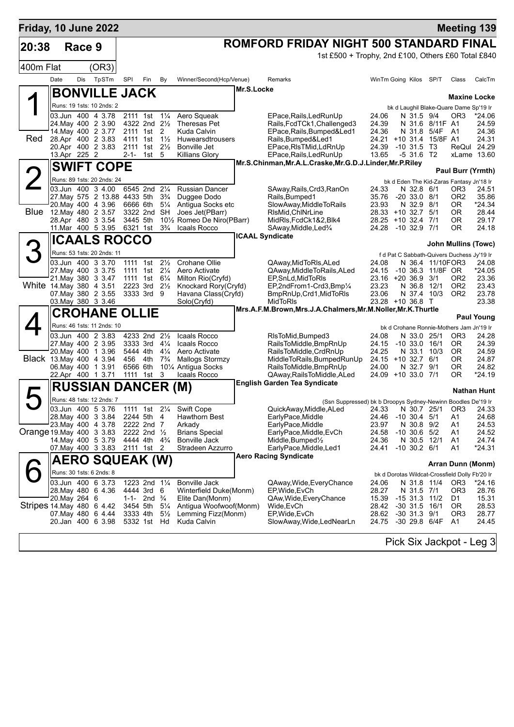| Friday, 10 June 2022      |               |        |                                                 |          |                                                                     |                |                                                |            |                                                                                                                     |                                          |           |                                 |                     |                                                 | <b>Meeting 139</b>   |
|---------------------------|---------------|--------|-------------------------------------------------|----------|---------------------------------------------------------------------|----------------|------------------------------------------------|------------|---------------------------------------------------------------------------------------------------------------------|------------------------------------------|-----------|---------------------------------|---------------------|-------------------------------------------------|----------------------|
| 20:38                     |               | Race 9 |                                                 |          |                                                                     |                |                                                |            | ROMFORD FRIDAY NIGHT 500 STANDARD FINAL                                                                             |                                          |           |                                 |                     |                                                 |                      |
|                           |               |        |                                                 |          |                                                                     |                |                                                |            | 1st £500 + Trophy, 2nd £100, Others £60 Total £840                                                                  |                                          |           |                                 |                     |                                                 |                      |
| 400m Flat                 |               |        | (OR3)                                           |          |                                                                     |                |                                                |            |                                                                                                                     |                                          |           |                                 |                     |                                                 |                      |
|                           | Date          | Dis    | TpSTm                                           | SPI      | Fin                                                                 | By             | Winner/Second(Hcp/Venue)                       |            | Remarks                                                                                                             | WinTm Going Kilos SP/T                   |           |                                 |                     | Class                                           | CalcTm               |
|                           |               |        | <b>BONVILLE JACK</b>                            |          |                                                                     |                |                                                | Mr.S.Locke |                                                                                                                     |                                          |           |                                 |                     |                                                 |                      |
|                           |               |        | Runs: 19 1sts: 10 2nds: 2                       |          |                                                                     |                |                                                |            |                                                                                                                     |                                          |           |                                 |                     | <b>Maxine Locke</b>                             |                      |
|                           |               |        | 03.Jun 400 4 3.78                               |          | 2111 1st 11/4                                                       |                | Aero Squeak                                    |            | EPace, Rails, Led Run Up                                                                                            | 24.06                                    |           | N 31.5 9/4                      |                     | bk d Laughil Blake-Quare Dame Sp'19 Ir<br>OR3   | *24.06               |
|                           |               |        | 24. May 400 2 3.90                              |          | 4322 2nd 21/2                                                       |                | Theresas Pet                                   |            | Rails, FcdTCk1, Challenged3                                                                                         | 24.39                                    |           |                                 | N 31.6 8/11F A1     |                                                 | 24.59                |
|                           |               |        | 14. May 400 2 3.77                              |          | 2111 1st 2                                                          |                | Kuda Calvin                                    |            | EPace, Rails, Bumped&Led1                                                                                           | 24.36                                    |           |                                 | N 31.8 5/4F A1      |                                                 | 24.36                |
| Red                       |               |        | 28.Apr 400 2 3.83<br>20.Apr 400 2 3.83          |          | 4111 1st 1 <sup>1</sup> / <sub>2</sub><br>2111 1st 21/ <sub>2</sub> |                | Huwearsdtrousers<br>Bonville Jet               |            | Rails, Bumped&Led1<br>EPace, RIs TMid, Ld RnUp                                                                      | $24.21 + 10.31.4$<br>24.39               |           | $-10.31.5$                      | 15/8F A1<br>Т3      |                                                 | 24.31<br>ReQul 24.29 |
|                           | 13.Apr 225 2  |        |                                                 | 2-1-     | $1st$ 5                                                             |                | <b>Killians Glory</b>                          |            | EPace, Rails, Led Run Up                                                                                            | 13.65                                    |           | $-5,31.6$                       | T2                  |                                                 | xLame 13.60          |
|                           |               |        | <b>SWIFT COPE</b>                               |          |                                                                     |                |                                                |            | Mr.S.Chinman, Mr.A.L.Craske, Mr.G.D.J.Linder, Mr.P.Riley                                                            |                                          |           |                                 |                     |                                                 |                      |
|                           |               |        | Runs: 89 1sts: 20 2nds: 24                      |          |                                                                     |                |                                                |            |                                                                                                                     |                                          |           |                                 |                     | Paul Burr (Yrmth)                               |                      |
|                           |               |        | 03.Jun 400 3 4.00                               |          | 6545 2nd 21/4                                                       |                | <b>Russian Dancer</b>                          |            | SAway, Rails, Crd3, RanOn                                                                                           | 24.33                                    |           | N 32.8 6/1                      |                     | bk d Eden The Kid-Zaras Fantasy Jn'18 Ir<br>OR3 | 24.51                |
|                           |               |        | 27. May 575 2 13.88 4433 5th                    |          |                                                                     | $3\frac{3}{4}$ | Duggee Dodo                                    |            | Rails, Bumped1                                                                                                      | 35.76                                    |           | $-20, 33.0, 8/1$                |                     | OR2                                             | 35.86                |
|                           |               |        | 20. May 400 4 3.96                              |          | 6666 6th                                                            | $5\frac{1}{4}$ | Antigua Socks etc                              |            | SlowAway, MiddleToRails                                                                                             | 23.93                                    |           | N 32.9 8/1                      |                     | 0R                                              | *24.34               |
| <b>Blue</b>               |               |        | 12. May 480 2 3.57<br>28.Apr 480 3 3.54         |          | 3322 2nd SH<br>3445 5th                                             |                | Joes Jet(PBarr)<br>101/2 Romeo De Niro(PBarr)  |            | RIsMid.ChINrLine<br>MidRIs, FcdCk1&2, Blk4                                                                          | 28.33 +10 32.7 5/1<br>28.25 +10 32.4 7/1 |           |                                 |                     | 0R<br>0R                                        | 28.44<br>29.17       |
|                           |               |        | 11. Mar 400 5 3.95                              | 6321 1st |                                                                     | $3\frac{3}{4}$ | Icaals Rocco                                   |            | SAway, Middle, Led <sup>3</sup> / <sub>4</sub>                                                                      | 24.28                                    |           | -10 32.9 7/1                    |                     | 0R                                              | 24.18                |
|                           |               |        | <b>ICAALS ROCCO</b>                             |          |                                                                     |                |                                                |            | <b>ICAAL Syndicate</b>                                                                                              |                                          |           |                                 |                     |                                                 |                      |
|                           |               |        |                                                 |          |                                                                     |                |                                                |            |                                                                                                                     |                                          |           |                                 |                     | John Mullins (Towc)                             |                      |
|                           |               |        | Runs: 53 1sts: 20 2nds: 11<br>03.Jun 400 3 3.70 |          | 1111 1st                                                            | $2\frac{1}{2}$ | Crohane Ollie                                  |            | QAway, MidToRIs, ALed                                                                                               | 24.08                                    |           |                                 | N 36.4 11/10FOR3    | f d Pat C Sabbath-Quivers Duchess Jy'19 Ir      | 24.08                |
|                           |               |        | 27. May 400 3 3.75                              |          | 1111 1st 21/ <sub>4</sub>                                           |                | Aero Activate                                  |            | QAway, Middle To Rails, ALed                                                                                        | 24.15                                    |           |                                 | -10 36.3 11/8F OR   |                                                 | *24.05               |
|                           |               |        | 21. May 380 3 3.47                              |          | 1111 1st 61/4                                                       |                | Milton Rio(Cryfd)                              |            | EP, SnLd, MidToRIs                                                                                                  | $23.16 + 2036.9$                         |           |                                 | 3/1                 | OR <sub>2</sub>                                 | 23.36                |
| White 14 May 380 4 3.51   |               |        |                                                 |          | 2223 3rd 21/2<br>3333 3rd 9                                         |                | Knockard Rory(Cryfd)                           |            | EP,2ndFrom1-Crd3,Bmp1/4                                                                                             | 23.23                                    |           | N 36.8<br>N 37.4 10/3           | 12/1                | OR <sub>2</sub><br>OR <sub>2</sub>              | 23.43<br>23.78       |
|                           |               |        | 07. May 380 2 3.55<br>03. May 380 3 3.46        |          |                                                                     |                | Havana Class(Cryfd)<br>Solo(Cryfd)             |            | BmpRnUp, Crd1, MidToRIs<br><b>MidToRIs</b>                                                                          | 23.06<br>23.28 +10 36.8 T                |           |                                 |                     |                                                 | 23.38                |
|                           |               |        | <b>CROHANE OLLIE</b>                            |          |                                                                     |                |                                                |            | Mrs.A.F.M.Brown, Mrs.J.A.Chalmers, Mr.M.Noller, Mr.K.Thurtle                                                        |                                          |           |                                 |                     |                                                 |                      |
|                           |               |        |                                                 |          |                                                                     |                |                                                |            |                                                                                                                     |                                          |           |                                 |                     |                                                 | <b>Paul Young</b>    |
|                           |               |        | Runs: 46 1sts: 11 2nds: 10<br>03.Jun 400 2 3.83 |          | 4233 2nd 21/2                                                       |                | Icaals Rocco                                   |            | RIsToMid, Bumped3                                                                                                   | 24.08                                    |           | N 33.0 25/1                     |                     | bk d Crohane Ronnie-Mothers Jam Jn'19 Ir<br>OR3 | 24.28                |
|                           |               |        | 27. May 400 2 3.95                              |          | 3333 3rd $4\frac{1}{4}$                                             |                | Icaals Rocco                                   |            | RailsToMiddle, BmpRnUp                                                                                              | 24.15                                    |           | $-10$ 33.0 $16/1$               |                     | 0R                                              | 24.39                |
|                           |               |        | 20. May 400 1 3.96                              |          | 5444 4th 41/4                                                       |                | Aero Activate                                  |            | RailsToMiddle, CrdRnUp                                                                                              | 24.25                                    |           | N 33.1                          | 10/3                | OR.                                             | 24.59                |
|                           |               |        | Black 13. May 400 4 3.94<br>06. May 400 1 3.91  |          | 456 4th<br>6566 6th                                                 | $7\frac{3}{4}$ | <b>Mallogs Stormzy</b><br>101⁄4 Antigua Socks  |            | MiddleToRails, BumpedRunUp<br>RailsToMiddle, BmpRnUp                                                                | 24.15 +10 32.7 6/1<br>24.00              |           | N 32.7 9/1                      |                     | 0R<br>0R                                        | 24.87<br>24.82       |
|                           |               |        | 22.Apr 400 1 3.71                               |          | 1111 1st                                                            | 3              | Icaals Rocco                                   |            | QAway, Rails To Middle, ALed                                                                                        | 24.09 +10 33.0 7/1                       |           |                                 |                     | 0R                                              | *24.19               |
|                           |               |        | <b>RUSSIAN DANCER (M)</b>                       |          |                                                                     |                |                                                |            | <b>English Garden Tea Syndicate</b>                                                                                 |                                          |           |                                 |                     |                                                 |                      |
|                           |               |        |                                                 |          |                                                                     |                |                                                |            |                                                                                                                     |                                          |           |                                 |                     |                                                 | <b>Nathan Hunt</b>   |
|                           |               |        | Runs: 48 1sts: 12 2nds: 7<br>03.Jun 400 5 3.76  |          |                                                                     |                | 1111 1st 21/4 Swift Cope                       |            | (Ssn Suppressed) bk b Droopys Sydney-Newinn Boodles De'19 Ir<br>QuickAway, Middle, ALed 24.33 N 30.7 25/1 OR3 24.33 |                                          |           |                                 |                     |                                                 |                      |
|                           |               |        | 28. May 400 3 3.84                              |          | 2244 5th 4                                                          |                | Hawthorn Best                                  |            | EarlyPace,Middle                                                                                                    | 24.46                                    |           | $-10$ 30.4 $5/1$                |                     | A1                                              | 24.68                |
|                           |               |        | 23. May 400 4 3.78                              |          | 2222 2nd 7                                                          |                | Arkady                                         |            | EarlyPace, Middle                                                                                                   | 23.97                                    |           | N 30.8 9/2                      |                     | Α1                                              | 24.53                |
| Orange 19 May 400 3 3 83  |               |        | 14 May 400 5 3.79                               |          | 2222 2nd 1/2<br>4444 4th 4 <sup>3</sup> / <sub>4</sub>              |                | <b>Brians Special</b><br>Bonville Jack         |            | EarlyPace, Middle, EvCh<br>Middle, Bumped $\frac{1}{2}$                                                             | 24.58<br>24.36                           |           | $-10, 30.6, 5/2$<br>N 30.5 12/1 |                     | Α1<br>A1                                        | 24.52<br>24.74       |
|                           |               |        | 07 May 400 3 3.83                               |          | 2111 1st 2                                                          |                | Stradeen Azzurro                               |            | EarlyPace, Middle, Led1                                                                                             | 24.41                                    |           | $-10$ 30.2 $6/1$                |                     | A1                                              | *24.31               |
|                           |               |        | <b>AERO SQUEAK (W)</b>                          |          |                                                                     |                |                                                |            | <b>Aero Racing Syndicate</b>                                                                                        |                                          |           |                                 |                     |                                                 |                      |
|                           |               |        |                                                 |          |                                                                     |                |                                                |            |                                                                                                                     |                                          |           |                                 |                     | Arran Dunn (Monm)                               |                      |
|                           |               |        | Runs: 30 1sts: 6 2nds: 8                        |          |                                                                     |                |                                                |            |                                                                                                                     |                                          |           |                                 |                     | bk d Dorotas Wildcat-Crossfield Dolly Fb'20 Ir  |                      |
|                           |               |        | 03.Jun 400 6 3.73<br>28. May 480 6 4.36         |          | 1223 2nd 11/4<br>4444 3rd 6                                         |                | <b>Bonville Jack</b><br>Winterfield Duke(Monm) |            | QAway, Wide, Every Chance<br>EP, Wide, EvCh                                                                         | 24.06<br>28.27                           |           | N 31.8 11/4<br>N 31.5 7/1       |                     | OR <sub>3</sub><br>OR3                          | *24.16<br>28.76      |
|                           | 20. May 264 6 |        |                                                 |          | 1-1- 2nd $\frac{3}{4}$                                              |                | Elite Dan(Monm)                                |            | QAw, Wide, Every Chance                                                                                             | 15.39                                    |           | $-15$ 31.3 11/2                 |                     | D1                                              | 15.31                |
| Stripes 14 May 480 6 4.42 |               |        |                                                 |          | 3454 5th                                                            | $5\frac{1}{4}$ | Antigua Woofwoof(Monm)                         |            | Wide, EvCh                                                                                                          | 28.42                                    |           | $-30$ 31.5                      | 16/1                | OR.                                             | 28.53                |
|                           |               |        | 07 May 480 6 4.44<br>20.Jan 400 6 3.98          |          | 3333 4th<br>5332 1st Hd                                             | $5\frac{1}{2}$ | Lemming Fizz(Monm)<br>Kuda Calvin              |            | EP, Wide, EvCh<br>SlowAway,Wide,LedNearLn                                                                           | 28.62                                    |           | $-30$ 31.3 $9/1$                | 24.75 -30 29.8 6/4F | OR <sub>3</sub><br>A1                           | 28.77<br>24.45       |
|                           |               |        |                                                 |          |                                                                     |                |                                                |            |                                                                                                                     |                                          |           |                                 |                     |                                                 |                      |
|                           |               |        |                                                 |          |                                                                     |                |                                                |            |                                                                                                                     |                                          | n: -1, n: |                                 |                     |                                                 |                      |

Pick Six Jackpot - Leg 3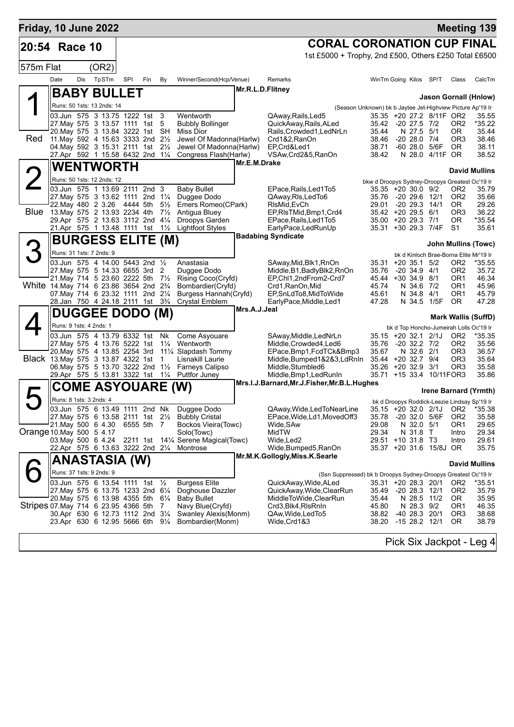| Friday, 10 June 2022                  |                         |     |                                                                              |     |            |                |                                                  |                  |                                                                |                                                                         |                                    |                                  |                                    | <b>Meeting 139</b>                                    |
|---------------------------------------|-------------------------|-----|------------------------------------------------------------------------------|-----|------------|----------------|--------------------------------------------------|------------------|----------------------------------------------------------------|-------------------------------------------------------------------------|------------------------------------|----------------------------------|------------------------------------|-------------------------------------------------------|
| 20:54 Race 10                         |                         |     |                                                                              |     |            |                |                                                  |                  | <b>CORAL CORONATION CUP FINAL</b>                              |                                                                         |                                    |                                  |                                    |                                                       |
|                                       |                         |     |                                                                              |     |            |                |                                                  |                  | 1st £5000 + Trophy, 2nd £500, Others £250 Total £6500          |                                                                         |                                    |                                  |                                    |                                                       |
| 575m Flat                             |                         |     | (OR2)                                                                        |     |            |                |                                                  |                  |                                                                |                                                                         |                                    |                                  |                                    |                                                       |
|                                       | Date                    | Dis | TpSTm                                                                        | SPI | Fin        | By             | Winner/Second(Hcp/Venue)                         |                  | Remarks                                                        | WinTm Going Kilos SP/T                                                  |                                    |                                  | Class                              | CalcTm                                                |
|                                       |                         |     | <b>BABY BULLET</b>                                                           |     |            |                |                                                  | Mr.R.L.D.Flitney |                                                                |                                                                         |                                    |                                  |                                    | Jason Gornall (Hnlow)                                 |
|                                       |                         |     | Runs: 50 1sts: 13 2nds: 14                                                   |     |            |                |                                                  |                  | (Season Unknown) bk b Jaytee Jet-Highview Picture Ap'19 Ir     |                                                                         |                                    |                                  |                                    |                                                       |
|                                       |                         |     | 03.Jun 575 3 13.75 1222 1st 3                                                |     |            |                | Wentworth                                        |                  | QAway, Rails, Led5                                             |                                                                         |                                    | 35.35 +20 27.2 8/11F OR2         |                                    | 35.55                                                 |
|                                       |                         |     | 27.May 575 3 13.57 1111 1st<br>20. May 575 3 13.84 3222 1st SH               |     |            | -5             | <b>Bubbly Bollinger</b><br>Miss Dior             |                  | QuickAway, Rails, ALed<br>Rails, Crowded1, LedNrLn             | 35.42 -20 27.5 7/2<br>35.44                                             | N 27.5 5/1                         |                                  | OR <sub>2</sub><br>OR.             | *35.22<br>35.44                                       |
| Red                                   |                         |     | 11. May 592 4 15.63 3333 2nd 21/2                                            |     |            |                | Jewel Of Madonna(Harlw)                          |                  | Crd1&2, RanOn                                                  | 38.46                                                                   | $-20$ 28.0 $7/4$                   |                                  | OR <sub>3</sub>                    | 38.46                                                 |
|                                       |                         |     | 04. May 592 3 15.31 2111 1st 21/2<br>27.Apr 592 1 15.58 6432 2nd 11/4        |     |            |                | Jewel Of Madonna(Harlw)<br>Congress Flash(Harlw) |                  | EP.Crd&Led1<br>VSAw, Crd2&5, RanOn                             | 38.71<br>38.42                                                          |                                    | -60 28.0 5/6F<br>N 28.0 4/11F OR | 0 <sub>R</sub>                     | 38.11<br>38.52                                        |
|                                       |                         |     | <b>WENTWORTH</b>                                                             |     |            |                |                                                  | Mr.E.M.Drake     |                                                                |                                                                         |                                    |                                  |                                    |                                                       |
|                                       |                         |     | Runs: 50 1sts: 12 2nds: 12                                                   |     |            |                |                                                  |                  |                                                                |                                                                         |                                    |                                  |                                    | <b>David Mullins</b>                                  |
|                                       |                         |     | 03.Jun 575 1 13.69 2111 2nd 3                                                |     |            |                | <b>Baby Bullet</b>                               |                  | EPace, Rails, Led 1 To 5                                       | bkw d Droopys Sydney-Droopys Greatest Oc'19 Ir<br>$35.35 + 20.30.0$ 9/2 |                                    |                                  | OR <sub>2</sub>                    | 35.79                                                 |
|                                       |                         |     | 27. May 575 3 13.62 1111 2nd 11/4                                            |     |            |                | Duggee Dodo                                      |                  | QAway, RIs, Led To6                                            | 35.76                                                                   | -20 29.6 12/1                      |                                  | OR <sub>2</sub>                    | 35.66                                                 |
| Blue                                  |                         |     | 22. May 480 2 3.26 4444 5th<br>13. May 575 2 13.93 2234 4th 71/2             |     |            | $5\frac{1}{2}$ | Emers Romeo(CPark)<br>Antigua Bluey              |                  | RIsMid, EvCh<br>EP, RIsTMid, Bmp1, Crd4                        | 29.01<br>35.42 +20 29.5 6/1                                             | $-20$ 29.3 $14/1$                  |                                  | OR.<br>OR <sub>3</sub>             | 29.26<br>36.22                                        |
|                                       |                         |     | 29.Apr 575 2 13.63 3112 2nd 41/4                                             |     |            |                | Droopys Garden                                   |                  | EPace, Rails, Led1To5                                          | 35.00 +20 29.3 7/1                                                      |                                    |                                  | 0R                                 | *35.54                                                |
|                                       |                         |     | 21.Apr 575 1 13.48 1111 1st 11/2                                             |     |            |                | <b>Lightfoot Styles</b>                          |                  | EarlyPace, LedRunUp<br><b>Badabing Syndicate</b>               | 35.31                                                                   | +30 29.3 7/4F                      |                                  | S <sub>1</sub>                     | 35.61                                                 |
|                                       |                         |     | <b>BURGESS ELITE (M)</b>                                                     |     |            |                |                                                  |                  |                                                                |                                                                         |                                    |                                  |                                    | <b>John Mullins (Towc)</b>                            |
|                                       |                         |     | Runs: 31 1sts: 7 2nds: 9                                                     |     |            |                |                                                  |                  |                                                                |                                                                         |                                    |                                  |                                    | bk d Kinloch Brae-Borna Elite Mr'19 Ir                |
|                                       |                         |     | 03.Jun 575 4 14.00 5443 2nd 1/2<br>27. May 575 5 14.33 6655 3rd 2            |     |            |                | Anastasia<br>Duggee Dodo                         |                  | SAway, Mid, Blk1, RnOn<br>Middle, B1, Badly Blk2, RnOn         | 35.31<br>35.76                                                          | $+20$ 35.1 5/2<br>$-20, 34.9, 4/1$ |                                  | OR <sub>2</sub><br>OR <sub>2</sub> | $*35.55$<br>35.72                                     |
|                                       |                         |     | 21. May 714 5 23.60 2222 5th 71/2                                            |     |            |                | Rising Coco(Cryfd)                               |                  | EP, Chl1, 2nd From 2-Crd7                                      | 45.44 +30 34.9 8/1                                                      |                                    |                                  | OR <sub>1</sub>                    | 46.34                                                 |
|                                       |                         |     | White 14. May 714 6 23.86 3654 2nd 23/4<br>07. May 714 6 23.32 1111 2nd 21/4 |     |            |                | Bombardier(Cryfd)<br>Burgess Hannah (Cryfd)      |                  | Crd1, RanOn, Mid<br>EP,SnLdTo8,MidToWide                       | 45.74<br>45.61                                                          | N 34.6 7/2<br>N 34.8 4/1           |                                  | OR <sub>1</sub><br>OR <sub>1</sub> | 45.96<br>45.79                                        |
|                                       |                         |     | 28.Jan 750 4 24.18 2111 1st 33/4                                             |     |            |                | <b>Crystal Emblem</b>                            |                  | EarlyPace, Middle, Led1                                        | 47.28                                                                   |                                    | N 34.5 1/5F                      | <b>OR</b>                          | 47.28                                                 |
|                                       |                         |     | <b>DUGGEE DODO (M)</b>                                                       |     |            |                |                                                  | Mrs.A.J.Jeal     |                                                                |                                                                         |                                    |                                  |                                    | <b>Mark Wallis (SuffD)</b>                            |
|                                       | Runs: 9 1sts: 4 2nds: 1 |     |                                                                              |     |            |                |                                                  |                  |                                                                |                                                                         |                                    |                                  |                                    | bk d Top Honcho-Jumeirah Lolls Oc'19 Ir               |
|                                       |                         |     | 03.Jun 575 4 13.79 6332 1st                                                  |     |            | Nk             | Come Asyouare                                    |                  | SAway,Middle,LedNrLn                                           | $35.15 + 20.32.1$ 2/1J                                                  |                                    |                                  | OR <sub>2</sub>                    | $*35.35$                                              |
|                                       |                         |     | 27. May 575 4 13.76 5222 1st<br>20. May 575 4 13.85 2254 3rd                 |     |            | $1\frac{1}{4}$ | Wentworth<br>111⁄4 Slapdash Tommy                |                  | Middle, Crowded4, Led6<br>EPace, Bmp1, FcdTCk&Bmp3             | 35.76<br>35.67                                                          | $-20$ 32.2 $7/2$<br>N 32.6         | 2/1                              | OR <sub>2</sub><br>OR <sub>3</sub> | 35.56<br>36.57                                        |
|                                       |                         |     | Black 13. May 575 3 13.87 4322 1st                                           |     |            | $\mathbf 1$    | Lisnakill Laurie                                 |                  | Middle, Bumped 1&2&3, LdRnIn                                   | 35.44 +20 32.7 9/4                                                      |                                    |                                  | OR <sub>3</sub>                    | 35.64                                                 |
|                                       |                         |     | 06. May 575 5 13.70 3222 2nd 11/2<br>29.Apr 575 5 13.81 3322 1st 11/4        |     |            |                | <b>Farneys Calipso</b><br><b>Puttfor Juney</b>   |                  | Middle, Stumbled6<br>Middle, Bmp1, Led RunIn                   | 35.26<br>35.71 +15 33.4 10/11FOR3                                       | +20 32.9                           | 3/1                              | OR <sub>3</sub>                    | 35.58<br>35.86                                        |
|                                       |                         |     | <b>COME ASYOUARE (W)</b>                                                     |     |            |                |                                                  |                  | Mrs.I.J.Barnard, Mr.J.Fisher, Mr.B.L.Hughes                    |                                                                         |                                    |                                  |                                    |                                                       |
|                                       | Runs: 8 1sts: 3 2nds: 4 |     |                                                                              |     |            |                |                                                  |                  |                                                                |                                                                         |                                    |                                  |                                    | Irene Barnard (Yrmth)                                 |
|                                       |                         |     | 03.Jun 575 6 13.49 1111 2nd Nk                                               |     |            |                | Duggee Dodo                                      |                  | QAway, Wide, Led To Near Line                                  | 35.15 +20 32.0 2/1J                                                     |                                    |                                  | OR <sub>2</sub>                    | bk d Droopys Roddick-Leezie Lindsay Sp'19 Ir<br>35.38 |
|                                       |                         |     | 27. May 575 6 13.58 2111 1st 21/2                                            |     |            |                | <b>Bubbly Cristal</b>                            |                  | EPace, Wide, Ld1, MovedOff3                                    | 35.78                                                                   | -20 32.0 5/6F                      |                                  | OR <sub>2</sub>                    | 35.58                                                 |
| Orange 10 May 500 5 4.17              |                         |     | 21.May 500 6 4.30                                                            |     | 6555 5th 7 |                | <b>Bockos Vieira(Towc)</b><br>Solo(Towc)         |                  | Wide, SAw<br>MidTW                                             | 29.08<br>29.34                                                          | N 32.0 5/1<br>N 31.8 T             |                                  | OR <sub>1</sub><br>Intro           | 29.65<br>29.34                                        |
|                                       |                         |     | 03. May 500 6 4.24                                                           |     |            |                | 2211 1st 141/4 Serene Magical(Towc)              |                  | Wide,Led2                                                      | 29.51 +10 31.8 T3                                                       |                                    |                                  | Intro                              | 29.61                                                 |
|                                       |                         |     | 22.Apr 575 6 13.63 3222 2nd 21/4                                             |     |            |                | Montrose                                         |                  | Wide, Bumped5, RanOn<br>Mr.M.K.Gollogly, Miss.K.Searle         | 35.37 +20 31.6 15/8J OR                                                 |                                    |                                  |                                    | 35.75                                                 |
|                                       |                         |     | ANASTASIA (W)                                                                |     |            |                |                                                  |                  |                                                                |                                                                         |                                    |                                  |                                    | <b>David Mullins</b>                                  |
|                                       |                         |     | Runs: 37 1sts: 9 2nds: 9                                                     |     |            |                |                                                  |                  | (Ssn Suppressed) bk b Droopys Sydney-Droopys Greatest Oc'19 Ir |                                                                         |                                    |                                  |                                    |                                                       |
|                                       |                         |     | 03.Jun 575 6 13.54 1111 1st 1/2<br>27. May 575 6 13.75 1233 2nd 61/4         |     |            |                | <b>Burgess Elite</b><br>Doghouse Dazzler         |                  | QuickAway, Wide, ALed<br>QuickAway, Wide, ClearRun             | 35.31 +20 28.3 20/1<br>35.49                                            | $-20$ 28.3 12/1                    |                                  | OR <sub>2</sub><br>OR <sub>2</sub> | *35.51<br>35.79                                       |
|                                       |                         |     | 20. May 575 6 13.98 4355 5th 61/4                                            |     |            |                | <b>Baby Bullet</b>                               |                  | MiddleToWide,ClearRun                                          | 35.44                                                                   | N 28.5 11/2                        |                                  | OR.                                | 35.95                                                 |
| Stripes 07 May 714 6 23.95 4366 5th 7 |                         |     | 30.Apr 630 6 12.73 1112 2nd 31/4                                             |     |            |                | Navy Blue(Cryfd)<br>Swanley Alexis(Monm)         |                  | Crd3, Blk4, RIsRnIn<br>QAw, Wide, Led To 5                     | 45.80<br>38.82                                                          | N 28.3 9/2<br>-40 28.3 20/1        |                                  | OR <sub>1</sub><br>OR <sub>3</sub> | 46.35<br>38.68                                        |
|                                       |                         |     | 23.Apr 630 6 12.95 5666 6th 91/4                                             |     |            |                | Bombardier(Monm)                                 |                  | Wide, Crd1&3                                                   | 38.20                                                                   | $-15$ 28.2 $12/1$                  |                                  | OR.                                | 38.79                                                 |
|                                       |                         |     |                                                                              |     |            |                |                                                  |                  |                                                                |                                                                         |                                    |                                  |                                    |                                                       |
|                                       |                         |     |                                                                              |     |            |                |                                                  |                  |                                                                |                                                                         |                                    |                                  |                                    | Pick Six Jackpot - Leg 4                              |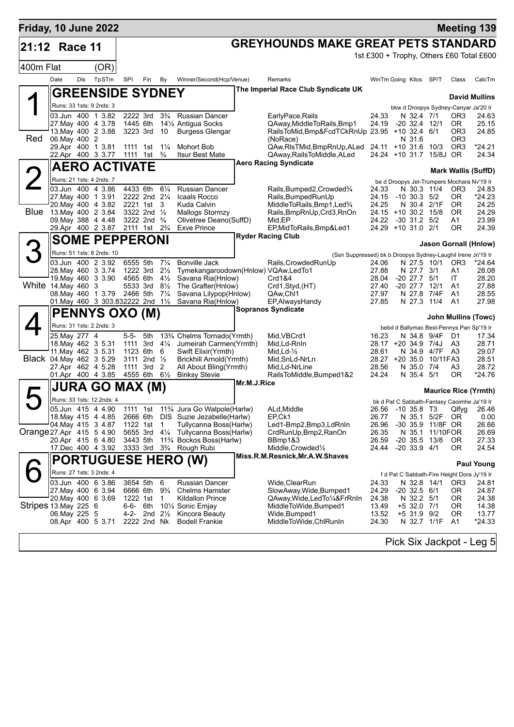| Friday, 10 June 2022     |               |            |                                                                  |                                      |                                        |                                  |                                                                |             |                                                                                |                |                                             |                     |                        | <b>Meeting 139</b>                       |
|--------------------------|---------------|------------|------------------------------------------------------------------|--------------------------------------|----------------------------------------|----------------------------------|----------------------------------------------------------------|-------------|--------------------------------------------------------------------------------|----------------|---------------------------------------------|---------------------|------------------------|------------------------------------------|
| 21:12 Race 11            |               |            |                                                                  |                                      |                                        |                                  |                                                                |             | <b>GREYHOUNDS MAKE GREAT PETS STANDARD</b>                                     |                |                                             |                     |                        |                                          |
|                          |               |            |                                                                  |                                      |                                        |                                  |                                                                |             |                                                                                |                |                                             |                     |                        | 1st £300 + Trophy, Others £60 Total £600 |
| 400m Flat                |               | <b>Dis</b> | (OR)                                                             |                                      |                                        |                                  |                                                                |             |                                                                                |                |                                             |                     |                        |                                          |
|                          | Date          |            | TpSTm                                                            | SPI                                  | Fin                                    | By                               | Winner/Second(Hcp/Venue)                                       |             | Remarks<br>The Imperial Race Club Syndicate UK                                 |                | WinTm Going Kilos SP/T                      |                     | Class                  | CalcTm                                   |
|                          |               |            | <b>GREENSIDE SYDNEY</b>                                          |                                      |                                        |                                  |                                                                |             |                                                                                |                |                                             |                     |                        | <b>David Mullins</b>                     |
|                          |               |            | Runs: 33 1sts: 9 2nds: 3                                         |                                      |                                        |                                  |                                                                |             |                                                                                |                | bkw d Droopys Sydney-Canyar Ja'20 Ir        |                     |                        |                                          |
|                          |               |            | 03.Jun 400 1 3.82<br>27. May 400 4 3.78                          | 2222 3rd<br>1445 6th                 |                                        | $3\frac{3}{4}$                   | <b>Russian Dancer</b><br>141/ <sub>2</sub> Antigua Socks       |             | EarlyPace,Rails<br>QAway, Middle To Rails, Bmp1                                | 24.33<br>24.19 | N 32.4 7/1<br>$-20$ 32.4 12/1               |                     | OR3<br>OR.             | 24.63<br>25.15                           |
|                          |               |            | 13. May 400 2 3.88                                               | 3223 3rd                             |                                        | - 10                             | <b>Burgess Glengar</b>                                         |             | RailsToMid, Bmp&FcdTCkRnUp 23.95 +10 32.4 6/1                                  |                |                                             |                     | OR3                    | 24.85                                    |
| Red                      | 06. May 400 2 |            | 29.Apr 400 1 3.81                                                | 1111 1st                             |                                        | $1\frac{1}{4}$                   | Mohort Bob                                                     |             | (NoRace)<br>QAw, RIsTMid, BmpRnUp, ALed 24.11 +10 31.6 10/3                    |                | N 31.6                                      |                     | OR3<br>OR <sub>3</sub> | $*24.21$                                 |
|                          |               |            | 22.Apr 400 3 3.77                                                | 1111 1st <sup>3</sup> / <sub>4</sub> |                                        |                                  | <b>Itsur Best Mate</b>                                         |             | QAway, Rails To Middle, ALed                                                   |                | 24.24 +10 31.7 15/8J OR                     |                     |                        | 24.34                                    |
|                          |               |            | <b>AERO ACTIVATE</b>                                             |                                      |                                        |                                  |                                                                |             | <b>Aero Racing Syndicate</b>                                                   |                |                                             |                     |                        | <b>Mark Wallis (SuffD)</b>               |
|                          |               |            | Runs: 21 1sts: 4 2nds: 7                                         |                                      |                                        |                                  |                                                                |             |                                                                                |                | be d Droopys Jet-Trumpers Mochara Nv'19 Ir  |                     |                        |                                          |
|                          |               |            | 03.Jun 400 4 3.86<br>27. May 400 1 3.91                          | 4433 6th                             | 2222 2nd 21/4                          | $6\frac{1}{4}$                   | <b>Russian Dancer</b><br>Icaals Rocco                          |             | Rails, Bumped 2, Crowded 3/4<br>Rails, Bumped Run Up                           | 24.33<br>24.15 | $-10$ 30.3 $5/2$                            | N 30.3 11/4         | OR3<br>0R              | 24.83<br>$*24.23$                        |
|                          |               |            | 20. May 400 4 3.82                                               |                                      | 2221 1st                               | 3                                | Kuda Calvin                                                    |             | MiddleToRails, Bmp1, Led <sup>3</sup> /4                                       | 24.25          |                                             | N 30.4 2/1F         | <b>OR</b>              | 24.25                                    |
|                          |               |            | Blue 13 May 400 2 3.84<br>09. May 388 4 4.48                     |                                      | 3322 2nd 1/2<br>3222 2nd $\frac{3}{4}$ |                                  | Mallogs Stormzy<br>Olivetree Deano(SuffD)                      |             | Rails, BmpRnUp, Crd3, RnOn<br>Mid,EP                                           | 24.22          | 24.15 +10 30.2 15/8<br>-30 31.2 5/2         |                     | <b>OR</b><br>A1        | 24.29<br>23.99                           |
|                          |               |            | 29.Apr 400 2 3.87                                                |                                      | 2111 1st 2 <sup>3</sup> / <sub>4</sub> |                                  | <b>Exve Prince</b>                                             |             | EP, MidToRails, Bmp&Led1                                                       |                | 24.29 +10 31.0 2/1                          |                     | ΟR                     | 24.39                                    |
|                          |               |            | <b>SOME PEPPERONI</b>                                            |                                      |                                        |                                  |                                                                |             | <b>Ryder Racing Club</b>                                                       |                |                                             |                     |                        | Jason Gornall (Hnlow)                    |
| З                        |               |            | Runs: 51 1sts: 8 2nds: 10                                        |                                      |                                        |                                  |                                                                |             | (Ssn Suppressed) bk b Droopys Sydney-Laughil Irene Jn'19 Ir                    |                |                                             |                     |                        |                                          |
|                          |               |            | 03.Jun 400 2 3.92                                                | 6555 5th                             |                                        | $7\frac{1}{4}$                   | <b>Bonville Jack</b>                                           |             | Rails, Crowded RunUp                                                           | 24.06          |                                             | N 27.5 10/1         | OR <sub>3</sub>        | *24.64                                   |
|                          |               |            | 28. May 460 3 3.74<br>19. May 460 3 3.90                         | 1222 3rd<br>4565 6th                 |                                        | $2\frac{1}{2}$<br>$4\frac{1}{2}$ | Tymekangaroodown(Hnlow) VQAw,LedTo1<br>Savana Ria(Hnlow)       |             | Crd1&4                                                                         | 27.88<br>28.04 | N 27.7 3/1<br>$-20$ 27.7 $5/1$              |                     | A1<br>ΙT               | 28.08<br>28.20                           |
| White 14. May 460 3      |               |            |                                                                  | 5533 3rd                             |                                        | $8\frac{1}{2}$                   | The Grafter(Hnlow)                                             |             | Crd1, Styd, (HT)                                                               | 27.40          | $-20$ 27.7 12/1                             |                     | A1                     | 27.88                                    |
|                          |               |            | 08. May 460 1 3.79 2466 5th<br>01. May 460 3 303.832222 2nd 11/2 |                                      |                                        | $7\frac{1}{4}$                   | Savana Lilypop(Hnlow)<br>Savana Ria(Hnlow)                     |             | QAw,Chl1<br>EP, Always Handy                                                   | 27.97<br>27.85 | N 27.3                                      | N 27.8 7/4F<br>11/4 | A1<br>A <sub>1</sub>   | 28.55<br>27.98                           |
|                          |               |            | <b>PENNYS OXO (M)</b>                                            |                                      |                                        |                                  |                                                                |             | <b>Sopranos Syndicate</b>                                                      |                |                                             |                     |                        |                                          |
|                          |               |            | Runs: 31 1sts: 2 2nds: 3                                         |                                      |                                        |                                  |                                                                |             |                                                                                |                | bebd d Ballymac Best-Pennys Pan Sp'19 Ir    |                     |                        | <b>John Mullins (Towc)</b>               |
|                          | 25.May 277 4  |            |                                                                  | 5-5-                                 | 5th                                    |                                  | 13 <sup>3</sup> / <sub>4</sub> Chelms Tornado(Yrmth)           |             | Mid, VBCrd1                                                                    | 16.23          |                                             | N 34.8 9/4F D1      |                        | 17.34                                    |
|                          |               |            | 18. May 462 3 5.31<br>11 May 462 3 5.31                          | 1111 3rd<br>1123 6th                 |                                        | $4\frac{1}{4}$                   | Jumeirah Carmen(Yrmth)<br>Swift Elixir(Yrmth)                  |             | Mid, Ld-RnIn<br>Mid, Ld- $\frac{1}{2}$                                         | 28.61          | 28.17 +20 34.9 7/4J                         | N 34.9 4/7F A3      | A3                     | 28.71<br>29.07                           |
| Black 04. May 462 3 5.29 |               |            |                                                                  |                                      | 3111 2nd 1/2                           | 6                                | <b>Brickhill Arnold(Yrmth)</b>                                 |             | Mid, SnLd-NrLn                                                                 |                | 28.27 +20 35.0 10/11FA3                     |                     |                        | 28.51                                    |
|                          |               |            | 27.Apr 462 4 5.28<br>01.Apr 400 4 3.85                           | 4555 6th 61/2                        | 1111 3rd 2                             |                                  | All About Bling(Yrmth)<br><b>Binksy Stevie</b>                 |             | Mid, Ld-NrLine<br>RailsToMiddle, Bumped1&2                                     | 28.56<br>24.24 | N 35.0 7/4<br>N 35.4 5/1                    |                     | A3<br>ΟR               | 28.72<br>*24.76                          |
|                          |               |            | <b>JURA GO MAX (M)</b>                                           |                                      |                                        |                                  |                                                                | Mr.M.J.Rice |                                                                                |                |                                             |                     |                        |                                          |
|                          |               |            | Runs: 33 1sts: 12 2nds: 4                                        |                                      |                                        |                                  |                                                                |             |                                                                                |                |                                             |                     |                        | <b>Maurice Rice (Yrmth)</b>              |
|                          |               |            | 05.Jun 415 4 4.90                                                |                                      |                                        |                                  | 1111 1st 11 <sup>3</sup> / <sub>4</sub> Jura Go Walpole(Harlw) |             | ALd, Middle                                                                    |                | bk d Pat C Sabbath-Fantasy Caoimhe Ja'19 Ir |                     |                        | 26.56 -10 35.8 T3 Qlfyg 26.46            |
|                          |               |            | 18 May 415 4 4.85                                                |                                      |                                        |                                  | 2666 6th DIS Suzie Jezabelle (Harlw)                           |             | EP, Ck1                                                                        | 26.77          |                                             | N 35.1 5/2F OR      |                        | 0.00                                     |
| Orange 27.Apr 415 5 4.90 |               |            | 04. May 415 3 4.87                                               | 1122 1st<br>5655 3rd                 |                                        | $\mathbf{1}$                     | Tullycanna Boss(Harlw)<br>41/4 Tullycanna Boss(Harlw)          |             | Led1-Bmp2,Bmp3,LdRnIn<br>CrdRunUp, Bmp2, RanOn                                 | 26.96<br>26.35 | -30 35.9 11/8F OR<br>N 35.1                 | 11/10FOR            |                        | 26.66<br>26.69                           |
|                          |               |            | 20.Apr 415 6 4.80                                                | 3443 5th                             |                                        |                                  | 11% Bockos Boss(Harlw)                                         |             | BBmp1&3                                                                        | 26.59          | -20 35.5 13/8                               |                     | OR.                    | 27.33                                    |
|                          |               |            | 17.Dec 400 4 3.92                                                |                                      |                                        |                                  | 3333 3rd 3 <sup>3</sup> / <sub>4</sub> Rough Rubi              |             | Middle, Crowded <sup>1</sup> / <sub>2</sub><br>Miss.R.M.Resnick, Mr.A.W.Shaves | 24.44          | $-20$ 33.9 $4/1$                            |                     | 0R                     | 24.54                                    |
|                          |               |            |                                                                  |                                      |                                        |                                  | <b>PORTUGUESE HERO (W)</b>                                     |             |                                                                                |                |                                             |                     |                        | <b>Paul Young</b>                        |
|                          |               |            | Runs: 27 1sts: 3 2nds: 4                                         |                                      |                                        |                                  |                                                                |             | Wide, ClearRun                                                                 |                | f d Pat C Sabbath-Fire Height Dora Jy'19 Ir |                     |                        |                                          |
|                          |               |            | 03.Jun 400 6 3.86<br>27. May 400 6 3.94                          | 3654 5th                             | 6666 6th 9 <sup>3</sup> / <sub>4</sub> | 6                                | Russian Dancer<br><b>Chelms Hamster</b>                        |             | SlowAway, Wide, Bumped1                                                        | 24.33<br>24.29 | N 32.8 14/1<br>$-20$ 32.5 $6/1$             |                     | OR <sub>3</sub><br>OR. | 24.81<br>24.87                           |
|                          |               |            | 20. May 400 6 3.69                                               | 1222 1st                             |                                        | $\mathbf{1}$                     | Kildallon Prince                                               |             | QAway,Wide,LedTo¼&FrRnIn                                                       | 24.38          | N 32.2 5/1                                  |                     | 0R                     | 24.38                                    |
| Stripes 13 May 225 6     | 06. May 225 5 |            |                                                                  | 6-6- 6th                             | 4-2- 2nd $2\frac{1}{2}$                |                                  | 10 <sup>1</sup> / <sub>2</sub> Sonic Emjay<br>Kincora Beauty   |             | MiddleToWide,Bumped1<br>Wide, Bumped 1                                         | 13.49<br>13.52 | +5 32.0 7/1<br>+5 31.9 9/2                  |                     | 0R<br>0R               | 14.38<br>13.77                           |
|                          |               |            | 08.Apr 400 5 3.71                                                |                                      | 2222 2nd Nk                            |                                  | <b>Bodell Frankie</b>                                          |             | MiddleToWide,ChlRunIn                                                          | 24.30          |                                             | N 32.7 1/1F         | A1                     | $*24.33$                                 |
|                          |               |            |                                                                  |                                      |                                        |                                  |                                                                |             |                                                                                |                |                                             |                     |                        |                                          |
|                          |               |            |                                                                  |                                      |                                        |                                  |                                                                |             |                                                                                |                |                                             |                     |                        | Pick Six Jackpot - Leg 5                 |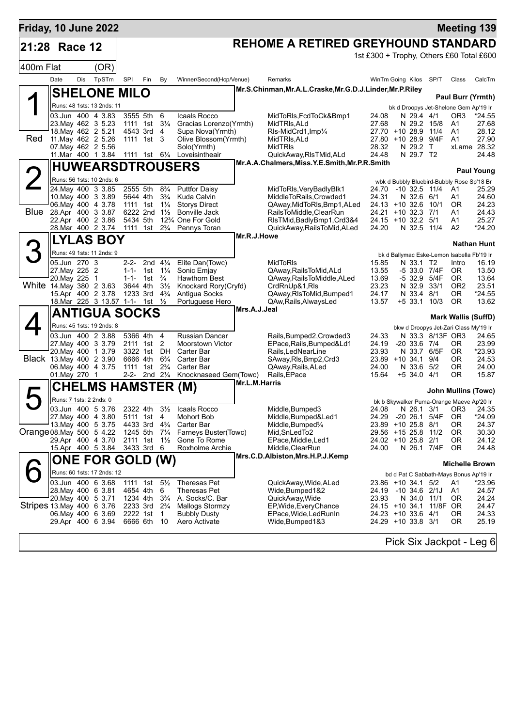| Friday, 10 June 2022      |                                              |     |                                  |                       |                                                    |                                  |                                              |               |                                                                          |                |                                                         |          |                            | <b>Meeting 139</b>         |
|---------------------------|----------------------------------------------|-----|----------------------------------|-----------------------|----------------------------------------------------|----------------------------------|----------------------------------------------|---------------|--------------------------------------------------------------------------|----------------|---------------------------------------------------------|----------|----------------------------|----------------------------|
| 21:28                     | Race 12                                      |     |                                  |                       |                                                    |                                  |                                              |               | REHOME A RETIRED GREYHOUND STANDARD                                      |                |                                                         |          |                            |                            |
|                           |                                              |     |                                  |                       |                                                    |                                  |                                              |               |                                                                          |                | 1st £300 + Trophy, Others £60 Total £600                |          |                            |                            |
| 400m Flat                 |                                              |     | (OR)                             |                       |                                                    |                                  |                                              |               |                                                                          |                |                                                         |          |                            |                            |
|                           | Date                                         | Dis | TpSTm                            | SPI                   | Fin                                                | By                               | Winner/Second(Hcp/Venue)                     |               | Remarks                                                                  |                | WinTm Going Kilos SP/T                                  |          | Class                      | CalcTm                     |
|                           |                                              |     | <b>SHELONE MILO</b>              |                       |                                                    |                                  |                                              |               | Mr.S.Chinman,Mr.A.L.Craske,Mr.G.D.J.Linder,Mr.P.Riley                    |                |                                                         |          |                            | Paul Burr (Yrmth)          |
|                           |                                              |     | Runs: 48 1sts: 13 2nds: 11       |                       |                                                    |                                  |                                              |               |                                                                          |                | bk d Droopys Jet-Shelone Gem Ap'19 Ir                   |          |                            |                            |
|                           | 03.Jun 400 4 3.83                            |     |                                  | 3555 5th              |                                                    | 6                                | Icaals Rocco                                 |               | MidToRIs, FcdToCk&Bmp1                                                   | 24.08          | N 29.4 4/1                                              |          | OR3                        | $*24.55$                   |
|                           | 23. May 462 3 5.23                           |     | 18. May 462 2 5.21               |                       | 1111 1st<br>4543 3rd                               | $3\frac{1}{4}$<br>$\overline{4}$ | Gracias Lorenzo(Yrmth)<br>Supa Nova(Yrmth)   |               | MidTRIs.ALd<br>RIs-MidCrd1, Imp1/4                                       | 27.68          | N 29.2 15/8<br>27.70 +10 28.9 11/4                      |          | A1<br>A1                   | 27.68<br>28.12             |
| Red                       | 11. May 462 2 5.26                           |     |                                  |                       | 1111 1st                                           | 3                                | Olive Blossom(Yrmth)                         |               | MidTRIs, ALd                                                             |                | 27.80 +10 28.9 9/4F                                     |          | A1                         | 27.90                      |
|                           | 07 May 462 2 5.56                            |     |                                  |                       |                                                    |                                  | Solo(Yrmth)                                  |               | <b>MidTRIs</b>                                                           | 28.32          | N 29.2                                                  | $\top$   |                            | xLame 28.32                |
|                           | 11. Mar 400 1 3.84                           |     |                                  |                       | 1111 1st 61/4                                      |                                  | Loveisintheair                               |               | QuickAway, RIsTMid, ALd<br>Mr.A.A.Chalmers, Miss.Y.E.Smith, Mr.P.R.Smith | 24.48          | N 29.7 T2                                               |          |                            | 24.48                      |
|                           |                                              |     |                                  |                       |                                                    |                                  | <b>HUWEARSDTROUSERS</b>                      |               |                                                                          |                |                                                         |          |                            | <b>Paul Young</b>          |
|                           | 24. May 400 3 3.85                           |     | Runs: 56 1sts: 10 2nds: 6        | 2555 5th              |                                                    |                                  |                                              |               |                                                                          |                | wbk d Bubbly Bluebird-Bubbly Rose Sp'18 Br              |          |                            |                            |
|                           | 10 May 400 3 3.89                            |     |                                  | 5644 4th              |                                                    | $8\frac{3}{4}$<br>$3\frac{3}{4}$ | <b>Puttfor Daisy</b><br>Kuda Calvin          |               | MidToRIs, VeryBadlyBlk1<br>MiddleToRails.Crowded1                        | 24.70<br>24.31 | $-10$ 32.5 $11/4$<br>N 32.6 6/1                         |          | A1<br>A1                   | 25.29<br>24.60             |
|                           | 06. May 400 4 3.78                           |     |                                  | 1111 1st              |                                                    | $1\frac{1}{4}$                   | <b>Storys Direct</b>                         |               | QAway, MidToRIs, Bmp1, ALed                                              |                | 24.13 +10 32.6                                          | 10/1     | ΟR                         | 24.23                      |
| Blue 28.Apr 400 3 3.87    | 22.Apr 400 2 3.86                            |     |                                  | 5434 5th              | 6222 2nd                                           | $1\frac{1}{2}$                   | <b>Bonville Jack</b><br>12% One For Gold     |               | RailsToMiddle,ClearRun<br>RIsTMid, BadlyBmp1, Crd3&4                     | 24.21<br>24.15 | $+10$ 32.3 7/1<br>$+10$ 32.2 $5/1$                      |          | Α1<br>A1                   | 24.43<br>25.27             |
|                           | 28. Mar 400 2 3.74                           |     |                                  | 1111                  | 1st                                                | $2\frac{3}{4}$                   | Pennys Toran                                 |               | QuickAway, RailsToMid, ALed                                              | 24.20          | N 32.5 11/4                                             |          | A2                         | $*24.20$                   |
|                           |                                              |     | <b>LYLAS BOY</b>                 |                       |                                                    |                                  |                                              | Mr.R.J.Howe   |                                                                          |                |                                                         |          |                            |                            |
|                           |                                              |     | Runs: 49 1sts: 11 2nds: 9        |                       |                                                    |                                  |                                              |               |                                                                          |                | bk d Ballymac Eske-Lemon Isabella Fb'19 Ir              |          |                            | <b>Nathan Hunt</b>         |
|                           | 05.Jun 270 3                                 |     |                                  |                       | 2-2- 2nd $4\frac{1}{4}$                            |                                  | Elite Dan(Towc)                              |               | <b>MidToRIs</b>                                                          | 15.85          | N 33.1 T2                                               |          | Intro                      | 16.19                      |
|                           | 27. May 225 2                                |     |                                  |                       | 1-1- 1st $1\frac{1}{4}$                            |                                  | Sonic Emjay                                  |               | QAway, Rails To Mid, ALd                                                 | 13.55          | -5 33.0 7/4F                                            |          | 0R                         | 13.50                      |
| White 14 May 380 2 3.63   | 20. May 225 1                                |     |                                  | $1 - 1 -$<br>3644 4th | 1st                                                | $\frac{3}{4}$<br>$3\frac{1}{2}$  | <b>Hawthorn Best</b><br>Knockard Rory(Cryfd) |               | QAway, Rails To Middle, ALed<br>CrdRnUp&1,RIs                            | 13.69<br>23.23 | -5 32.9<br>N 32.9 33/1                                  | 5/4F     | 0R<br>OR <sub>2</sub>      | 13.64<br>23.51             |
|                           | 15.Apr 400 2 3.78                            |     |                                  |                       | 1233 3rd                                           | $4\frac{3}{4}$                   | Antigua Socks                                |               | QAway, RIsToMid, Bumped1                                                 | 24.17          | N 33.4                                                  | 8/1      | 0R                         | *24.55                     |
|                           |                                              |     | 18. Mar 225 3 13.57 1-1- 1st 1/2 |                       |                                                    |                                  | Portuguese Hero                              | Mrs.A.J.Jeal  | QAw, Rails, Always Led                                                   | 13.57          | $+5$ 33.1 10/3                                          |          | <b>OR</b>                  | 13.62                      |
|                           |                                              |     | <b>ANTIGUA SOCKS</b>             |                       |                                                    |                                  |                                              |               |                                                                          |                |                                                         |          | <b>Mark Wallis (SuffD)</b> |                            |
|                           |                                              |     | Runs: 45 1sts: 19 2nds: 8        |                       |                                                    |                                  |                                              |               |                                                                          |                | bkw d Droopys Jet-Zari Class My'19 Ir                   |          |                            |                            |
|                           | 03.Jun 400 2 3.88                            |     |                                  | 5366 4th              |                                                    | $\overline{4}$                   | <b>Russian Dancer</b>                        |               | Rails, Bumped 2, Crowded 3                                               | 24.33          | N 33.3 8/13F OR3                                        |          |                            | 24.65                      |
|                           | 27. May 400 3 3.79<br>20. May 400 1 3.79     |     |                                  | 3322 1st              | 2111 1st 2                                         | DH                               | <b>Moorstown Victor</b><br>Carter Bar        |               | EPace, Rails, Bumped&Ld1<br>Rails, LedNearLine                           | 24.19<br>23.93 | $-20$ 33.6 $7/4$<br>N 33.7 6/5F                         |          | ΟR<br>0R                   | 23.99<br>*23.93            |
| Black 13. May 400 2 3.90  |                                              |     |                                  | 6666 4th              |                                                    | $6\frac{3}{4}$                   | Carter Bar                                   |               | SAway, RIs, Bmp2, Crd3                                                   |                | 23.89 +10 34.1 9/4                                      |          | 0R                         | 24.53                      |
|                           | 06. May 400 4 3.75<br>01. May 270 1          |     |                                  | 1111                  | 1st<br>2-2- 2nd 21/4                               | $2\frac{3}{4}$                   | Carter Bar<br>Knocknaseed Gem(Towc)          |               | QAway, Rails, ALed<br>Rails, EPace                                       | 24.00<br>15.64 | N 33.6 5/2<br>$+5$ 34.0 4/1                             |          | 0R<br>ΟR                   | 24.00<br>15.87             |
|                           |                                              |     |                                  |                       |                                                    |                                  |                                              | Mr.L.M.Harris |                                                                          |                |                                                         |          |                            |                            |
|                           |                                              |     | CHELMS HAMSTER (M)               |                       |                                                    |                                  |                                              |               |                                                                          |                |                                                         |          |                            | <b>John Mullins (Towc)</b> |
|                           | Runs: 7 1sts: 2 2nds: 0<br>03.Jun 400 5 3.76 |     |                                  | 2322 4th              |                                                    | $3\frac{1}{2}$                   | Icaals Rocco                                 |               | Middle, Bumped3                                                          | 24.08          | bk b Skywalker Puma-Orange Maeve Ap'20 Ir<br>N 26.1 3/1 |          | OR <sub>3</sub>            | 24.35                      |
|                           | 27. May 400 4 3.80                           |     |                                  |                       | 5111 1st                                           | 4                                | Mohort Bob                                   |               | Middle, Bumped&Led1                                                      | 24.29          | $-2026.1$                                               | 5/4F     | 0R                         | $*24.09$                   |
|                           | 13. May 400 5 3.75                           |     |                                  | 4433 3rd              |                                                    | $4\frac{3}{4}$                   | Carter Bar                                   |               | Middle, Bumped <sup>3</sup> /4                                           |                | 23.89 +10 25.8 8/1                                      |          | 0R                         | 24.37                      |
| Orange 08. May 500 5 4.22 | 29.Apr 400 4 3.70                            |     |                                  | 1245 5th<br>2111 1st  |                                                    | $7\frac{1}{4}$<br>$1\frac{1}{2}$ | Farneys Buster(Towc)<br>Gone To Rome         |               | Mid, SnLed To 2<br>EPace, Middle, Led1                                   |                | 29.56 +15 25.8 11/2<br>24.02 +10 25.8 2/1               |          | 0R<br>ΟR                   | 30.30<br>24.12             |
|                           |                                              |     | 15.Apr 400 5 3.84                | 3433 3rd              |                                                    | - 6                              | Roxholme Archie                              |               | Middle, ClearRun                                                         | 24.00          | N 26.1 7/4F                                             |          | OR.                        | 24.48                      |
|                           |                                              |     | <b>ONE FOR GOLD (W)</b>          |                       |                                                    |                                  |                                              |               | Mrs.C.D.Albiston, Mrs.H.P.J.Kemp                                         |                |                                                         |          |                            | <b>Michelle Brown</b>      |
|                           |                                              |     | Runs: 60 1sts: 17 2nds: 12       |                       |                                                    |                                  |                                              |               |                                                                          |                | bd d Pat C Sabbath-Mays Bonus Ap'19 Ir                  |          |                            |                            |
|                           | 03.Jun 400 6 3.68                            |     |                                  |                       | 1111 1st 5 <sup>1</sup> / <sub>2</sub>             |                                  | Theresas Pet                                 |               | QuickAway, Wide, ALed                                                    |                | 23.86 +10 34.1 5/2                                      |          | A1                         | *23.96                     |
|                           | 28. May 400 6 3.81                           |     |                                  |                       | 4654 4th                                           | 6                                | Theresas Pet                                 |               | Wide, Bumped 1&2                                                         | 24.19          | -10 34.6 2/1J                                           |          | A1                         | 24.57                      |
| Stripes 13 May 400 6 3.76 | 20. May 400 5 3.71                           |     |                                  |                       | 1234 4th<br>2233 3rd 2 <sup>3</sup> / <sub>4</sub> | $3\frac{3}{4}$                   | A. Socks/C. Bar<br><b>Mallogs Stormzy</b>    |               | QuickAway, Wide<br>EP, Wide, Every Chance                                | 23.93          | N 34.0 11/1<br>24.15 +10 34.1                           | 11/8F OR | 0R                         | 24.24<br>24.47             |
|                           | 06. May 400 6 3.69                           |     |                                  |                       | 2222 1st 1                                         |                                  | <b>Bubbly Dusty</b>                          |               | EPace, Wide, Led RunIn                                                   |                | 24.23 +10 33.6 4/1                                      |          | ΟR                         | 24.33                      |
|                           | 29.Apr 400 6 3.94                            |     |                                  |                       | 6666 6th 10                                        |                                  | Aero Activate                                |               | Wide,Bumped1&3                                                           |                | 24.29 +10 33.8 3/1                                      |          | ΟR                         | 25.19                      |
|                           |                                              |     |                                  |                       |                                                    |                                  |                                              |               |                                                                          |                | Pick Six Jackpot - Leg 6                                |          |                            |                            |
|                           |                                              |     |                                  |                       |                                                    |                                  |                                              |               |                                                                          |                |                                                         |          |                            |                            |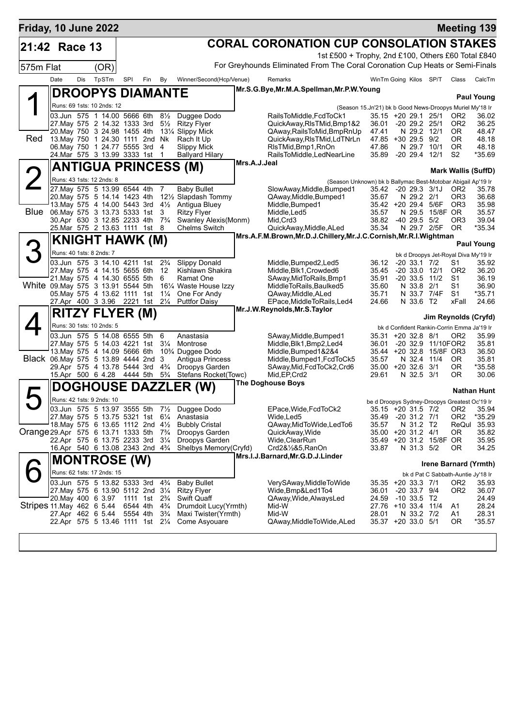| Friday, 10 June 2022                    |                             |     |                                                                                              |          |                                        |                     |                                                             |                                                                |                                                                                     |                                |  |                                   |                          |                                                           | <b>Meeting 139</b>           |  |  |
|-----------------------------------------|-----------------------------|-----|----------------------------------------------------------------------------------------------|----------|----------------------------------------|---------------------|-------------------------------------------------------------|----------------------------------------------------------------|-------------------------------------------------------------------------------------|--------------------------------|--|-----------------------------------|--------------------------|-----------------------------------------------------------|------------------------------|--|--|
| 21:42 Race 13                           |                             |     |                                                                                              |          |                                        |                     |                                                             |                                                                | <b>CORAL CORONATION CUP CONSOLATION STAKES</b>                                      |                                |  |                                   |                          |                                                           |                              |  |  |
|                                         |                             |     |                                                                                              |          |                                        |                     |                                                             |                                                                | 1st £500 + Trophy, 2nd £100, Others £60 Total £840                                  |                                |  |                                   |                          |                                                           |                              |  |  |
| 575m Flat                               |                             |     | (OR)                                                                                         |          |                                        |                     |                                                             |                                                                | For Greyhounds Eliminated From The Coral Coronation Cup Heats or Semi-Finals        |                                |  |                                   |                          |                                                           |                              |  |  |
|                                         | Date                        | Dis | TpSTm                                                                                        | SPI      | Fin                                    | By                  | Winner/Second(Hcp/Venue)                                    |                                                                | Remarks                                                                             | WinTm Going Kilos SP/T         |  |                                   |                          | Class                                                     | CalcTm                       |  |  |
|                                         |                             |     | <b>DROOPYS DIAMANTE</b>                                                                      |          |                                        |                     |                                                             |                                                                | Mr.S.G.Bye, Mr.M.A.Spellman, Mr.P.W.Young                                           |                                |  |                                   |                          |                                                           |                              |  |  |
|                                         |                             |     | Runs: 69 1sts: 10 2nds: 12                                                                   |          |                                        |                     |                                                             |                                                                |                                                                                     |                                |  |                                   |                          |                                                           | <b>Paul Young</b>            |  |  |
|                                         |                             |     | 03.Jun 575 1 14.00 5666 6th                                                                  |          |                                        | $8\frac{1}{2}$      | Duggee Dodo                                                 |                                                                | (Season 15.Jn'21) bk b Good News-Droopys Muriel My'18 Ir<br>RailsToMiddle, FcdToCk1 | 35.15 +20 29.1 25/1            |  |                                   |                          | OR <sub>2</sub>                                           | 36.02                        |  |  |
|                                         |                             |     | 27. May 575 2 14.32 1333 3rd 51/2                                                            |          |                                        |                     | <b>Ritzy Flyer</b>                                          |                                                                | QuickAway, RIsTMid, Bmp1&2                                                          | 36.01                          |  | -20 29.2 25/1                     |                          | OR <sub>2</sub>                                           | 36.25                        |  |  |
| Red                                     |                             |     | 20. May 750 3 24.98 1455 4th<br>13. May 750 1 24.30 1111 2nd Nk                              |          |                                        |                     | 13¼ Slippy Mick<br>Rach It Up                               |                                                                | QAway, Rails To Mid, Bmp RnUp<br>QuickAway,RIsTMid,LdTNrLn                          | 47.41<br>47.85 +30 29.5 9/2    |  | N 29.2 12/1                       |                          | OR.<br>0R                                                 | 48.47<br>48.18               |  |  |
|                                         |                             |     | 06. May 750 1 24.77 5555 3rd 4                                                               |          |                                        |                     | <b>Slippy Mick</b>                                          |                                                                | RIsTMid, Bmp1, RnOn                                                                 | 47.86                          |  | N 29.7 10/1                       |                          | <b>OR</b>                                                 | 48.18                        |  |  |
|                                         |                             |     | 24. Mar 575 3 13.99 3333 1st                                                                 |          |                                        | $\overline{1}$      | Ballyard Hilary                                             |                                                                | RailsToMiddle,LedNearLine                                                           | 35.89 -20 29.4 12/1            |  |                                   |                          | S <sub>2</sub>                                            | *35.69                       |  |  |
|                                         | <b>ANTIGUA PRINCESS (M)</b> |     |                                                                                              |          |                                        |                     |                                                             | Mrs.A.J.Jeal<br><b>Mark Wallis (SuffD)</b>                     |                                                                                     |                                |  |                                   |                          |                                                           |                              |  |  |
|                                         |                             |     | Runs: 43 1sts: 12 2nds: 8                                                                    |          |                                        |                     |                                                             |                                                                | (Season Unknown) bk b Ballymac Best-Motobar Abigail Ap'19 Ir                        |                                |  |                                   |                          |                                                           |                              |  |  |
|                                         |                             |     | 27. May 575 5 13.99 6544 4th 7<br>20. May 575 5 14.14 1423 4th                               |          |                                        |                     | <b>Baby Bullet</b><br>121/ <sub>2</sub> Slapdash Tommy      |                                                                | SlowAway, Middle, Bumped1<br>QAway, Middle, Bumped1                                 | 35.42 -20 29.3 3/1J<br>35.67   |  | N 29.2 2/1                        |                          | OR <sub>2</sub><br>OR <sub>3</sub>                        | 35.78<br>36.68               |  |  |
|                                         |                             |     | 13. May 575 4 14.00 5443 3rd 41/2                                                            |          |                                        |                     | Antigua Bluey                                               |                                                                | Middle, Bumped1                                                                     | 35.42 +20 29.4 5/6F            |  |                                   |                          | OR <sub>3</sub>                                           | 35.98                        |  |  |
|                                         |                             |     | Blue 06. May 575 3 13.73 5333 1st                                                            |          |                                        | 3                   | <b>Ritzy Flyer</b>                                          |                                                                | Middle, Led5                                                                        | 35.57                          |  |                                   | N 29.5 15/8F OR          |                                                           | 35.57                        |  |  |
|                                         |                             |     | 30.Apr 630 3 12.85 2233 4th<br>25. Mar 575 2 13.63 1111 1st                                  |          |                                        | $7\frac{3}{4}$<br>8 | Swanley Alexis(Monm)<br><b>Chelms Switch</b>                |                                                                | Mid, Crd3<br>QuickAway,Middle,ALed                                                  | 38.82<br>35.34                 |  | $-40$ 29.5 $5/2$                  | N 29.7 2/5F              | OR <sub>3</sub><br>0R                                     | 39.04<br>$*35.34$            |  |  |
|                                         |                             |     | <b>KNIGHT HAWK (M)</b>                                                                       |          |                                        |                     |                                                             | Mrs.A.F.M.Brown,Mr.D.J.Chillery,Mr.J.C.Cornish,Mr.R.I.Wightman |                                                                                     |                                |  |                                   |                          |                                                           |                              |  |  |
|                                         |                             |     | Runs: 40 1sts: 8 2nds: 7                                                                     |          |                                        |                     |                                                             |                                                                |                                                                                     |                                |  |                                   |                          | <b>Paul Young</b><br>bk d Droopys Jet-Royal Diva My'19 Ir |                              |  |  |
|                                         |                             |     | 03.Jun 575 3 14.10 4211 1st                                                                  |          |                                        | $2\frac{3}{4}$      | <b>Slippy Donald</b>                                        |                                                                | Middle, Bumped 2, Led 5                                                             | 36.12                          |  | $-20$ 33.1 $7/2$                  |                          | S1                                                        | 35.92                        |  |  |
|                                         |                             |     | 27. May 575 4 14.15 5655 6th                                                                 |          |                                        | 12                  | Kishlawn Shakira                                            |                                                                | Middle, Blk1, Crowded6                                                              | 35.45                          |  | $-20$ 33.0 $12/1$                 |                          | OR <sub>2</sub>                                           | 36.20                        |  |  |
| White 09. May 575 3 13.91 5544 5th      |                             |     | 21. May 575 4 14.30 6555 5th                                                                 |          |                                        | 6                   | Ramat One<br>161/4 Waste House Izzy                         |                                                                | SAway, MidToRails, Bmp1<br>MiddleToRails, Baulked5                                  | 35.91<br>35.60                 |  | $-20$ 33.5 $11/2$<br>N 33.8 2/1   |                          | S1<br>S1                                                  | 36.19<br>36.90               |  |  |
|                                         |                             |     | 05. May 575 4 13.62 1111 1st                                                                 |          |                                        | $1\frac{1}{4}$      | One For Andy                                                |                                                                | QAway, Middle, ALed                                                                 | 35.71                          |  |                                   | N 33.7 7/4F              | S <sub>1</sub>                                            | *35.71                       |  |  |
|                                         |                             |     | 27.Apr 400 3 3.96 2221 1st                                                                   |          |                                        | $2\frac{1}{4}$      | <b>Puttfor Daisy</b>                                        |                                                                | EPace, MiddleToRails, Led4                                                          | 24.66                          |  | N 33.6 T2                         |                          | xFall                                                     | 24.66                        |  |  |
|                                         |                             |     | <b>RITZY FLYER (M)</b>                                                                       |          |                                        |                     |                                                             |                                                                | Mr.J.W.Reynolds, Mr.S.Taylor                                                        |                                |  |                                   |                          |                                                           | Jim Reynolds (Cryfd)         |  |  |
|                                         |                             |     | Runs: 30 1sts: 10 2nds: 5                                                                    |          |                                        |                     |                                                             |                                                                |                                                                                     |                                |  |                                   |                          | bk d Confident Rankin-Corrin Emma Ja'19 Ir                |                              |  |  |
|                                         |                             |     | 03.Jun 575 5 14.08 6555 5th<br>27. May 575 5 14.03 4221 1st 31/4                             |          |                                        | 6                   | Anastasia<br>Montrose                                       |                                                                | SAway, Middle, Bumped 1<br>Middle, Blk1, Bmp2, Led4                                 | 35.31<br>36.01                 |  | $+20$ 32.8 8/1                    | -20 32.9 11/10FOR2       | OR <sub>2</sub>                                           | 35.99<br>35.81               |  |  |
|                                         |                             |     |                                                                                              |          |                                        |                     | 13. May 575 4 14.09 5666 6th 10 <sup>3</sup> /4 Duggee Dodo |                                                                | Middle, Bumped 1&2&4                                                                |                                |  |                                   | 35.44 +20 32.8 15/8F OR3 |                                                           | 36.50                        |  |  |
| Black 06. May 575 5 13.89 4444 2nd 3    |                             |     |                                                                                              |          |                                        |                     | Antigua Princess                                            |                                                                | Middle, Bumped 1, Fcd To Ck 5                                                       | 35.57                          |  |                                   | N 32.4 11/4              | OR.                                                       | 35.81                        |  |  |
|                                         |                             |     | 29.Apr 575 4 13.78 5444 3rd 43/4<br>15.Apr 500 6 4.28 4444 5th 5 <sup>3</sup> / <sub>4</sub> |          |                                        |                     | Droopys Garden<br>Stefans Rocket(Towc)                      |                                                                | SAway, Mid, FcdToCk2, Crd6<br>Mid, EP, Crd2                                         | $35.00 + 20.32.6$ 3/1<br>29.61 |  | N 32.5 3/1                        |                          | 0R<br>0R                                                  | *35.58<br>30.06              |  |  |
|                                         |                             |     |                                                                                              |          |                                        |                     | <b>DOGHOUSE DAZZLER (W)</b>                                 |                                                                | <b>The Doghouse Boys</b>                                                            |                                |  |                                   |                          |                                                           |                              |  |  |
|                                         |                             |     | Runs: 42 1sts: 9 2nds: 10                                                                    |          |                                        |                     |                                                             |                                                                |                                                                                     |                                |  |                                   |                          |                                                           | <b>Nathan Hunt</b>           |  |  |
|                                         |                             |     |                                                                                              |          |                                        |                     | 03.Jun 575 5 13.97 3555 5th 71/2 Duggee Dodo                |                                                                | EPace, Wide, FcdToCk2                                                               |                                |  |                                   |                          | be d Droopys Sydney-Droopys Greatest Oc'19 Ir             | 35.15 +20 31.5 7/2 OR2 35.94 |  |  |
|                                         |                             |     | 27. May 575 5 13.75 5321 1st 61/4                                                            |          |                                        |                     | Anastasia                                                   |                                                                | Wide, Led <sub>5</sub>                                                              | 35.49                          |  | $-20$ 31.2 $7/1$                  |                          | OR <sub>2</sub>                                           | *35.29                       |  |  |
| Orange 29.Apr 575 6 13.71 1333 5th 73/4 |                             |     | 18. May 575 6 13.65 1112 2nd 41/2                                                            |          |                                        |                     | <b>Bubbly Cristal</b><br>Droopys Garden                     |                                                                | QAway, MidToWide, LedTo6<br>QuickAway, Wide                                         | 35.57<br>35.00 +20 31.2 4/1    |  | N 31.2 T2                         |                          | ReQul<br>0R                                               | 35.93<br>35.82               |  |  |
|                                         |                             |     | 22.Apr 575 6 13.75 2233 3rd                                                                  |          |                                        | $3\frac{1}{4}$      | Droopys Garden                                              |                                                                | Wide, Clear Run                                                                     |                                |  |                                   | 35.49 +20 31.2 15/8F OR  |                                                           | 35.95                        |  |  |
|                                         |                             |     | 16.Apr 540 6 13.08 2343 2nd 4%                                                               |          |                                        |                     | Shelbys Memory(Cryfd)                                       |                                                                | Crd2&1/2&5,RanOn                                                                    | 33.87                          |  | N 31.3 5/2                        |                          | 0R                                                        | 34.25                        |  |  |
|                                         |                             |     | <b>MONTROSE (W)</b>                                                                          |          |                                        |                     |                                                             |                                                                | Mrs.I.J.Barnard,Mr.G.D.J.Linder                                                     |                                |  |                                   |                          |                                                           | Irene Barnard (Yrmth)        |  |  |
|                                         |                             |     | Runs: 62 1sts: 17 2nds: 15                                                                   |          |                                        |                     |                                                             |                                                                |                                                                                     |                                |  |                                   |                          | bk d Pat C Sabbath-Auntie Jy'18 Ir                        |                              |  |  |
|                                         |                             |     | 03.Jun 575 5 13.82 5333 3rd                                                                  |          |                                        | $4\frac{3}{4}$      | <b>Baby Bullet</b>                                          |                                                                | VerySAway, MiddleToWide                                                             | 35.35 +20 33.3 7/1             |  |                                   |                          | OR <sub>2</sub>                                           | 35.93                        |  |  |
|                                         |                             |     | 27. May 575 6 13.90 5112 2nd 31/4<br>20 May 400 6 3.97                                       |          | 1111 1st 2 <sup>3</sup> / <sub>4</sub> |                     | <b>Ritzy Flyer</b><br>Swift Quaff                           |                                                                | Wide, Bmp&Led1To4<br>QAway, Wide, Always Led                                        | 36.01<br>24.59                 |  | $-20$ 33.7 $9/4$<br>$-10$ 33.5 T2 |                          | OR <sub>2</sub>                                           | 36.07<br>24.49               |  |  |
| Stripes 11 May 462 6 5.44               |                             |     |                                                                                              | 6544 4th |                                        | $4\frac{3}{4}$      | Drumdoit Lucy(Yrmth)                                        |                                                                | Mid-W                                                                               | 27.76 +10 33.4 11/4            |  |                                   |                          | A1                                                        | 28.24                        |  |  |
|                                         |                             |     | 27.Apr 462 6 5.44<br>22.Apr 575 5 13.46 1111 1st 21/4                                        |          | 5554 4th                               | $3\frac{3}{4}$      | Maxi Twister(Yrmth)<br>Come Asyouare                        |                                                                | Mid-W<br>QAway, Middle To Wide, ALed                                                | 28.01<br>35.37 +20 33.0 5/1    |  | N 33.2 7/2                        |                          | A1<br>0R                                                  | 28.31<br>$*35.57$            |  |  |
|                                         |                             |     |                                                                                              |          |                                        |                     |                                                             |                                                                |                                                                                     |                                |  |                                   |                          |                                                           |                              |  |  |
|                                         |                             |     |                                                                                              |          |                                        |                     |                                                             |                                                                |                                                                                     |                                |  |                                   |                          |                                                           |                              |  |  |